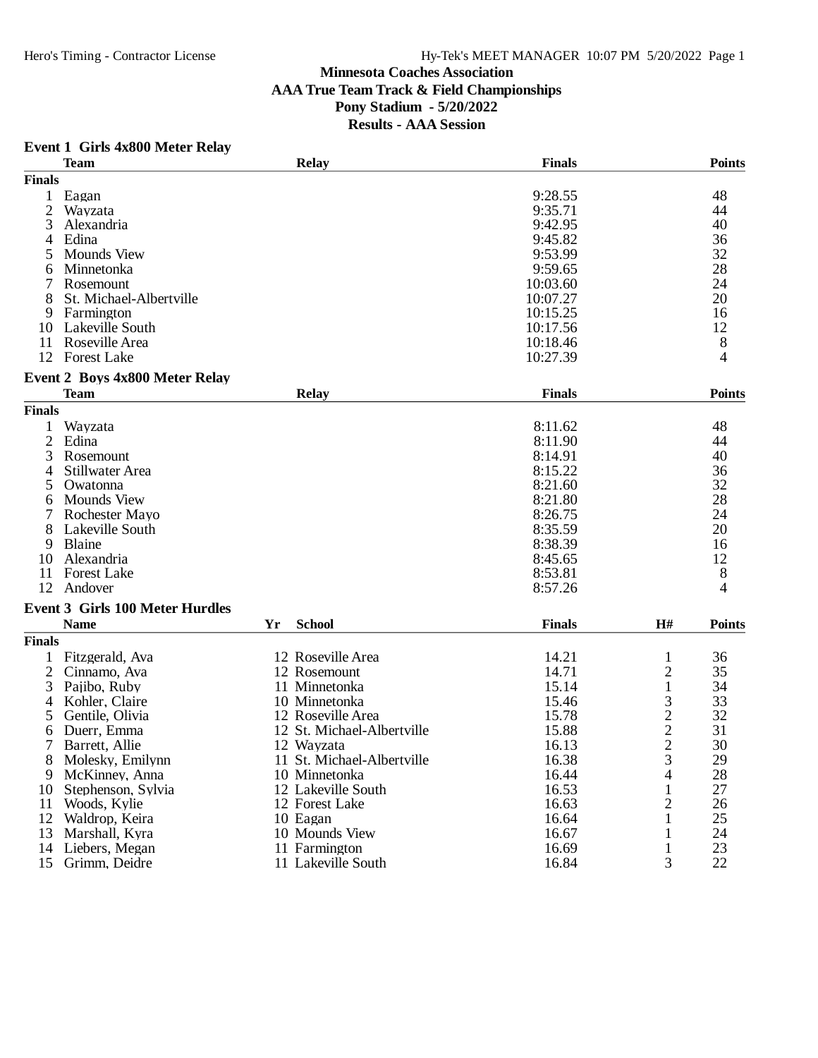### **Event 1 Girls 4x800 Meter Relay**

|                | <b>Team</b>                            |    | <b>Relay</b>               | <b>Finals</b> |                | <b>Points</b> |
|----------------|----------------------------------------|----|----------------------------|---------------|----------------|---------------|
| <b>Finals</b>  |                                        |    |                            |               |                |               |
| 1              | Eagan                                  |    |                            | 9:28.55       |                | 48            |
| $\overline{c}$ | Wayzata                                |    |                            | 9:35.71       |                | 44            |
| 3              | Alexandria                             |    |                            | 9:42.95       |                | 40            |
| 4              | Edina                                  |    |                            | 9:45.82       |                | 36            |
| 5              | <b>Mounds View</b>                     |    |                            | 9:53.99       |                | 32            |
| 6              | Minnetonka                             |    |                            | 9:59.65       |                | 28            |
| 7              | Rosemount                              |    |                            | 10:03.60      |                | 24            |
| 8              | St. Michael-Albertville                |    |                            | 10:07.27      |                | 20            |
| 9              | Farmington                             |    |                            | 10:15.25      |                | 16            |
| 10             | Lakeville South                        |    |                            | 10:17.56      |                | 12            |
| 11             | Roseville Area                         |    |                            | 10:18.46      |                | 8             |
| 12             | <b>Forest Lake</b>                     |    |                            | 10:27.39      |                | 4             |
|                | <b>Event 2 Boys 4x800 Meter Relay</b>  |    |                            |               |                |               |
|                | <b>Team</b>                            |    | <b>Relay</b>               | <b>Finals</b> |                | <b>Points</b> |
| <b>Finals</b>  |                                        |    |                            |               |                |               |
| 1              | Wayzata                                |    |                            | 8:11.62       |                | 48            |
| $\overline{2}$ | Edina                                  |    |                            | 8:11.90       |                | 44            |
| 3              | Rosemount                              |    |                            | 8:14.91       |                | 40            |
|                | Stillwater Area                        |    |                            | 8:15.22       |                | 36            |
| 5              | Owatonna                               |    |                            | 8:21.60       |                | 32            |
| 6              | <b>Mounds View</b>                     |    |                            | 8:21.80       |                | 28            |
|                | Rochester Mayo                         |    |                            | 8:26.75       |                | 24            |
| 8              | Lakeville South                        |    |                            | 8:35.59       |                | 20            |
| 9              | Blaine                                 |    |                            | 8:38.39       |                | 16            |
| 10             | Alexandria                             |    |                            | 8:45.65       |                | 12            |
| 11             | <b>Forest Lake</b>                     |    |                            | 8:53.81       |                | 8             |
| 12             | Andover                                |    |                            | 8:57.26       |                | 4             |
|                | <b>Event 3 Girls 100 Meter Hurdles</b> |    |                            |               |                |               |
|                | <b>Name</b>                            | Yr | <b>School</b>              | <b>Finals</b> | H#             | <b>Points</b> |
| <b>Finals</b>  |                                        |    |                            |               |                |               |
| 1              | Fitzgerald, Ava                        |    | 12 Roseville Area          | 14.21         | $\mathbf 1$    | 36            |
| $\overline{c}$ | Cinnamo, Ava                           |    | 12 Rosemount               | 14.71         | $\overline{c}$ | 35            |
| 3              | Pajibo, Ruby                           |    | 11 Minnetonka              | 15.14         | $\mathbf{1}$   | 34            |
| 4              | Kohler, Claire                         |    | 10 Minnetonka              | 15.46         | 3              | 33            |
| 5              | Gentile, Olivia                        |    | 12 Roseville Area          | 15.78         |                | 32            |
| 6              | Duerr, Emma                            |    | 12 St. Michael-Albertville | 15.88         | $\frac{2}{2}$  | 31            |
|                | Barrett, Allie                         |    | 12 Wayzata                 | 16.13         | $\overline{2}$ | 30            |
| 8              | Molesky, Emilynn                       |    | 11 St. Michael-Albertville | 16.38         | 3              | 29            |
| 9              | McKinney, Anna                         |    | 10 Minnetonka              | 16.44         | 4              | 28            |
| 10             | Stephenson, Sylvia                     |    | 12 Lakeville South         | 16.53         | $\mathbf{1}$   | 27            |
| 11             | Woods, Kylie                           |    | 12 Forest Lake             | 16.63         | $\overline{c}$ | 26            |
| 12             | Waldrop, Keira                         |    | 10 Eagan                   | 16.64         | 1              | 25            |
| 13             | Marshall, Kyra                         |    | 10 Mounds View             | 16.67         | 1              | 24            |
| 14             | Liebers, Megan                         |    | 11 Farmington              | 16.69         | $\mathbf{1}$   | 23            |
| 15             | Grimm, Deidre                          |    | 11 Lakeville South         | 16.84         | 3              | 22            |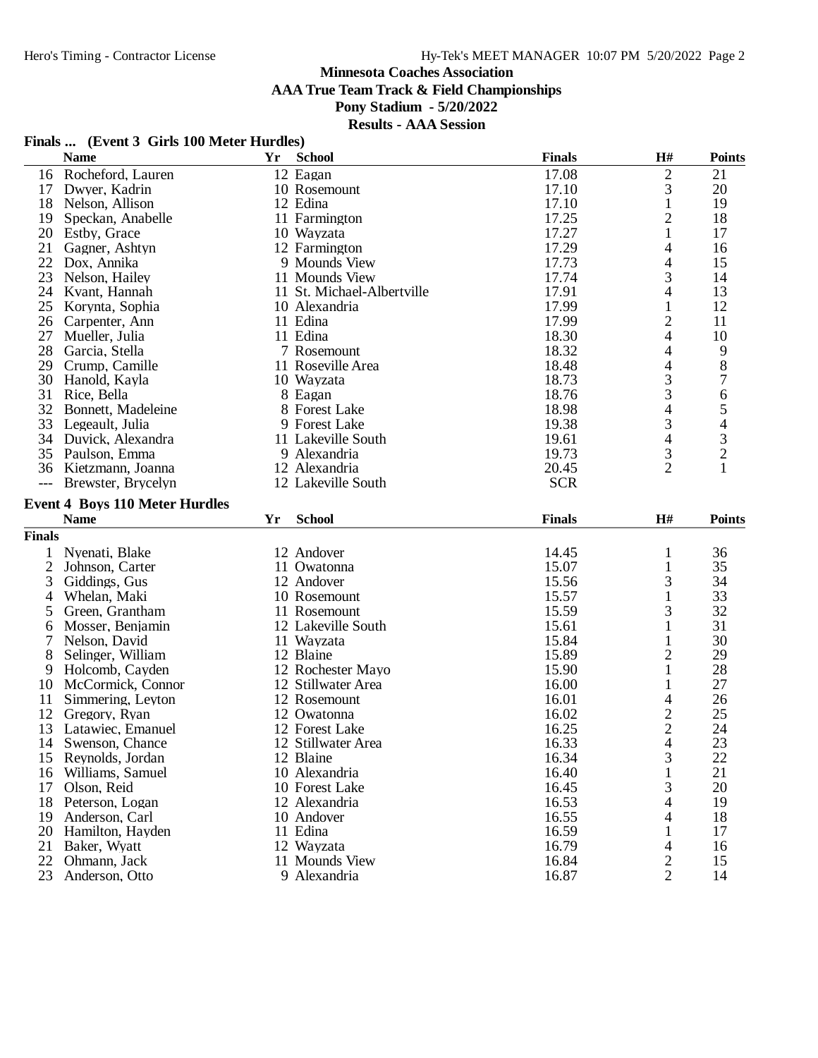**AAA True Team Track & Field Championships**

#### **Pony Stadium - 5/20/2022**

### **Results - AAA Session**

### **Finals ... (Event 3 Girls 100 Meter Hurdles)**

|                     | <b>Name</b>                           | Yr | <b>School</b>              | <b>Finals</b> | H#                      | <b>Points</b>            |
|---------------------|---------------------------------------|----|----------------------------|---------------|-------------------------|--------------------------|
| 16                  | Rocheford, Lauren                     |    | 12 Eagan                   | 17.08         | 2                       | 21                       |
| 17                  | Dwyer, Kadrin                         |    | 10 Rosemount               | 17.10         | 3                       | 20                       |
| 18                  | Nelson, Allison                       |    | 12 Edina                   | 17.10         | 1                       | 19                       |
| 19                  | Speckan, Anabelle                     |    | 11 Farmington              | 17.25         | $\overline{2}$          | 18                       |
| 20                  | Estby, Grace                          |    | 10 Wayzata                 | 17.27         | $\mathbf{1}$            | 17                       |
| 21                  | Gagner, Ashtyn                        |    | 12 Farmington              | 17.29         | 4                       | 16                       |
| 22                  | Dox, Annika                           |    | 9 Mounds View              | 17.73         | 4                       | 15                       |
| 23                  | Nelson, Hailey                        |    | 11 Mounds View             | 17.74         | 3                       | 14                       |
|                     | 24 Kvant, Hannah                      |    | 11 St. Michael-Albertville | 17.91         | 4                       | 13                       |
| 25                  | Korynta, Sophia                       |    | 10 Alexandria              | 17.99         | 1                       | 12                       |
| 26                  | Carpenter, Ann                        |    | 11 Edina                   | 17.99         | $\overline{c}$          | 11                       |
| 27                  | Mueller, Julia                        |    | 11 Edina                   | 18.30         | 4                       | 10                       |
| 28                  | Garcia, Stella                        |    | 7 Rosemount                | 18.32         | 4                       | 9                        |
| 29                  | Crump, Camille                        |    | 11 Roseville Area          | 18.48         |                         | $8\,$                    |
| 30                  |                                       |    |                            | 18.73         | 4                       | 7                        |
|                     | Hanold, Kayla                         |    | 10 Wayzata                 |               | $\frac{3}{3}$           |                          |
| 31                  | Rice, Bella                           |    | 8 Eagan                    | 18.76         |                         | 6                        |
| 32                  | Bonnett, Madeleine                    |    | 8 Forest Lake              | 18.98         | 4                       | 5                        |
| 33                  | Legeault, Julia                       |    | 9 Forest Lake              | 19.38         | 3                       | $\overline{\mathcal{A}}$ |
| 34                  | Duvick, Alexandra                     |    | 11 Lakeville South         | 19.61         | 4                       | $\frac{3}{2}$            |
| 35                  | Paulson, Emma                         |    | 9 Alexandria               | 19.73         | 3                       |                          |
| 36                  | Kietzmann, Joanna                     |    | 12 Alexandria              | 20.45         | $\overline{2}$          | $\mathbf{1}$             |
| $\qquad \qquad - -$ | Brewster, Brycelyn                    |    | 12 Lakeville South         | <b>SCR</b>    |                         |                          |
|                     | <b>Event 4 Boys 110 Meter Hurdles</b> |    |                            |               |                         |                          |
|                     | <b>Name</b>                           | Yr | <b>School</b>              | <b>Finals</b> | H#                      | <b>Points</b>            |
| <b>Finals</b>       |                                       |    |                            |               |                         |                          |
|                     |                                       |    |                            | 14.45         |                         |                          |
|                     | Nyenati, Blake                        |    | 12 Andover                 |               | $\mathbf{1}$            | 36                       |
| 2                   | Johnson, Carter                       |    | 11 Owatonna                | 15.07         | $\mathbf{1}$            | 35                       |
| 3                   | Giddings, Gus                         |    | 12 Andover                 | 15.56         | 3                       | 34                       |
| 4                   | Whelan, Maki                          |    | 10 Rosemount               | 15.57         | 1                       | 33                       |
| 5                   | Green, Grantham                       |    | 11 Rosemount               | 15.59         | 3                       | 32                       |
| 6                   | Mosser, Benjamin                      |    | 12 Lakeville South         | 15.61         | $\mathbf{1}$            | 31                       |
| 7                   | Nelson, David                         |    | 11 Wayzata                 | 15.84         | 1                       | 30                       |
| 8                   | Selinger, William                     |    | 12 Blaine                  | 15.89         | 2                       | 29                       |
| 9                   | Holcomb, Cayden                       |    | 12 Rochester Mayo          | 15.90         | 1                       | 28                       |
| 10                  | McCormick, Connor                     |    | 12 Stillwater Area         | 16.00         | 1                       | 27                       |
| 11                  | Simmering, Leyton                     |    | 12 Rosemount               | 16.01         | 4                       | 26                       |
| 12                  | Gregory, Ryan                         |    | 12 Owatonna                | 16.02         | $\frac{2}{2}$           | 25                       |
| 13                  | Latawiec, Emanuel                     |    | 12 Forest Lake             | 16.25         |                         | 24                       |
| 14                  | Swenson, Chance                       |    | 12 Stillwater Area         | 16.33         | 4                       | 23                       |
| 15                  | Reynolds, Jordan                      |    | 12 Blaine                  | 16.34         | 3                       | 22                       |
| 16                  | Williams, Samuel                      |    | 10 Alexandria              | 16.40         | $\mathbf{1}$            | 21                       |
| 17                  | Olson, Reid                           |    | 10 Forest Lake             | 16.45         | 3                       | 20                       |
| 18                  | Peterson, Logan                       |    | 12 Alexandria              | 16.53         | 4                       | 19                       |
| 19                  | Anderson, Carl                        |    | 10 Andover                 | 16.55         | 4                       | 18                       |
| 20                  | Hamilton, Hayden                      |    | 11 Edina                   | 16.59         | 1                       | 17                       |
| 21                  | Baker, Wyatt                          |    | 12 Wayzata                 | 16.79         | 4                       | 16                       |
| 22                  | Ohmann, Jack                          |    | 11 Mounds View             | 16.84         | $\overline{\mathbf{c}}$ | 15                       |
| 23                  | Anderson, Otto                        |    | 9 Alexandria               | 16.87         | $\overline{2}$          | 14                       |
|                     |                                       |    |                            |               |                         |                          |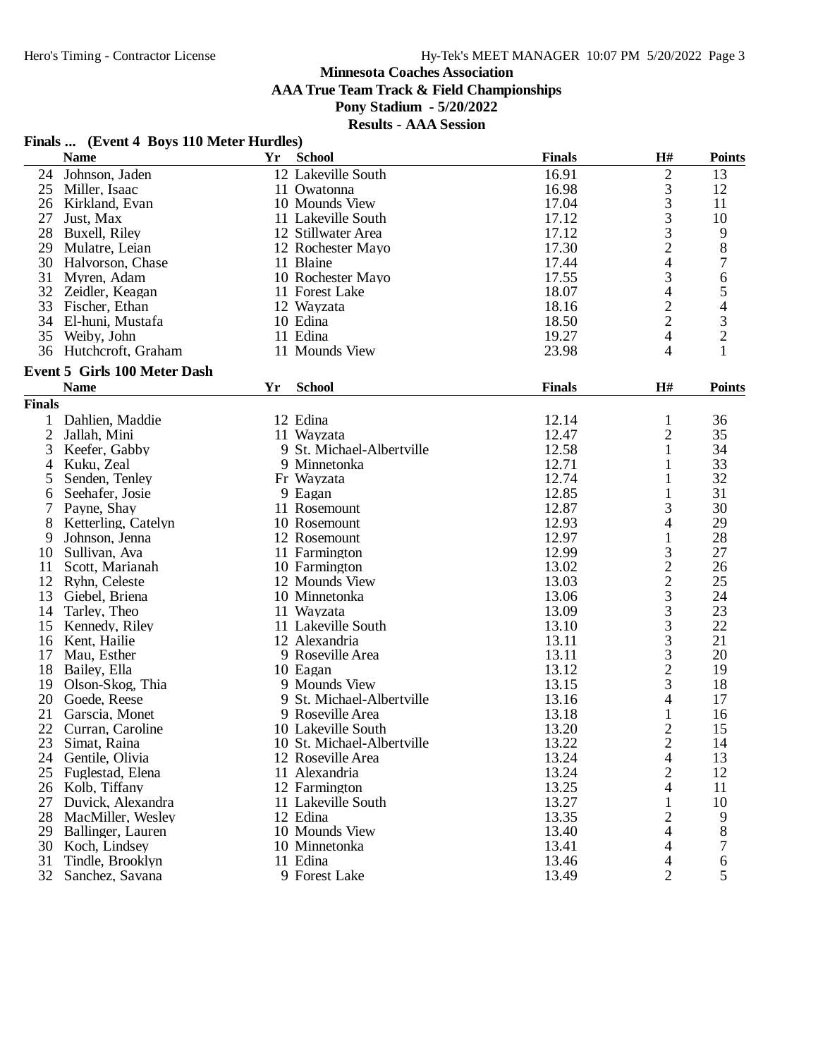**AAA True Team Track & Field Championships**

### **Pony Stadium - 5/20/2022**

|                | <b>Name</b>                      | Yr | <b>School</b>              | <b>Finals</b> | H#                       | <b>Points</b>  |
|----------------|----------------------------------|----|----------------------------|---------------|--------------------------|----------------|
| 24             | Johnson, Jaden                   |    | 12 Lakeville South         | 16.91         | $\overline{c}$           | 13             |
| 25             | Miller, Isaac                    |    | 11 Owatonna                | 16.98         | 3                        | 12             |
| 26             | Kirkland, Evan                   |    | 10 Mounds View             | 17.04         | 3                        | 11             |
| 27             | Just, Max                        |    | 11 Lakeville South         | 17.12         | 3                        | 10             |
| 28             | Buxell, Riley                    |    | 12 Stillwater Area         | 17.12         | 3                        | 9              |
| 29             | Mulatre, Leian                   |    | 12 Rochester Mayo          | 17.30         | $\overline{c}$           | 8              |
| 30             | Halvorson, Chase                 |    | 11 Blaine                  | 17.44         | 4                        | 7              |
| 31             | Myren, Adam                      |    | 10 Rochester Mayo          | 17.55         | 3                        | 6              |
| 32             | Zeidler, Keagan                  |    | 11 Forest Lake             | 18.07         | $\overline{\mathcal{L}}$ | 5              |
| 33             | Fischer, Ethan                   |    | 12 Wayzata                 | 18.16         |                          | 4              |
| 34             | El-huni, Mustafa                 |    | 10 Edina                   | 18.50         | $\frac{2}{2}$            | 3              |
| 35             | Weiby, John                      |    | 11 Edina                   | 19.27         | $\overline{4}$           | $\overline{c}$ |
|                | 36 Hutchcroft, Graham            |    | 11 Mounds View             | 23.98         | 4                        | $\mathbf{1}$   |
|                |                                  |    |                            |               |                          |                |
|                | Event 5 Girls 100 Meter Dash     |    |                            |               |                          |                |
|                | <b>Name</b>                      | Yr | <b>School</b>              | <b>Finals</b> | H#                       | <b>Points</b>  |
| <b>Finals</b>  |                                  |    |                            |               |                          |                |
| 1              | Dahlien, Maddie                  |    | 12 Edina                   | 12.14         | 1                        | 36             |
| $\overline{c}$ | Jallah, Mini                     |    | 11 Wayzata                 | 12.47         | $\overline{2}$           | 35             |
| 3              | Keefer, Gabby                    |    | 9 St. Michael-Albertville  | 12.58         | $\mathbf{1}$             | 34             |
| 4              | Kuku, Zeal                       |    | 9 Minnetonka               | 12.71         | 1                        | 33             |
| 5              | Senden, Tenley                   |    | Fr Wayzata                 | 12.74         | 1                        | 32             |
| 6              | Seehafer, Josie                  |    | 9 Eagan                    | 12.85         | 1                        | 31             |
| 7              | Payne, Shay                      |    | 11 Rosemount               | 12.87         | 3                        | 30             |
| 8              | Ketterling, Catelyn              |    | 10 Rosemount               | 12.93         | 4                        | 29             |
| 9              | Johnson, Jenna                   |    | 12 Rosemount               | 12.97         | $\mathbf{1}$             | 28             |
| 10             | Sullivan, Ava                    |    | 11 Farmington              | 12.99         | 3                        | 27             |
| 11             | Scott, Marianah                  |    | 10 Farmington              | 13.02         |                          | 26             |
| 12             | Ryhn, Celeste                    |    | 12 Mounds View             | 13.03         | $\frac{2}{3}$            | 25             |
| 13             | Giebel, Briena                   |    | 10 Minnetonka              | 13.06         |                          | 24             |
| 14             | Tarley, Theo                     |    | 11 Wayzata                 | 13.09         | 3                        | 23             |
| 15             | Kennedy, Riley                   |    | 11 Lakeville South         | 13.10         | 3                        | 22             |
| 16             | Kent, Hailie                     |    | 12 Alexandria              | 13.11         | 3                        | 21             |
| 17             | Mau, Esther                      |    | 9 Roseville Area           | 13.11         |                          | 20             |
| 18             |                                  |    | 10 Eagan                   | 13.12         | 3                        | 19             |
| 19             | Bailey, Ella                     |    | 9 Mounds View              | 13.15         | $\frac{2}{3}$            | 18             |
| 20             | Olson-Skog, Thia<br>Goede, Reese |    | 9 St. Michael-Albertville  | 13.16         | 4                        | 17             |
|                |                                  |    |                            |               |                          |                |
| 21             | Garscia, Monet                   |    | 9 Roseville Area           | 13.18         | $\mathbf{1}$             | 16             |
| 22             | Curran, Caroline                 |    | 10 Lakeville South         | 13.20         | $\overline{c}$           | 15             |
| 23             | Simat, Raina                     |    | 10 St. Michael-Albertville | 13.22         | $\overline{2}$           | 14             |
| 24             | Gentile, Olivia                  |    | 12 Roseville Area          | 13.24         | 4                        | 13             |
| 25             | Fuglestad, Elena                 |    | 11 Alexandria              | 13.24         | $\overline{c}$           | 12             |
| 26             | Kolb, Tiffany                    |    | 12 Farmington              | 13.25         | 4                        | 11             |
| 27             | Duvick, Alexandra                |    | 11 Lakeville South         | 13.27         | 1                        | 10             |
| 28             | MacMiller, Wesley                |    | 12 Edina                   | 13.35         | $\overline{c}$           | 9              |
| 29             | Ballinger, Lauren                |    | 10 Mounds View             | 13.40         | 4                        | 8              |
| 30             | Koch, Lindsey                    |    | 10 Minnetonka              | 13.41         | 4                        | 7              |
| 31             | Tindle, Brooklyn                 |    | 11 Edina                   | 13.46         | 4                        | 6              |
| 32             | Sanchez, Savana                  |    | 9 Forest Lake              | 13.49         | 2                        | 5              |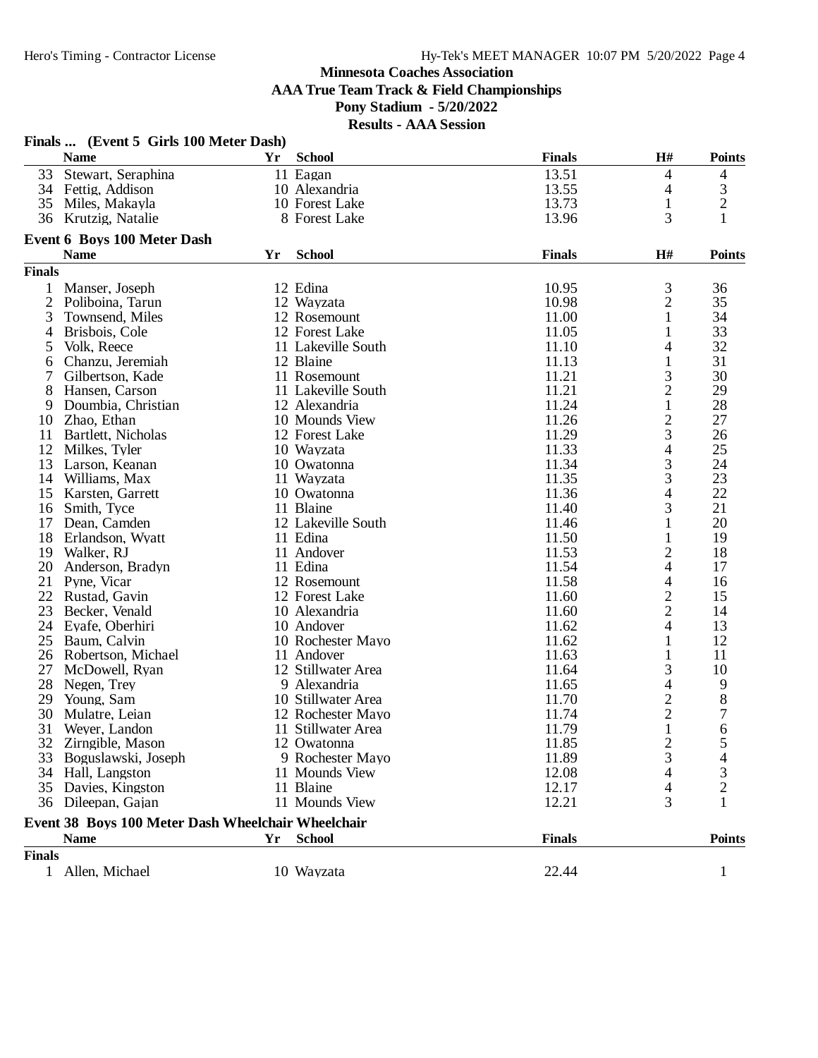#### **Minnesota Coaches Association AAA True Team Track & Field Championships**

**Pony Stadium - 5/20/2022**

| H#<br><b>Name</b><br><b>School</b><br><b>Finals</b><br>Yr<br>11 Eagan<br>13.51<br>33<br>Stewart, Seraphina<br>4<br>4<br>3<br>13.55<br>34 Fettig, Addison<br>10 Alexandria<br>4<br>$\overline{c}$<br>13.73<br>$\mathbf{1}$<br>35<br>Miles, Makayla<br>10 Forest Lake<br>3<br>1<br>13.96<br>36<br>Krutzig, Natalie<br>8 Forest Lake<br><b>Event 6 Boys 100 Meter Dash</b><br>H#<br><b>Name</b><br><b>School</b><br><b>Finals</b><br>${\bf Yr}$<br><b>Finals</b><br>3<br>Manser, Joseph<br>12 Edina<br>10.95<br>36<br>$\mathbf{1}$<br>$\overline{2}$<br>2<br>35<br>Poliboina, Tarun<br>12 Wavzata<br>10.98<br>1<br>34<br>3<br>Townsend, Miles<br>12 Rosemount<br>11.00<br>33<br>11.05<br>$\mathbf{1}$<br>Brisbois, Cole<br>12 Forest Lake<br>4<br>32<br>11.10<br>Volk, Reece<br>11 Lakeville South<br>4<br>5<br>12 Blaine<br>31<br>11.13<br>1<br>Chanzu, Jeremiah<br>6<br>3<br>30<br>11.21<br>7<br>Gilbertson, Kade<br>11 Rosemount<br>$\overline{2}$<br>29<br>8<br>11 Lakeville South<br>11.21<br>Hansen, Carson<br>28<br>11.24<br>1<br>9<br>Doumbia, Christian<br>12 Alexandria<br>$\overline{c}$<br>11.26<br>27<br>10 Mounds View<br>10<br>Zhao, Ethan<br>3<br>11.29<br>26<br>11<br>Bartlett, Nicholas<br>12 Forest Lake<br>11.33<br>25<br>12<br>4<br>Milkes, Tyler<br>10 Wayzata<br>3<br>24<br>11.34<br>13<br>Larson, Keanan<br>10 Owatonna<br>3<br>23<br>11.35<br>Williams, Max<br>11 Wayzata<br>14<br>22<br>4<br>11.36<br>15<br>Karsten, Garrett<br>10 Owatonna<br>3<br>21<br>11 Blaine<br>11.40<br>16<br>Smith, Tyce<br>20<br>11.46<br>17<br>Dean, Camden<br>12 Lakeville South<br>1<br>11 Edina<br>19<br>18<br>11.50<br>1<br>Erlandson, Wyatt<br>$\overline{c}$<br>11.53<br>18<br>19<br>Walker, RJ<br>11 Andover<br>20<br>11 Edina<br>11.54<br>4<br>Anderson, Bradyn<br>17<br>4<br>16<br>21<br>Pyne, Vicar<br>12 Rosemount<br>11.58<br>$\overline{c}$<br>22<br>11.60<br>15<br>Rustad, Gavin<br>12 Forest Lake<br>$\overline{c}$<br>23<br>Becker, Venald<br>10 Alexandria<br>11.60<br>14<br>4<br>13<br>24<br>Eyafe, Oberhiri<br>10 Andover<br>11.62<br>11.62<br>12<br>25 Baum, Calvin<br>1<br>10 Rochester Mayo<br>26 Robertson, Michael<br>11 Andover<br>11.63<br>1<br>11<br>3<br>10<br>27<br>McDowell, Ryan<br>12 Stillwater Area<br>11.64<br>4<br>28<br>11.65<br>9<br>Negen, Trey<br>9 Alexandria<br>$\,$ $\,$<br>$\overline{c}$<br>11.70<br>29<br>Young, Sam<br>10 Stillwater Area<br>$\overline{c}$<br>7<br>30<br>11.74<br>Mulatre, Leian<br>12 Rochester Mayo<br>$\mathbf{1}$<br>31<br>11.79<br>6<br>Weyer, Landon<br>11 Stillwater Area<br>$\overline{c}$<br>32 Zirngible, Mason<br>5<br>11.85<br>12 Owatonna<br>3<br>Boguslawski, Joseph<br>9 Rochester Mayo<br>11.89<br>33<br>12.08<br>11 Mounds View<br>4<br>34 Hall, Langston<br>3<br>$\overline{c}$<br>12.17<br>35 Davies, Kingston<br>11 Blaine<br>4<br>12.21<br>3<br>11 Mounds View<br>36 Dileepan, Gajan<br>1<br>Event 38 Boys 100 Meter Dash Wheelchair Wheelchair<br><b>Name</b><br>Yr<br><b>School</b><br><b>Finals</b><br><b>Points</b><br><b>Finals</b><br>10 Wayzata |              | Finals  (Event 5 Girls 100 Meter Dash) |  |       |               |
|-----------------------------------------------------------------------------------------------------------------------------------------------------------------------------------------------------------------------------------------------------------------------------------------------------------------------------------------------------------------------------------------------------------------------------------------------------------------------------------------------------------------------------------------------------------------------------------------------------------------------------------------------------------------------------------------------------------------------------------------------------------------------------------------------------------------------------------------------------------------------------------------------------------------------------------------------------------------------------------------------------------------------------------------------------------------------------------------------------------------------------------------------------------------------------------------------------------------------------------------------------------------------------------------------------------------------------------------------------------------------------------------------------------------------------------------------------------------------------------------------------------------------------------------------------------------------------------------------------------------------------------------------------------------------------------------------------------------------------------------------------------------------------------------------------------------------------------------------------------------------------------------------------------------------------------------------------------------------------------------------------------------------------------------------------------------------------------------------------------------------------------------------------------------------------------------------------------------------------------------------------------------------------------------------------------------------------------------------------------------------------------------------------------------------------------------------------------------------------------------------------------------------------------------------------------------------------------------------------------------------------------------------------------------------------------------------------------------------------------------------------------------------------------------------------------------------------------------------------------------------------------------------------------------------------------------------------------------------------------------------------------------------------------------------|--------------|----------------------------------------|--|-------|---------------|
|                                                                                                                                                                                                                                                                                                                                                                                                                                                                                                                                                                                                                                                                                                                                                                                                                                                                                                                                                                                                                                                                                                                                                                                                                                                                                                                                                                                                                                                                                                                                                                                                                                                                                                                                                                                                                                                                                                                                                                                                                                                                                                                                                                                                                                                                                                                                                                                                                                                                                                                                                                                                                                                                                                                                                                                                                                                                                                                                                                                                                                               |              |                                        |  |       | <b>Points</b> |
|                                                                                                                                                                                                                                                                                                                                                                                                                                                                                                                                                                                                                                                                                                                                                                                                                                                                                                                                                                                                                                                                                                                                                                                                                                                                                                                                                                                                                                                                                                                                                                                                                                                                                                                                                                                                                                                                                                                                                                                                                                                                                                                                                                                                                                                                                                                                                                                                                                                                                                                                                                                                                                                                                                                                                                                                                                                                                                                                                                                                                                               |              |                                        |  |       |               |
|                                                                                                                                                                                                                                                                                                                                                                                                                                                                                                                                                                                                                                                                                                                                                                                                                                                                                                                                                                                                                                                                                                                                                                                                                                                                                                                                                                                                                                                                                                                                                                                                                                                                                                                                                                                                                                                                                                                                                                                                                                                                                                                                                                                                                                                                                                                                                                                                                                                                                                                                                                                                                                                                                                                                                                                                                                                                                                                                                                                                                                               |              |                                        |  |       |               |
|                                                                                                                                                                                                                                                                                                                                                                                                                                                                                                                                                                                                                                                                                                                                                                                                                                                                                                                                                                                                                                                                                                                                                                                                                                                                                                                                                                                                                                                                                                                                                                                                                                                                                                                                                                                                                                                                                                                                                                                                                                                                                                                                                                                                                                                                                                                                                                                                                                                                                                                                                                                                                                                                                                                                                                                                                                                                                                                                                                                                                                               |              |                                        |  |       |               |
|                                                                                                                                                                                                                                                                                                                                                                                                                                                                                                                                                                                                                                                                                                                                                                                                                                                                                                                                                                                                                                                                                                                                                                                                                                                                                                                                                                                                                                                                                                                                                                                                                                                                                                                                                                                                                                                                                                                                                                                                                                                                                                                                                                                                                                                                                                                                                                                                                                                                                                                                                                                                                                                                                                                                                                                                                                                                                                                                                                                                                                               |              |                                        |  |       |               |
|                                                                                                                                                                                                                                                                                                                                                                                                                                                                                                                                                                                                                                                                                                                                                                                                                                                                                                                                                                                                                                                                                                                                                                                                                                                                                                                                                                                                                                                                                                                                                                                                                                                                                                                                                                                                                                                                                                                                                                                                                                                                                                                                                                                                                                                                                                                                                                                                                                                                                                                                                                                                                                                                                                                                                                                                                                                                                                                                                                                                                                               |              |                                        |  |       |               |
|                                                                                                                                                                                                                                                                                                                                                                                                                                                                                                                                                                                                                                                                                                                                                                                                                                                                                                                                                                                                                                                                                                                                                                                                                                                                                                                                                                                                                                                                                                                                                                                                                                                                                                                                                                                                                                                                                                                                                                                                                                                                                                                                                                                                                                                                                                                                                                                                                                                                                                                                                                                                                                                                                                                                                                                                                                                                                                                                                                                                                                               |              |                                        |  |       | <b>Points</b> |
|                                                                                                                                                                                                                                                                                                                                                                                                                                                                                                                                                                                                                                                                                                                                                                                                                                                                                                                                                                                                                                                                                                                                                                                                                                                                                                                                                                                                                                                                                                                                                                                                                                                                                                                                                                                                                                                                                                                                                                                                                                                                                                                                                                                                                                                                                                                                                                                                                                                                                                                                                                                                                                                                                                                                                                                                                                                                                                                                                                                                                                               |              |                                        |  |       |               |
|                                                                                                                                                                                                                                                                                                                                                                                                                                                                                                                                                                                                                                                                                                                                                                                                                                                                                                                                                                                                                                                                                                                                                                                                                                                                                                                                                                                                                                                                                                                                                                                                                                                                                                                                                                                                                                                                                                                                                                                                                                                                                                                                                                                                                                                                                                                                                                                                                                                                                                                                                                                                                                                                                                                                                                                                                                                                                                                                                                                                                                               |              |                                        |  |       |               |
|                                                                                                                                                                                                                                                                                                                                                                                                                                                                                                                                                                                                                                                                                                                                                                                                                                                                                                                                                                                                                                                                                                                                                                                                                                                                                                                                                                                                                                                                                                                                                                                                                                                                                                                                                                                                                                                                                                                                                                                                                                                                                                                                                                                                                                                                                                                                                                                                                                                                                                                                                                                                                                                                                                                                                                                                                                                                                                                                                                                                                                               |              |                                        |  |       |               |
|                                                                                                                                                                                                                                                                                                                                                                                                                                                                                                                                                                                                                                                                                                                                                                                                                                                                                                                                                                                                                                                                                                                                                                                                                                                                                                                                                                                                                                                                                                                                                                                                                                                                                                                                                                                                                                                                                                                                                                                                                                                                                                                                                                                                                                                                                                                                                                                                                                                                                                                                                                                                                                                                                                                                                                                                                                                                                                                                                                                                                                               |              |                                        |  |       |               |
|                                                                                                                                                                                                                                                                                                                                                                                                                                                                                                                                                                                                                                                                                                                                                                                                                                                                                                                                                                                                                                                                                                                                                                                                                                                                                                                                                                                                                                                                                                                                                                                                                                                                                                                                                                                                                                                                                                                                                                                                                                                                                                                                                                                                                                                                                                                                                                                                                                                                                                                                                                                                                                                                                                                                                                                                                                                                                                                                                                                                                                               |              |                                        |  |       |               |
|                                                                                                                                                                                                                                                                                                                                                                                                                                                                                                                                                                                                                                                                                                                                                                                                                                                                                                                                                                                                                                                                                                                                                                                                                                                                                                                                                                                                                                                                                                                                                                                                                                                                                                                                                                                                                                                                                                                                                                                                                                                                                                                                                                                                                                                                                                                                                                                                                                                                                                                                                                                                                                                                                                                                                                                                                                                                                                                                                                                                                                               |              |                                        |  |       |               |
|                                                                                                                                                                                                                                                                                                                                                                                                                                                                                                                                                                                                                                                                                                                                                                                                                                                                                                                                                                                                                                                                                                                                                                                                                                                                                                                                                                                                                                                                                                                                                                                                                                                                                                                                                                                                                                                                                                                                                                                                                                                                                                                                                                                                                                                                                                                                                                                                                                                                                                                                                                                                                                                                                                                                                                                                                                                                                                                                                                                                                                               |              |                                        |  |       |               |
|                                                                                                                                                                                                                                                                                                                                                                                                                                                                                                                                                                                                                                                                                                                                                                                                                                                                                                                                                                                                                                                                                                                                                                                                                                                                                                                                                                                                                                                                                                                                                                                                                                                                                                                                                                                                                                                                                                                                                                                                                                                                                                                                                                                                                                                                                                                                                                                                                                                                                                                                                                                                                                                                                                                                                                                                                                                                                                                                                                                                                                               |              |                                        |  |       |               |
|                                                                                                                                                                                                                                                                                                                                                                                                                                                                                                                                                                                                                                                                                                                                                                                                                                                                                                                                                                                                                                                                                                                                                                                                                                                                                                                                                                                                                                                                                                                                                                                                                                                                                                                                                                                                                                                                                                                                                                                                                                                                                                                                                                                                                                                                                                                                                                                                                                                                                                                                                                                                                                                                                                                                                                                                                                                                                                                                                                                                                                               |              |                                        |  |       |               |
|                                                                                                                                                                                                                                                                                                                                                                                                                                                                                                                                                                                                                                                                                                                                                                                                                                                                                                                                                                                                                                                                                                                                                                                                                                                                                                                                                                                                                                                                                                                                                                                                                                                                                                                                                                                                                                                                                                                                                                                                                                                                                                                                                                                                                                                                                                                                                                                                                                                                                                                                                                                                                                                                                                                                                                                                                                                                                                                                                                                                                                               |              |                                        |  |       |               |
|                                                                                                                                                                                                                                                                                                                                                                                                                                                                                                                                                                                                                                                                                                                                                                                                                                                                                                                                                                                                                                                                                                                                                                                                                                                                                                                                                                                                                                                                                                                                                                                                                                                                                                                                                                                                                                                                                                                                                                                                                                                                                                                                                                                                                                                                                                                                                                                                                                                                                                                                                                                                                                                                                                                                                                                                                                                                                                                                                                                                                                               |              |                                        |  |       |               |
|                                                                                                                                                                                                                                                                                                                                                                                                                                                                                                                                                                                                                                                                                                                                                                                                                                                                                                                                                                                                                                                                                                                                                                                                                                                                                                                                                                                                                                                                                                                                                                                                                                                                                                                                                                                                                                                                                                                                                                                                                                                                                                                                                                                                                                                                                                                                                                                                                                                                                                                                                                                                                                                                                                                                                                                                                                                                                                                                                                                                                                               |              |                                        |  |       |               |
|                                                                                                                                                                                                                                                                                                                                                                                                                                                                                                                                                                                                                                                                                                                                                                                                                                                                                                                                                                                                                                                                                                                                                                                                                                                                                                                                                                                                                                                                                                                                                                                                                                                                                                                                                                                                                                                                                                                                                                                                                                                                                                                                                                                                                                                                                                                                                                                                                                                                                                                                                                                                                                                                                                                                                                                                                                                                                                                                                                                                                                               |              |                                        |  |       |               |
|                                                                                                                                                                                                                                                                                                                                                                                                                                                                                                                                                                                                                                                                                                                                                                                                                                                                                                                                                                                                                                                                                                                                                                                                                                                                                                                                                                                                                                                                                                                                                                                                                                                                                                                                                                                                                                                                                                                                                                                                                                                                                                                                                                                                                                                                                                                                                                                                                                                                                                                                                                                                                                                                                                                                                                                                                                                                                                                                                                                                                                               |              |                                        |  |       |               |
|                                                                                                                                                                                                                                                                                                                                                                                                                                                                                                                                                                                                                                                                                                                                                                                                                                                                                                                                                                                                                                                                                                                                                                                                                                                                                                                                                                                                                                                                                                                                                                                                                                                                                                                                                                                                                                                                                                                                                                                                                                                                                                                                                                                                                                                                                                                                                                                                                                                                                                                                                                                                                                                                                                                                                                                                                                                                                                                                                                                                                                               |              |                                        |  |       |               |
|                                                                                                                                                                                                                                                                                                                                                                                                                                                                                                                                                                                                                                                                                                                                                                                                                                                                                                                                                                                                                                                                                                                                                                                                                                                                                                                                                                                                                                                                                                                                                                                                                                                                                                                                                                                                                                                                                                                                                                                                                                                                                                                                                                                                                                                                                                                                                                                                                                                                                                                                                                                                                                                                                                                                                                                                                                                                                                                                                                                                                                               |              |                                        |  |       |               |
|                                                                                                                                                                                                                                                                                                                                                                                                                                                                                                                                                                                                                                                                                                                                                                                                                                                                                                                                                                                                                                                                                                                                                                                                                                                                                                                                                                                                                                                                                                                                                                                                                                                                                                                                                                                                                                                                                                                                                                                                                                                                                                                                                                                                                                                                                                                                                                                                                                                                                                                                                                                                                                                                                                                                                                                                                                                                                                                                                                                                                                               |              |                                        |  |       |               |
|                                                                                                                                                                                                                                                                                                                                                                                                                                                                                                                                                                                                                                                                                                                                                                                                                                                                                                                                                                                                                                                                                                                                                                                                                                                                                                                                                                                                                                                                                                                                                                                                                                                                                                                                                                                                                                                                                                                                                                                                                                                                                                                                                                                                                                                                                                                                                                                                                                                                                                                                                                                                                                                                                                                                                                                                                                                                                                                                                                                                                                               |              |                                        |  |       |               |
|                                                                                                                                                                                                                                                                                                                                                                                                                                                                                                                                                                                                                                                                                                                                                                                                                                                                                                                                                                                                                                                                                                                                                                                                                                                                                                                                                                                                                                                                                                                                                                                                                                                                                                                                                                                                                                                                                                                                                                                                                                                                                                                                                                                                                                                                                                                                                                                                                                                                                                                                                                                                                                                                                                                                                                                                                                                                                                                                                                                                                                               |              |                                        |  |       |               |
|                                                                                                                                                                                                                                                                                                                                                                                                                                                                                                                                                                                                                                                                                                                                                                                                                                                                                                                                                                                                                                                                                                                                                                                                                                                                                                                                                                                                                                                                                                                                                                                                                                                                                                                                                                                                                                                                                                                                                                                                                                                                                                                                                                                                                                                                                                                                                                                                                                                                                                                                                                                                                                                                                                                                                                                                                                                                                                                                                                                                                                               |              |                                        |  |       |               |
|                                                                                                                                                                                                                                                                                                                                                                                                                                                                                                                                                                                                                                                                                                                                                                                                                                                                                                                                                                                                                                                                                                                                                                                                                                                                                                                                                                                                                                                                                                                                                                                                                                                                                                                                                                                                                                                                                                                                                                                                                                                                                                                                                                                                                                                                                                                                                                                                                                                                                                                                                                                                                                                                                                                                                                                                                                                                                                                                                                                                                                               |              |                                        |  |       |               |
|                                                                                                                                                                                                                                                                                                                                                                                                                                                                                                                                                                                                                                                                                                                                                                                                                                                                                                                                                                                                                                                                                                                                                                                                                                                                                                                                                                                                                                                                                                                                                                                                                                                                                                                                                                                                                                                                                                                                                                                                                                                                                                                                                                                                                                                                                                                                                                                                                                                                                                                                                                                                                                                                                                                                                                                                                                                                                                                                                                                                                                               |              |                                        |  |       |               |
|                                                                                                                                                                                                                                                                                                                                                                                                                                                                                                                                                                                                                                                                                                                                                                                                                                                                                                                                                                                                                                                                                                                                                                                                                                                                                                                                                                                                                                                                                                                                                                                                                                                                                                                                                                                                                                                                                                                                                                                                                                                                                                                                                                                                                                                                                                                                                                                                                                                                                                                                                                                                                                                                                                                                                                                                                                                                                                                                                                                                                                               |              |                                        |  |       |               |
|                                                                                                                                                                                                                                                                                                                                                                                                                                                                                                                                                                                                                                                                                                                                                                                                                                                                                                                                                                                                                                                                                                                                                                                                                                                                                                                                                                                                                                                                                                                                                                                                                                                                                                                                                                                                                                                                                                                                                                                                                                                                                                                                                                                                                                                                                                                                                                                                                                                                                                                                                                                                                                                                                                                                                                                                                                                                                                                                                                                                                                               |              |                                        |  |       |               |
|                                                                                                                                                                                                                                                                                                                                                                                                                                                                                                                                                                                                                                                                                                                                                                                                                                                                                                                                                                                                                                                                                                                                                                                                                                                                                                                                                                                                                                                                                                                                                                                                                                                                                                                                                                                                                                                                                                                                                                                                                                                                                                                                                                                                                                                                                                                                                                                                                                                                                                                                                                                                                                                                                                                                                                                                                                                                                                                                                                                                                                               |              |                                        |  |       |               |
|                                                                                                                                                                                                                                                                                                                                                                                                                                                                                                                                                                                                                                                                                                                                                                                                                                                                                                                                                                                                                                                                                                                                                                                                                                                                                                                                                                                                                                                                                                                                                                                                                                                                                                                                                                                                                                                                                                                                                                                                                                                                                                                                                                                                                                                                                                                                                                                                                                                                                                                                                                                                                                                                                                                                                                                                                                                                                                                                                                                                                                               |              |                                        |  |       |               |
|                                                                                                                                                                                                                                                                                                                                                                                                                                                                                                                                                                                                                                                                                                                                                                                                                                                                                                                                                                                                                                                                                                                                                                                                                                                                                                                                                                                                                                                                                                                                                                                                                                                                                                                                                                                                                                                                                                                                                                                                                                                                                                                                                                                                                                                                                                                                                                                                                                                                                                                                                                                                                                                                                                                                                                                                                                                                                                                                                                                                                                               |              |                                        |  |       |               |
|                                                                                                                                                                                                                                                                                                                                                                                                                                                                                                                                                                                                                                                                                                                                                                                                                                                                                                                                                                                                                                                                                                                                                                                                                                                                                                                                                                                                                                                                                                                                                                                                                                                                                                                                                                                                                                                                                                                                                                                                                                                                                                                                                                                                                                                                                                                                                                                                                                                                                                                                                                                                                                                                                                                                                                                                                                                                                                                                                                                                                                               |              |                                        |  |       |               |
|                                                                                                                                                                                                                                                                                                                                                                                                                                                                                                                                                                                                                                                                                                                                                                                                                                                                                                                                                                                                                                                                                                                                                                                                                                                                                                                                                                                                                                                                                                                                                                                                                                                                                                                                                                                                                                                                                                                                                                                                                                                                                                                                                                                                                                                                                                                                                                                                                                                                                                                                                                                                                                                                                                                                                                                                                                                                                                                                                                                                                                               |              |                                        |  |       |               |
|                                                                                                                                                                                                                                                                                                                                                                                                                                                                                                                                                                                                                                                                                                                                                                                                                                                                                                                                                                                                                                                                                                                                                                                                                                                                                                                                                                                                                                                                                                                                                                                                                                                                                                                                                                                                                                                                                                                                                                                                                                                                                                                                                                                                                                                                                                                                                                                                                                                                                                                                                                                                                                                                                                                                                                                                                                                                                                                                                                                                                                               |              |                                        |  |       |               |
|                                                                                                                                                                                                                                                                                                                                                                                                                                                                                                                                                                                                                                                                                                                                                                                                                                                                                                                                                                                                                                                                                                                                                                                                                                                                                                                                                                                                                                                                                                                                                                                                                                                                                                                                                                                                                                                                                                                                                                                                                                                                                                                                                                                                                                                                                                                                                                                                                                                                                                                                                                                                                                                                                                                                                                                                                                                                                                                                                                                                                                               |              |                                        |  |       |               |
|                                                                                                                                                                                                                                                                                                                                                                                                                                                                                                                                                                                                                                                                                                                                                                                                                                                                                                                                                                                                                                                                                                                                                                                                                                                                                                                                                                                                                                                                                                                                                                                                                                                                                                                                                                                                                                                                                                                                                                                                                                                                                                                                                                                                                                                                                                                                                                                                                                                                                                                                                                                                                                                                                                                                                                                                                                                                                                                                                                                                                                               |              |                                        |  |       |               |
|                                                                                                                                                                                                                                                                                                                                                                                                                                                                                                                                                                                                                                                                                                                                                                                                                                                                                                                                                                                                                                                                                                                                                                                                                                                                                                                                                                                                                                                                                                                                                                                                                                                                                                                                                                                                                                                                                                                                                                                                                                                                                                                                                                                                                                                                                                                                                                                                                                                                                                                                                                                                                                                                                                                                                                                                                                                                                                                                                                                                                                               |              |                                        |  |       |               |
|                                                                                                                                                                                                                                                                                                                                                                                                                                                                                                                                                                                                                                                                                                                                                                                                                                                                                                                                                                                                                                                                                                                                                                                                                                                                                                                                                                                                                                                                                                                                                                                                                                                                                                                                                                                                                                                                                                                                                                                                                                                                                                                                                                                                                                                                                                                                                                                                                                                                                                                                                                                                                                                                                                                                                                                                                                                                                                                                                                                                                                               |              |                                        |  |       |               |
|                                                                                                                                                                                                                                                                                                                                                                                                                                                                                                                                                                                                                                                                                                                                                                                                                                                                                                                                                                                                                                                                                                                                                                                                                                                                                                                                                                                                                                                                                                                                                                                                                                                                                                                                                                                                                                                                                                                                                                                                                                                                                                                                                                                                                                                                                                                                                                                                                                                                                                                                                                                                                                                                                                                                                                                                                                                                                                                                                                                                                                               |              |                                        |  |       |               |
|                                                                                                                                                                                                                                                                                                                                                                                                                                                                                                                                                                                                                                                                                                                                                                                                                                                                                                                                                                                                                                                                                                                                                                                                                                                                                                                                                                                                                                                                                                                                                                                                                                                                                                                                                                                                                                                                                                                                                                                                                                                                                                                                                                                                                                                                                                                                                                                                                                                                                                                                                                                                                                                                                                                                                                                                                                                                                                                                                                                                                                               |              |                                        |  |       |               |
|                                                                                                                                                                                                                                                                                                                                                                                                                                                                                                                                                                                                                                                                                                                                                                                                                                                                                                                                                                                                                                                                                                                                                                                                                                                                                                                                                                                                                                                                                                                                                                                                                                                                                                                                                                                                                                                                                                                                                                                                                                                                                                                                                                                                                                                                                                                                                                                                                                                                                                                                                                                                                                                                                                                                                                                                                                                                                                                                                                                                                                               |              |                                        |  |       |               |
|                                                                                                                                                                                                                                                                                                                                                                                                                                                                                                                                                                                                                                                                                                                                                                                                                                                                                                                                                                                                                                                                                                                                                                                                                                                                                                                                                                                                                                                                                                                                                                                                                                                                                                                                                                                                                                                                                                                                                                                                                                                                                                                                                                                                                                                                                                                                                                                                                                                                                                                                                                                                                                                                                                                                                                                                                                                                                                                                                                                                                                               |              |                                        |  |       |               |
|                                                                                                                                                                                                                                                                                                                                                                                                                                                                                                                                                                                                                                                                                                                                                                                                                                                                                                                                                                                                                                                                                                                                                                                                                                                                                                                                                                                                                                                                                                                                                                                                                                                                                                                                                                                                                                                                                                                                                                                                                                                                                                                                                                                                                                                                                                                                                                                                                                                                                                                                                                                                                                                                                                                                                                                                                                                                                                                                                                                                                                               |              |                                        |  |       |               |
|                                                                                                                                                                                                                                                                                                                                                                                                                                                                                                                                                                                                                                                                                                                                                                                                                                                                                                                                                                                                                                                                                                                                                                                                                                                                                                                                                                                                                                                                                                                                                                                                                                                                                                                                                                                                                                                                                                                                                                                                                                                                                                                                                                                                                                                                                                                                                                                                                                                                                                                                                                                                                                                                                                                                                                                                                                                                                                                                                                                                                                               |              |                                        |  |       |               |
|                                                                                                                                                                                                                                                                                                                                                                                                                                                                                                                                                                                                                                                                                                                                                                                                                                                                                                                                                                                                                                                                                                                                                                                                                                                                                                                                                                                                                                                                                                                                                                                                                                                                                                                                                                                                                                                                                                                                                                                                                                                                                                                                                                                                                                                                                                                                                                                                                                                                                                                                                                                                                                                                                                                                                                                                                                                                                                                                                                                                                                               | $\mathbf{1}$ | Allen, Michael                         |  | 22.44 | 1             |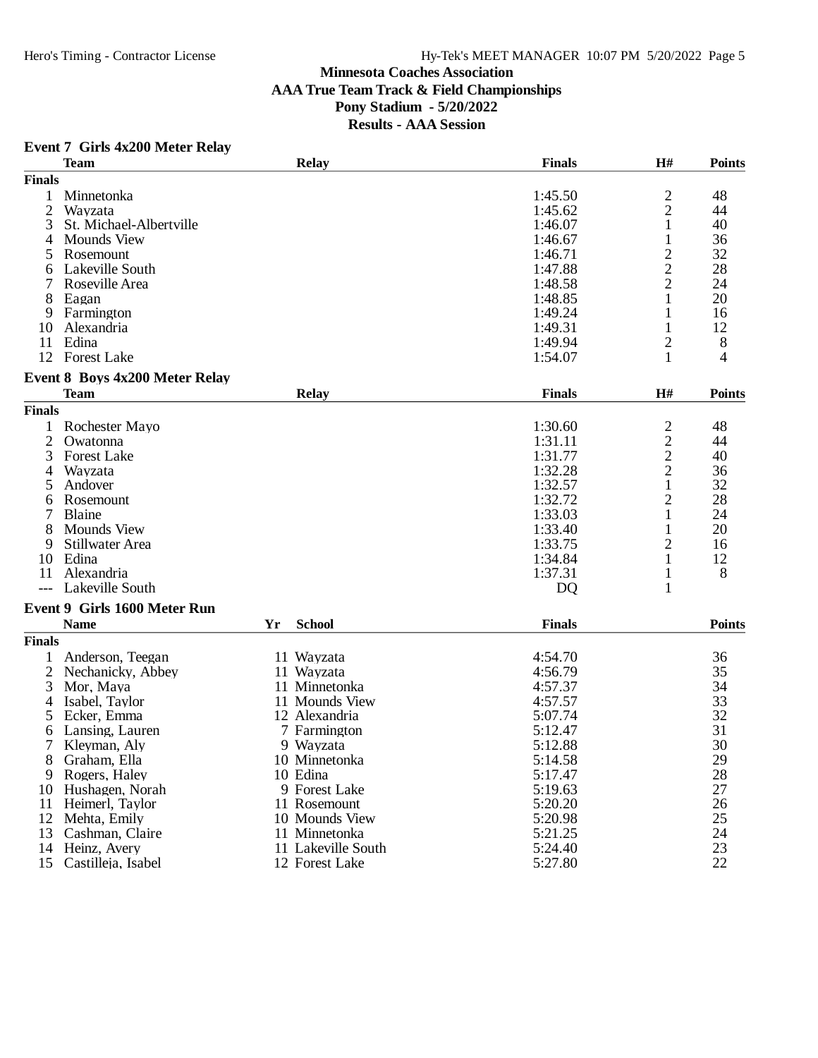### **Event 7 Girls 4x200 Meter Relay**

| <b>Finals</b><br>48<br>1:45.50<br>$\overline{\mathbf{c}}$<br>1<br>Minnetonka<br>$\overline{c}$<br>$\overline{2}$<br>1:45.62<br>Wayzata<br>44<br>3<br>St. Michael-Albertville<br>1:46.07<br>1<br>40<br><b>Mounds View</b><br>1:46.67<br>1<br>36<br>4<br>$\overline{c}$<br>32<br>Rosemount<br>1:46.71<br>5<br>$\overline{c}$<br>28<br>Lakeville South<br>1:47.88<br>6<br>$\overline{2}$<br>7<br>Roseville Area<br>1:48.58<br>24<br>1:48.85<br>8<br>Eagan<br>1<br>20<br>9<br>Farmington<br>1:49.24<br>1<br>16<br>1:49.31<br>12<br>10<br>Alexandria<br>1<br>$\overline{2}$<br>Edina<br>1:49.94<br>8<br>11<br>12<br><b>Forest Lake</b><br>1:54.07<br>1<br>4<br><b>Event 8 Boys 4x200 Meter Relay</b><br>H#<br><b>Team</b><br><b>Finals</b><br><b>Points</b><br><b>Relay</b><br><b>Finals</b><br>1:30.60<br>1<br>Rochester Mayo<br>$\overline{c}$<br>48<br>$\overline{\mathbf{c}}$<br>2<br>1:31.11<br>44<br>Owatonna<br>$\overline{c}$<br>3<br><b>Forest Lake</b><br>1:31.77<br>40<br>$\overline{c}$<br>1:32.28<br>36<br>Wayzata<br>4<br>$\mathbf{1}$<br>32<br>Andover<br>1:32.57<br>5<br>28<br>1:32.72<br>2<br>Rosemount<br>6<br>Blaine<br>1:33.03<br>24<br>7<br>1<br><b>Mounds View</b><br>8<br>1:33.40<br>1<br>20<br>Stillwater Area<br>1:33.75<br>2<br>9<br>16<br>1<br>12<br>10<br>Edina<br>1:34.84<br>Alexandria<br>1:37.31<br>8<br>11<br>$\mathbf{1}$<br>Lakeville South<br><b>DQ</b><br>$\mathbf{1}$<br>$---$<br><b>Event 9 Girls 1600 Meter Run</b><br><b>Name</b><br><b>School</b><br><b>Finals</b><br><b>Points</b><br>Yr<br><b>Finals</b><br>Anderson, Teegan<br>4:54.70<br>36<br>1<br>11 Wayzata<br>35<br>2<br>Nechanicky, Abbey<br>4:56.79<br>11 Wayzata<br>34<br>3<br>Mor, Maya<br>11 Minnetonka<br>4:57.37<br>33<br>Isabel, Taylor<br>11 Mounds View<br>4:57.57<br>4<br>32<br>Ecker, Emma<br>12 Alexandria<br>5:07.74<br>5<br>31<br>Lansing, Lauren<br>7 Farmington<br>5:12.47<br>6<br>7<br>30<br>Kleyman, Aly<br>9 Wayzata<br>5:12.88<br>10 Minnetonka<br>29<br>5:14.58<br>Graham, Ella<br>8<br>28<br>9<br>Rogers, Haley<br>10 Edina<br>5:17.47<br>27<br>5:19.63<br>10<br>Hushagen, Norah<br>9 Forest Lake<br>26<br>5:20.20<br>11<br>Heimerl, Taylor<br>11 Rosemount<br>25<br>5:20.98<br>12<br>Mehta, Emily<br>10 Mounds View<br>11 Minnetonka<br>24<br>13<br>Cashman, Claire<br>5:21.25<br>23<br>11 Lakeville South<br>5:24.40<br>14<br>Heinz, Avery<br>22<br>15<br>12 Forest Lake<br>5:27.80<br>Castilleja, Isabel | <b>Team</b> | <b>Relay</b> | <b>Finals</b> | H# | <b>Points</b> |
|--------------------------------------------------------------------------------------------------------------------------------------------------------------------------------------------------------------------------------------------------------------------------------------------------------------------------------------------------------------------------------------------------------------------------------------------------------------------------------------------------------------------------------------------------------------------------------------------------------------------------------------------------------------------------------------------------------------------------------------------------------------------------------------------------------------------------------------------------------------------------------------------------------------------------------------------------------------------------------------------------------------------------------------------------------------------------------------------------------------------------------------------------------------------------------------------------------------------------------------------------------------------------------------------------------------------------------------------------------------------------------------------------------------------------------------------------------------------------------------------------------------------------------------------------------------------------------------------------------------------------------------------------------------------------------------------------------------------------------------------------------------------------------------------------------------------------------------------------------------------------------------------------------------------------------------------------------------------------------------------------------------------------------------------------------------------------------------------------------------------------------------------------------------------------------------------------------------------------------------------------------------------------------------------------------------------------------------------------------------------------------------------------------------------------------|-------------|--------------|---------------|----|---------------|
|                                                                                                                                                                                                                                                                                                                                                                                                                                                                                                                                                                                                                                                                                                                                                                                                                                                                                                                                                                                                                                                                                                                                                                                                                                                                                                                                                                                                                                                                                                                                                                                                                                                                                                                                                                                                                                                                                                                                                                                                                                                                                                                                                                                                                                                                                                                                                                                                                                |             |              |               |    |               |
|                                                                                                                                                                                                                                                                                                                                                                                                                                                                                                                                                                                                                                                                                                                                                                                                                                                                                                                                                                                                                                                                                                                                                                                                                                                                                                                                                                                                                                                                                                                                                                                                                                                                                                                                                                                                                                                                                                                                                                                                                                                                                                                                                                                                                                                                                                                                                                                                                                |             |              |               |    |               |
|                                                                                                                                                                                                                                                                                                                                                                                                                                                                                                                                                                                                                                                                                                                                                                                                                                                                                                                                                                                                                                                                                                                                                                                                                                                                                                                                                                                                                                                                                                                                                                                                                                                                                                                                                                                                                                                                                                                                                                                                                                                                                                                                                                                                                                                                                                                                                                                                                                |             |              |               |    |               |
|                                                                                                                                                                                                                                                                                                                                                                                                                                                                                                                                                                                                                                                                                                                                                                                                                                                                                                                                                                                                                                                                                                                                                                                                                                                                                                                                                                                                                                                                                                                                                                                                                                                                                                                                                                                                                                                                                                                                                                                                                                                                                                                                                                                                                                                                                                                                                                                                                                |             |              |               |    |               |
|                                                                                                                                                                                                                                                                                                                                                                                                                                                                                                                                                                                                                                                                                                                                                                                                                                                                                                                                                                                                                                                                                                                                                                                                                                                                                                                                                                                                                                                                                                                                                                                                                                                                                                                                                                                                                                                                                                                                                                                                                                                                                                                                                                                                                                                                                                                                                                                                                                |             |              |               |    |               |
|                                                                                                                                                                                                                                                                                                                                                                                                                                                                                                                                                                                                                                                                                                                                                                                                                                                                                                                                                                                                                                                                                                                                                                                                                                                                                                                                                                                                                                                                                                                                                                                                                                                                                                                                                                                                                                                                                                                                                                                                                                                                                                                                                                                                                                                                                                                                                                                                                                |             |              |               |    |               |
|                                                                                                                                                                                                                                                                                                                                                                                                                                                                                                                                                                                                                                                                                                                                                                                                                                                                                                                                                                                                                                                                                                                                                                                                                                                                                                                                                                                                                                                                                                                                                                                                                                                                                                                                                                                                                                                                                                                                                                                                                                                                                                                                                                                                                                                                                                                                                                                                                                |             |              |               |    |               |
|                                                                                                                                                                                                                                                                                                                                                                                                                                                                                                                                                                                                                                                                                                                                                                                                                                                                                                                                                                                                                                                                                                                                                                                                                                                                                                                                                                                                                                                                                                                                                                                                                                                                                                                                                                                                                                                                                                                                                                                                                                                                                                                                                                                                                                                                                                                                                                                                                                |             |              |               |    |               |
|                                                                                                                                                                                                                                                                                                                                                                                                                                                                                                                                                                                                                                                                                                                                                                                                                                                                                                                                                                                                                                                                                                                                                                                                                                                                                                                                                                                                                                                                                                                                                                                                                                                                                                                                                                                                                                                                                                                                                                                                                                                                                                                                                                                                                                                                                                                                                                                                                                |             |              |               |    |               |
|                                                                                                                                                                                                                                                                                                                                                                                                                                                                                                                                                                                                                                                                                                                                                                                                                                                                                                                                                                                                                                                                                                                                                                                                                                                                                                                                                                                                                                                                                                                                                                                                                                                                                                                                                                                                                                                                                                                                                                                                                                                                                                                                                                                                                                                                                                                                                                                                                                |             |              |               |    |               |
|                                                                                                                                                                                                                                                                                                                                                                                                                                                                                                                                                                                                                                                                                                                                                                                                                                                                                                                                                                                                                                                                                                                                                                                                                                                                                                                                                                                                                                                                                                                                                                                                                                                                                                                                                                                                                                                                                                                                                                                                                                                                                                                                                                                                                                                                                                                                                                                                                                |             |              |               |    |               |
|                                                                                                                                                                                                                                                                                                                                                                                                                                                                                                                                                                                                                                                                                                                                                                                                                                                                                                                                                                                                                                                                                                                                                                                                                                                                                                                                                                                                                                                                                                                                                                                                                                                                                                                                                                                                                                                                                                                                                                                                                                                                                                                                                                                                                                                                                                                                                                                                                                |             |              |               |    |               |
|                                                                                                                                                                                                                                                                                                                                                                                                                                                                                                                                                                                                                                                                                                                                                                                                                                                                                                                                                                                                                                                                                                                                                                                                                                                                                                                                                                                                                                                                                                                                                                                                                                                                                                                                                                                                                                                                                                                                                                                                                                                                                                                                                                                                                                                                                                                                                                                                                                |             |              |               |    |               |
|                                                                                                                                                                                                                                                                                                                                                                                                                                                                                                                                                                                                                                                                                                                                                                                                                                                                                                                                                                                                                                                                                                                                                                                                                                                                                                                                                                                                                                                                                                                                                                                                                                                                                                                                                                                                                                                                                                                                                                                                                                                                                                                                                                                                                                                                                                                                                                                                                                |             |              |               |    |               |
|                                                                                                                                                                                                                                                                                                                                                                                                                                                                                                                                                                                                                                                                                                                                                                                                                                                                                                                                                                                                                                                                                                                                                                                                                                                                                                                                                                                                                                                                                                                                                                                                                                                                                                                                                                                                                                                                                                                                                                                                                                                                                                                                                                                                                                                                                                                                                                                                                                |             |              |               |    |               |
|                                                                                                                                                                                                                                                                                                                                                                                                                                                                                                                                                                                                                                                                                                                                                                                                                                                                                                                                                                                                                                                                                                                                                                                                                                                                                                                                                                                                                                                                                                                                                                                                                                                                                                                                                                                                                                                                                                                                                                                                                                                                                                                                                                                                                                                                                                                                                                                                                                |             |              |               |    |               |
|                                                                                                                                                                                                                                                                                                                                                                                                                                                                                                                                                                                                                                                                                                                                                                                                                                                                                                                                                                                                                                                                                                                                                                                                                                                                                                                                                                                                                                                                                                                                                                                                                                                                                                                                                                                                                                                                                                                                                                                                                                                                                                                                                                                                                                                                                                                                                                                                                                |             |              |               |    |               |
|                                                                                                                                                                                                                                                                                                                                                                                                                                                                                                                                                                                                                                                                                                                                                                                                                                                                                                                                                                                                                                                                                                                                                                                                                                                                                                                                                                                                                                                                                                                                                                                                                                                                                                                                                                                                                                                                                                                                                                                                                                                                                                                                                                                                                                                                                                                                                                                                                                |             |              |               |    |               |
|                                                                                                                                                                                                                                                                                                                                                                                                                                                                                                                                                                                                                                                                                                                                                                                                                                                                                                                                                                                                                                                                                                                                                                                                                                                                                                                                                                                                                                                                                                                                                                                                                                                                                                                                                                                                                                                                                                                                                                                                                                                                                                                                                                                                                                                                                                                                                                                                                                |             |              |               |    |               |
|                                                                                                                                                                                                                                                                                                                                                                                                                                                                                                                                                                                                                                                                                                                                                                                                                                                                                                                                                                                                                                                                                                                                                                                                                                                                                                                                                                                                                                                                                                                                                                                                                                                                                                                                                                                                                                                                                                                                                                                                                                                                                                                                                                                                                                                                                                                                                                                                                                |             |              |               |    |               |
|                                                                                                                                                                                                                                                                                                                                                                                                                                                                                                                                                                                                                                                                                                                                                                                                                                                                                                                                                                                                                                                                                                                                                                                                                                                                                                                                                                                                                                                                                                                                                                                                                                                                                                                                                                                                                                                                                                                                                                                                                                                                                                                                                                                                                                                                                                                                                                                                                                |             |              |               |    |               |
|                                                                                                                                                                                                                                                                                                                                                                                                                                                                                                                                                                                                                                                                                                                                                                                                                                                                                                                                                                                                                                                                                                                                                                                                                                                                                                                                                                                                                                                                                                                                                                                                                                                                                                                                                                                                                                                                                                                                                                                                                                                                                                                                                                                                                                                                                                                                                                                                                                |             |              |               |    |               |
|                                                                                                                                                                                                                                                                                                                                                                                                                                                                                                                                                                                                                                                                                                                                                                                                                                                                                                                                                                                                                                                                                                                                                                                                                                                                                                                                                                                                                                                                                                                                                                                                                                                                                                                                                                                                                                                                                                                                                                                                                                                                                                                                                                                                                                                                                                                                                                                                                                |             |              |               |    |               |
|                                                                                                                                                                                                                                                                                                                                                                                                                                                                                                                                                                                                                                                                                                                                                                                                                                                                                                                                                                                                                                                                                                                                                                                                                                                                                                                                                                                                                                                                                                                                                                                                                                                                                                                                                                                                                                                                                                                                                                                                                                                                                                                                                                                                                                                                                                                                                                                                                                |             |              |               |    |               |
|                                                                                                                                                                                                                                                                                                                                                                                                                                                                                                                                                                                                                                                                                                                                                                                                                                                                                                                                                                                                                                                                                                                                                                                                                                                                                                                                                                                                                                                                                                                                                                                                                                                                                                                                                                                                                                                                                                                                                                                                                                                                                                                                                                                                                                                                                                                                                                                                                                |             |              |               |    |               |
|                                                                                                                                                                                                                                                                                                                                                                                                                                                                                                                                                                                                                                                                                                                                                                                                                                                                                                                                                                                                                                                                                                                                                                                                                                                                                                                                                                                                                                                                                                                                                                                                                                                                                                                                                                                                                                                                                                                                                                                                                                                                                                                                                                                                                                                                                                                                                                                                                                |             |              |               |    |               |
|                                                                                                                                                                                                                                                                                                                                                                                                                                                                                                                                                                                                                                                                                                                                                                                                                                                                                                                                                                                                                                                                                                                                                                                                                                                                                                                                                                                                                                                                                                                                                                                                                                                                                                                                                                                                                                                                                                                                                                                                                                                                                                                                                                                                                                                                                                                                                                                                                                |             |              |               |    |               |
|                                                                                                                                                                                                                                                                                                                                                                                                                                                                                                                                                                                                                                                                                                                                                                                                                                                                                                                                                                                                                                                                                                                                                                                                                                                                                                                                                                                                                                                                                                                                                                                                                                                                                                                                                                                                                                                                                                                                                                                                                                                                                                                                                                                                                                                                                                                                                                                                                                |             |              |               |    |               |
|                                                                                                                                                                                                                                                                                                                                                                                                                                                                                                                                                                                                                                                                                                                                                                                                                                                                                                                                                                                                                                                                                                                                                                                                                                                                                                                                                                                                                                                                                                                                                                                                                                                                                                                                                                                                                                                                                                                                                                                                                                                                                                                                                                                                                                                                                                                                                                                                                                |             |              |               |    |               |
|                                                                                                                                                                                                                                                                                                                                                                                                                                                                                                                                                                                                                                                                                                                                                                                                                                                                                                                                                                                                                                                                                                                                                                                                                                                                                                                                                                                                                                                                                                                                                                                                                                                                                                                                                                                                                                                                                                                                                                                                                                                                                                                                                                                                                                                                                                                                                                                                                                |             |              |               |    |               |
|                                                                                                                                                                                                                                                                                                                                                                                                                                                                                                                                                                                                                                                                                                                                                                                                                                                                                                                                                                                                                                                                                                                                                                                                                                                                                                                                                                                                                                                                                                                                                                                                                                                                                                                                                                                                                                                                                                                                                                                                                                                                                                                                                                                                                                                                                                                                                                                                                                |             |              |               |    |               |
|                                                                                                                                                                                                                                                                                                                                                                                                                                                                                                                                                                                                                                                                                                                                                                                                                                                                                                                                                                                                                                                                                                                                                                                                                                                                                                                                                                                                                                                                                                                                                                                                                                                                                                                                                                                                                                                                                                                                                                                                                                                                                                                                                                                                                                                                                                                                                                                                                                |             |              |               |    |               |
|                                                                                                                                                                                                                                                                                                                                                                                                                                                                                                                                                                                                                                                                                                                                                                                                                                                                                                                                                                                                                                                                                                                                                                                                                                                                                                                                                                                                                                                                                                                                                                                                                                                                                                                                                                                                                                                                                                                                                                                                                                                                                                                                                                                                                                                                                                                                                                                                                                |             |              |               |    |               |
|                                                                                                                                                                                                                                                                                                                                                                                                                                                                                                                                                                                                                                                                                                                                                                                                                                                                                                                                                                                                                                                                                                                                                                                                                                                                                                                                                                                                                                                                                                                                                                                                                                                                                                                                                                                                                                                                                                                                                                                                                                                                                                                                                                                                                                                                                                                                                                                                                                |             |              |               |    |               |
|                                                                                                                                                                                                                                                                                                                                                                                                                                                                                                                                                                                                                                                                                                                                                                                                                                                                                                                                                                                                                                                                                                                                                                                                                                                                                                                                                                                                                                                                                                                                                                                                                                                                                                                                                                                                                                                                                                                                                                                                                                                                                                                                                                                                                                                                                                                                                                                                                                |             |              |               |    |               |
|                                                                                                                                                                                                                                                                                                                                                                                                                                                                                                                                                                                                                                                                                                                                                                                                                                                                                                                                                                                                                                                                                                                                                                                                                                                                                                                                                                                                                                                                                                                                                                                                                                                                                                                                                                                                                                                                                                                                                                                                                                                                                                                                                                                                                                                                                                                                                                                                                                |             |              |               |    |               |
|                                                                                                                                                                                                                                                                                                                                                                                                                                                                                                                                                                                                                                                                                                                                                                                                                                                                                                                                                                                                                                                                                                                                                                                                                                                                                                                                                                                                                                                                                                                                                                                                                                                                                                                                                                                                                                                                                                                                                                                                                                                                                                                                                                                                                                                                                                                                                                                                                                |             |              |               |    |               |
|                                                                                                                                                                                                                                                                                                                                                                                                                                                                                                                                                                                                                                                                                                                                                                                                                                                                                                                                                                                                                                                                                                                                                                                                                                                                                                                                                                                                                                                                                                                                                                                                                                                                                                                                                                                                                                                                                                                                                                                                                                                                                                                                                                                                                                                                                                                                                                                                                                |             |              |               |    |               |
|                                                                                                                                                                                                                                                                                                                                                                                                                                                                                                                                                                                                                                                                                                                                                                                                                                                                                                                                                                                                                                                                                                                                                                                                                                                                                                                                                                                                                                                                                                                                                                                                                                                                                                                                                                                                                                                                                                                                                                                                                                                                                                                                                                                                                                                                                                                                                                                                                                |             |              |               |    |               |
|                                                                                                                                                                                                                                                                                                                                                                                                                                                                                                                                                                                                                                                                                                                                                                                                                                                                                                                                                                                                                                                                                                                                                                                                                                                                                                                                                                                                                                                                                                                                                                                                                                                                                                                                                                                                                                                                                                                                                                                                                                                                                                                                                                                                                                                                                                                                                                                                                                |             |              |               |    |               |
|                                                                                                                                                                                                                                                                                                                                                                                                                                                                                                                                                                                                                                                                                                                                                                                                                                                                                                                                                                                                                                                                                                                                                                                                                                                                                                                                                                                                                                                                                                                                                                                                                                                                                                                                                                                                                                                                                                                                                                                                                                                                                                                                                                                                                                                                                                                                                                                                                                |             |              |               |    |               |
|                                                                                                                                                                                                                                                                                                                                                                                                                                                                                                                                                                                                                                                                                                                                                                                                                                                                                                                                                                                                                                                                                                                                                                                                                                                                                                                                                                                                                                                                                                                                                                                                                                                                                                                                                                                                                                                                                                                                                                                                                                                                                                                                                                                                                                                                                                                                                                                                                                |             |              |               |    |               |
|                                                                                                                                                                                                                                                                                                                                                                                                                                                                                                                                                                                                                                                                                                                                                                                                                                                                                                                                                                                                                                                                                                                                                                                                                                                                                                                                                                                                                                                                                                                                                                                                                                                                                                                                                                                                                                                                                                                                                                                                                                                                                                                                                                                                                                                                                                                                                                                                                                |             |              |               |    |               |
|                                                                                                                                                                                                                                                                                                                                                                                                                                                                                                                                                                                                                                                                                                                                                                                                                                                                                                                                                                                                                                                                                                                                                                                                                                                                                                                                                                                                                                                                                                                                                                                                                                                                                                                                                                                                                                                                                                                                                                                                                                                                                                                                                                                                                                                                                                                                                                                                                                |             |              |               |    |               |
|                                                                                                                                                                                                                                                                                                                                                                                                                                                                                                                                                                                                                                                                                                                                                                                                                                                                                                                                                                                                                                                                                                                                                                                                                                                                                                                                                                                                                                                                                                                                                                                                                                                                                                                                                                                                                                                                                                                                                                                                                                                                                                                                                                                                                                                                                                                                                                                                                                |             |              |               |    |               |
|                                                                                                                                                                                                                                                                                                                                                                                                                                                                                                                                                                                                                                                                                                                                                                                                                                                                                                                                                                                                                                                                                                                                                                                                                                                                                                                                                                                                                                                                                                                                                                                                                                                                                                                                                                                                                                                                                                                                                                                                                                                                                                                                                                                                                                                                                                                                                                                                                                |             |              |               |    |               |
|                                                                                                                                                                                                                                                                                                                                                                                                                                                                                                                                                                                                                                                                                                                                                                                                                                                                                                                                                                                                                                                                                                                                                                                                                                                                                                                                                                                                                                                                                                                                                                                                                                                                                                                                                                                                                                                                                                                                                                                                                                                                                                                                                                                                                                                                                                                                                                                                                                |             |              |               |    |               |
|                                                                                                                                                                                                                                                                                                                                                                                                                                                                                                                                                                                                                                                                                                                                                                                                                                                                                                                                                                                                                                                                                                                                                                                                                                                                                                                                                                                                                                                                                                                                                                                                                                                                                                                                                                                                                                                                                                                                                                                                                                                                                                                                                                                                                                                                                                                                                                                                                                |             |              |               |    |               |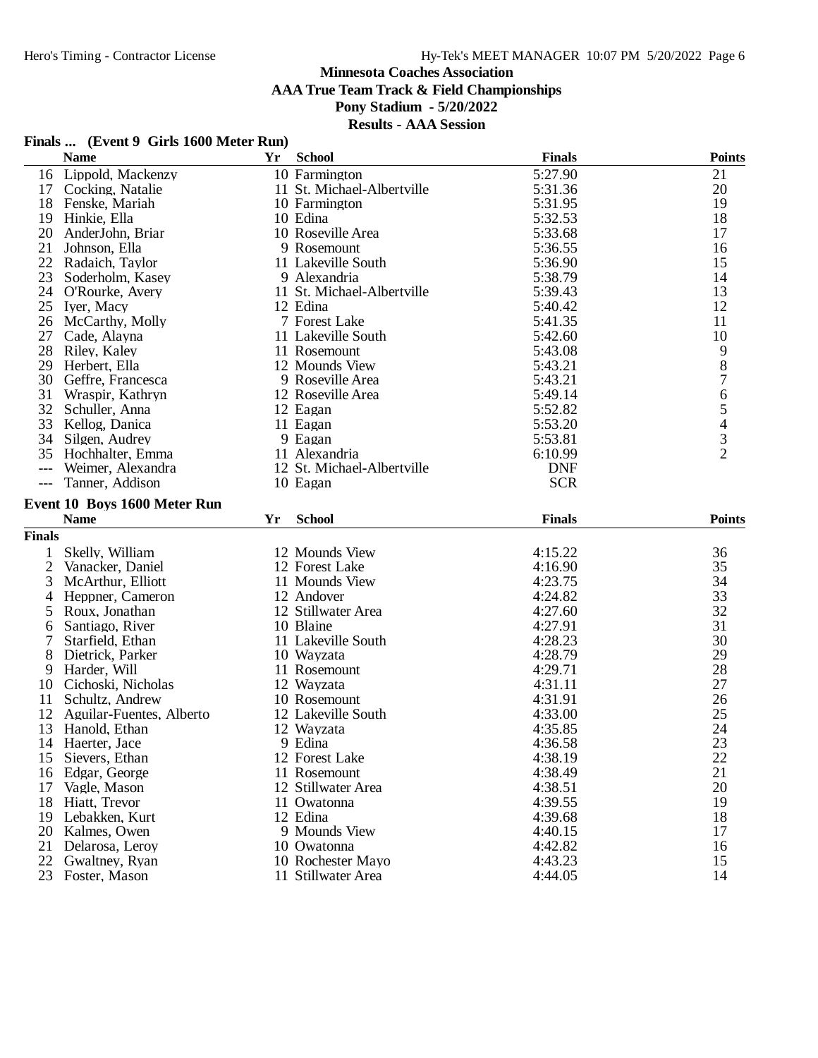**AAA True Team Track & Field Championships**

**Pony Stadium - 5/20/2022**

#### **Results - AAA Session**

### **Finals ... (Event 9 Girls 1600 Meter Run)**

|                | <b>Name</b>                  | Yr | <b>School</b>              | <b>Finals</b> | <b>Points</b>                              |
|----------------|------------------------------|----|----------------------------|---------------|--------------------------------------------|
|                | 16 Lippold, Mackenzy         |    | 10 Farmington              | 5:27.90       | 21                                         |
| 17             | Cocking, Natalie             |    | 11 St. Michael-Albertville | 5:31.36       | 20                                         |
|                | 18 Fenske, Mariah            |    | 10 Farmington              | 5:31.95       | 19                                         |
| 19             | Hinkie, Ella                 |    | 10 Edina                   | 5:32.53       | 18                                         |
| 20             | AnderJohn, Briar             |    | 10 Roseville Area          | 5:33.68       | 17                                         |
| 21             | Johnson, Ella                |    | 9 Rosemount                | 5:36.55       | 16                                         |
| 22             | Radaich, Taylor              |    | 11 Lakeville South         | 5:36.90       | 15                                         |
| 23             | Soderholm, Kasey             |    | 9 Alexandria               | 5:38.79       | 14                                         |
| 24             | O'Rourke, Avery              |    | 11 St. Michael-Albertville | 5:39.43       | 13                                         |
| 25             | Iyer, Macy                   |    | 12 Edina                   | 5:40.42       | 12                                         |
| 26             | McCarthy, Molly              |    | 7 Forest Lake              | 5:41.35       | 11                                         |
| 27             | Cade, Alayna                 |    | 11 Lakeville South         | 5:42.60       | 10                                         |
| 28             | Riley, Kaley                 |    | 11 Rosemount               | 5:43.08       | 9                                          |
| 29             | Herbert, Ella                |    | 12 Mounds View             | 5:43.21       | 8                                          |
| 30             | Geffre, Francesca            |    | 9 Roseville Area           | 5:43.21       | $\overline{7}$                             |
| 31             | Wraspir, Kathryn             |    | 12 Roseville Area          | 5:49.14       | 6                                          |
| 32             | Schuller, Anna               |    | 12 Eagan                   | 5:52.82       | 5                                          |
| 33             | Kellog, Danica               |    | 11 Eagan                   | 5:53.20       |                                            |
| 34             | Silgen, Audrey               |    | 9 Eagan                    | 5:53.81       | $\begin{array}{c} 4 \\ 3 \\ 2 \end{array}$ |
| 35             | Hochhalter, Emma             |    | 11 Alexandria              | 6:10.99       |                                            |
| $---$          | Weimer, Alexandra            |    | 12 St. Michael-Albertville | <b>DNF</b>    |                                            |
| $---$          | Tanner, Addison              |    | 10 Eagan                   | <b>SCR</b>    |                                            |
|                |                              |    |                            |               |                                            |
|                | Event 10 Boys 1600 Meter Run |    |                            |               |                                            |
|                | <b>Name</b>                  | Yr | <b>School</b>              | <b>Finals</b> | <b>Points</b>                              |
| <b>Finals</b>  |                              |    |                            |               |                                            |
| 1              | Skelly, William              |    | 12 Mounds View             | 4:15.22       | 36                                         |
| $\overline{2}$ | Vanacker, Daniel             |    | 12 Forest Lake             | 4:16.90       | 35                                         |
| 3              | McArthur, Elliott            |    | 11 Mounds View             | 4:23.75       | 34                                         |
| 4              | Heppner, Cameron             |    | 12 Andover                 | 4:24.82       | 33                                         |
| 5              | Roux, Jonathan               |    | 12 Stillwater Area         | 4:27.60       | 32                                         |
| 6              | Santiago, River              |    | 10 Blaine                  | 4:27.91       | 31                                         |
| 7              | Starfield, Ethan             |    | 11 Lakeville South         | 4:28.23       | 30                                         |
| 8              | Dietrick, Parker             |    | 10 Wayzata                 | 4:28.79       | 29                                         |
| 9              | Harder, Will                 |    | 11 Rosemount               | 4:29.71       | 28                                         |
| 10             | Cichoski, Nicholas           |    | 12 Wayzata                 | 4:31.11       | 27                                         |
| 11             | Schultz, Andrew              |    | 10 Rosemount               | 4:31.91       | 26                                         |
| 12             | Aguilar-Fuentes, Alberto     |    | 12 Lakeville South         | 4:33.00       | 25                                         |
| 13             | Hanold, Ethan                |    | 12 Wayzata                 | 4:35.85       | 24                                         |
| 14             | Haerter, Jace                |    | 9 Edina                    | 4:36.58       | 23                                         |
| 15             | Sievers, Ethan               |    | 12 Forest Lake             | 4:38.19       | 22                                         |
| 16             | Edgar, George                |    | 11 Rosemount               | 4:38.49       | 21                                         |
| 17             | Vagle, Mason                 |    | 12 Stillwater Area         | 4:38.51       | 20                                         |
| 18             | Hiatt, Trevor                |    | 11 Owatonna                | 4:39.55       | 19                                         |
| 19             | Lebakken, Kurt               |    | 12 Edina                   | 4:39.68       | 18                                         |
| 20             | Kalmes, Owen                 |    | 9 Mounds View              | 4:40.15       | 17                                         |
| 21             | Delarosa, Leroy              |    | 10 Owatonna                | 4:42.82       | 16                                         |
| 22             | Gwaltney, Ryan               |    | 10 Rochester Mayo          | 4:43.23       | 15                                         |
| 23             | Foster, Mason                |    | 11 Stillwater Area         | 4:44.05       | 14                                         |
|                |                              |    |                            |               |                                            |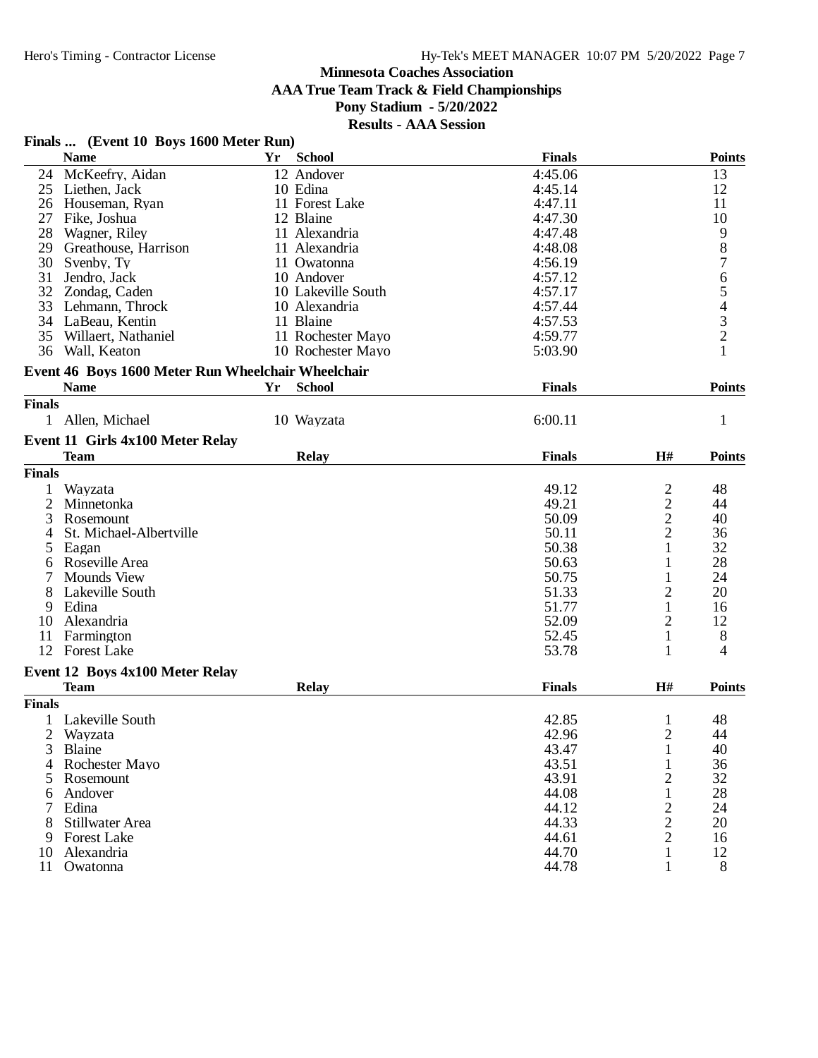**AAA True Team Track & Field Championships**

# **Pony Stadium - 5/20/2022**

| Finals  (Event 10 Boys 1600 Meter Run) |  |  |
|----------------------------------------|--|--|
|                                        |  |  |

|                | <b>Name</b>                                        | Yr | <b>School</b>      | <b>Finals</b> |                         | <b>Points</b>  |
|----------------|----------------------------------------------------|----|--------------------|---------------|-------------------------|----------------|
| 24             | McKeefry, Aidan                                    |    | 12 Andover         | 4:45.06       |                         | 13             |
| 25             | Liethen, Jack                                      |    | 10 Edina           | 4:45.14       |                         | 12             |
| 26             | Houseman, Ryan                                     |    | 11 Forest Lake     | 4:47.11       |                         | 11             |
| 27             | Fike, Joshua                                       |    | 12 Blaine          | 4:47.30       |                         | 10             |
| 28             | Wagner, Riley                                      |    | 11 Alexandria      | 4:47.48       |                         |                |
| 29             | Greathouse, Harrison                               |    | 11 Alexandria      | 4:48.08       |                         | 9<br>8<br>7    |
| 30             | Svenby, Ty                                         |    | 11 Owatonna        | 4:56.19       |                         |                |
| 31             | Jendro, Jack                                       |    | 10 Andover         | 4:57.12       |                         |                |
| 32             | Zondag, Caden                                      |    | 10 Lakeville South | 4:57.17       |                         | $\frac{6}{5}$  |
| 33             | Lehmann, Throck                                    |    | 10 Alexandria      | 4:57.44       |                         |                |
| 34             | LaBeau, Kentin                                     |    | 11 Blaine          | 4:57.53       |                         | $\frac{3}{2}$  |
| 35             | Willaert, Nathaniel                                |    | 11 Rochester Mayo  | 4:59.77       |                         |                |
|                | 36 Wall, Keaton                                    |    | 10 Rochester Mayo  | 5:03.90       |                         | 1              |
|                | Event 46 Boys 1600 Meter Run Wheelchair Wheelchair |    |                    |               |                         |                |
|                | <b>Name</b>                                        | Yr | <b>School</b>      | <b>Finals</b> |                         | <b>Points</b>  |
| <b>Finals</b>  |                                                    |    |                    |               |                         |                |
|                | 1 Allen, Michael                                   |    | 10 Wayzata         | 6:00.11       |                         | 1              |
|                | Event 11 Girls 4x100 Meter Relay                   |    |                    |               |                         |                |
|                | <b>Team</b>                                        |    | <b>Relay</b>       | <b>Finals</b> | H#                      | <b>Points</b>  |
| <b>Finals</b>  |                                                    |    |                    |               |                         |                |
|                | Wayzata                                            |    |                    | 49.12         | $\overline{\mathbf{c}}$ | 48             |
| $\overline{2}$ | Minnetonka                                         |    |                    | 49.21         |                         | 44             |
| 3              | Rosemount                                          |    |                    | 50.09         | $\frac{2}{2}$           | 40             |
| 4              | St. Michael-Albertville                            |    |                    | 50.11         |                         | 36             |
| 5              | Eagan                                              |    |                    | 50.38         | 1                       | 32             |
|                | Roseville Area                                     |    |                    | 50.63         |                         | 28             |
|                | <b>Mounds View</b>                                 |    |                    | 50.75         |                         | 24             |
| 8              | Lakeville South                                    |    |                    | 51.33         | $\overline{c}$          | 20             |
| 9              | Edina                                              |    |                    | 51.77         | 1                       | 16             |
| 10             | Alexandria                                         |    |                    | 52.09         | 2                       | 12             |
| 11             | Farmington                                         |    |                    | 52.45         | 1                       | 8              |
|                | 12 Forest Lake                                     |    |                    | 53.78         | 1                       | 4              |
|                | <b>Event 12 Boys 4x100 Meter Relay</b>             |    |                    |               |                         |                |
|                | <b>Team</b>                                        |    | <b>Relay</b>       | <b>Finals</b> | H#                      | <b>Points</b>  |
| <b>Finals</b>  |                                                    |    |                    |               |                         |                |
|                | Lakeville South                                    |    |                    | 42.85         | 1                       | 48             |
| $\overline{2}$ | Wayzata                                            |    |                    | 42.96         | $\overline{c}$          | 44             |
| 3              | Blaine                                             |    |                    | 43.47         | 1                       | 40             |
|                | Rochester Mayo                                     |    |                    | 43.51         | 1                       | 36             |
| 5              | Rosemount                                          |    |                    | 43.91         | 2                       | 32             |
| 6              | Andover                                            |    |                    | 44.08         | $\mathbf{1}$            | 28             |
| 7              | Edina                                              |    |                    | 44.12         | $\overline{c}$          | 24             |
|                | Stillwater Area                                    |    |                    | 44.33         | $\overline{c}$          | 20             |
| 9              | <b>Forest Lake</b>                                 |    |                    | 44.61         | $\overline{2}$          | 16             |
| 10             | Alexandria                                         |    |                    | 44.70         | 1                       | 12             |
| 11             | Owatonna                                           |    |                    | 44.78         | 1                       | $8\phantom{1}$ |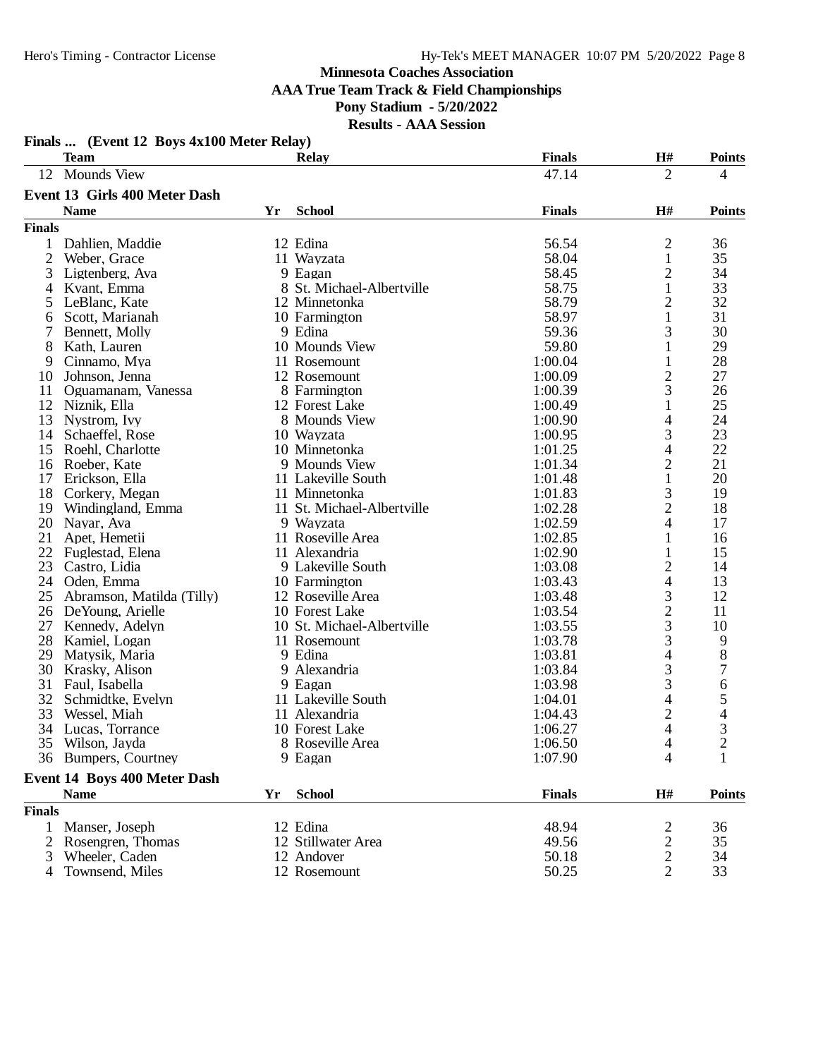**AAA True Team Track & Field Championships**

**Pony Stadium - 5/20/2022**

|                | Finals  (Event 12 Boys 4x100 Meter Relay) |    |                            |               |                         |                |
|----------------|-------------------------------------------|----|----------------------------|---------------|-------------------------|----------------|
|                | <b>Team</b>                               |    | <b>Relay</b>               | <b>Finals</b> | H#                      | <b>Points</b>  |
|                | 12 Mounds View                            |    |                            | 47.14         | $\overline{2}$          | 4              |
|                | <b>Event 13 Girls 400 Meter Dash</b>      |    |                            |               |                         |                |
|                | <b>Name</b>                               | Yr | <b>School</b>              | <b>Finals</b> | H#                      | <b>Points</b>  |
| <b>Finals</b>  |                                           |    |                            |               |                         |                |
| 1              | Dahlien, Maddie                           |    | 12 Edina                   | 56.54         | $\overline{c}$          | 36             |
| $\overline{c}$ | Weber, Grace                              |    | 11 Wayzata                 | 58.04         | $\mathbf{1}$            | 35             |
| 3              | Ligtenberg, Ava                           |    | 9 Eagan                    | 58.45         | $\overline{c}$          | 34             |
| 4              | Kvant, Emma                               |    | 8 St. Michael-Albertville  | 58.75         | 1                       | 33             |
| 5              | LeBlanc, Kate                             |    | 12 Minnetonka              | 58.79         | $\overline{2}$          | 32             |
| 6              | Scott, Marianah                           |    | 10 Farmington              | 58.97         | 1                       | 31             |
| 7              | Bennett, Molly                            |    | 9 Edina                    | 59.36         | 3                       | 30             |
| 8              | Kath, Lauren                              |    | 10 Mounds View             | 59.80         | 1                       | 29             |
| 9              | Cinnamo, Mya                              |    | 11 Rosemount               | 1:00.04       | 1                       | 28             |
| 10             | Johnson, Jenna                            |    | 12 Rosemount               | 1:00.09       | $\overline{c}$          | 27             |
| 11             | Oguamanam, Vanessa                        |    | 8 Farmington               | 1:00.39       | 3                       | 26             |
| 12             | Niznik, Ella                              |    | 12 Forest Lake             | 1:00.49       | 1                       | 25             |
| 13             | Nystrom, Ivy                              |    | 8 Mounds View              | 1:00.90       | 4                       | 24             |
| 14             | Schaeffel, Rose                           |    | 10 Wayzata                 | 1:00.95       | 3                       | 23             |
| 15             | Roehl, Charlotte                          |    | 10 Minnetonka              | 1:01.25       | 4                       | 22             |
| 16             | Roeber, Kate                              |    | 9 Mounds View              | 1:01.34       | $\overline{c}$          | 21             |
| 17             | Erickson, Ella                            |    | 11 Lakeville South         | 1:01.48       | 1                       | 20             |
| 18             | Corkery, Megan                            |    | 11 Minnetonka              | 1:01.83       | 3                       | 19             |
| 19             | Windingland, Emma                         |    | 11 St. Michael-Albertville | 1:02.28       | $\overline{c}$          | 18             |
| 20             | Nayar, Ava                                |    | 9 Wayzata                  | 1:02.59       | 4                       | 17             |
| 21             | Apet, Hemetii                             |    | 11 Roseville Area          | 1:02.85       | 1                       | 16             |
|                | 22 Fuglestad, Elena                       |    | 11 Alexandria              | 1:02.90       | 1                       | 15             |
| 23             | Castro, Lidia                             |    | 9 Lakeville South          | 1:03.08       | $\overline{c}$          | 14             |
| 24             | Oden, Emma                                |    | 10 Farmington              | 1:03.43       | 4                       | 13             |
| 25             | Abramson, Matilda (Tilly)                 |    | 12 Roseville Area          | 1:03.48       | 3                       | 12             |
|                | 26 DeYoung, Arielle                       |    | 10 Forest Lake             | 1:03.54       | $\overline{\mathbf{c}}$ | 11             |
| 27             | Kennedy, Adelyn                           |    | 10 St. Michael-Albertville | 1:03.55       | 3                       | 10             |
|                | 28 Kamiel, Logan                          |    | 11 Rosemount               | 1:03.78       | 3                       | 9              |
| 29             | Matysik, Maria                            |    | 9 Edina                    | 1:03.81       | 4                       | 8              |
| 30             | Krasky, Alison                            |    | 9 Alexandria               | 1:03.84       | 3                       | 7              |
| 31             | Faul, Isabella                            |    | 9 Eagan                    | 1:03.98       | 3                       | 6              |
| 32             | Schmidtke, Evelyn                         |    | 11 Lakeville South         | 1:04.01       | 4                       | 5              |
| 33             | Wessel, Miah                              |    | 11 Alexandria              | 1:04.43       | $\overline{c}$          | 4              |
|                | 34 Lucas, Torrance                        |    | 10 Forest Lake             | 1:06.27       | 4                       | 3              |
|                | 35 Wilson, Jayda                          |    | 8 Roseville Area           | 1:06.50       | 4                       | $\overline{2}$ |
|                | 36 Bumpers, Courtney                      |    | 9 Eagan                    | 1:07.90       | 4                       | 1              |
|                |                                           |    |                            |               |                         |                |
|                | <b>Event 14 Boys 400 Meter Dash</b>       |    |                            |               |                         |                |
|                | <b>Name</b>                               | Yr | <b>School</b>              | <b>Finals</b> | H#                      | <b>Points</b>  |
| <b>Finals</b>  |                                           |    |                            |               |                         |                |
| 1              | Manser, Joseph                            |    | 12 Edina                   | 48.94         | $\overline{c}$          | 36             |
| 2              | Rosengren, Thomas                         |    | 12 Stillwater Area         | 49.56         | $\overline{\mathbf{c}}$ | 35             |
| 3              | Wheeler, Caden                            |    | 12 Andover                 | 50.18         | $\overline{\mathbf{c}}$ | 34             |
| 4              | Townsend, Miles                           |    | 12 Rosemount               | 50.25         | 2                       | 33             |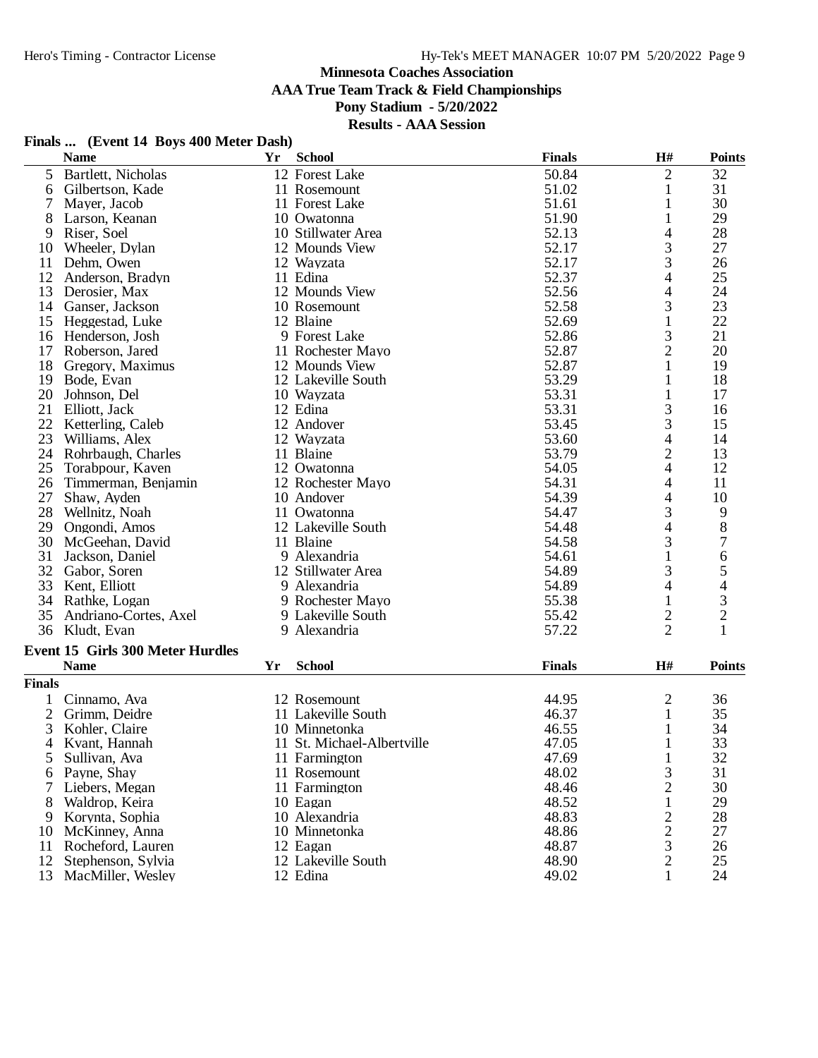**AAA True Team Track & Field Championships**

#### **Pony Stadium - 5/20/2022**

#### **Results - AAA Session**

### **Finals ... (Event 14 Boys 400 Meter Dash)**

|                | <b>Name</b>                             | Yr | <b>School</b>              | <b>Finals</b> | H#                                              | <b>Points</b>  |
|----------------|-----------------------------------------|----|----------------------------|---------------|-------------------------------------------------|----------------|
| 5              | Bartlett, Nicholas                      |    | 12 Forest Lake             | 50.84         | 2                                               | 32             |
| 6              | Gilbertson, Kade                        |    | 11 Rosemount               | 51.02         | $\mathbf{1}$                                    | 31             |
| 7              | Mayer, Jacob                            |    | 11 Forest Lake             | 51.61         | 1                                               | 30             |
| 8              | Larson, Keanan                          |    | 10 Owatonna                | 51.90         | 1                                               | 29             |
| 9              | Riser, Soel                             |    | 10 Stillwater Area         | 52.13         | 4                                               | 28             |
| 10             | Wheeler, Dylan                          |    | 12 Mounds View             | 52.17         | 3                                               | 27             |
| 11             | Dehm, Owen                              |    | 12 Wayzata                 | 52.17         | 3                                               | 26             |
| 12             | Anderson, Bradyn                        |    | 11 Edina                   | 52.37         | 4                                               | 25             |
| 13             | Derosier, Max                           |    | 12 Mounds View             | 52.56         | 4                                               | 24             |
| 14             | Ganser, Jackson                         |    | 10 Rosemount               | 52.58         | 3                                               | 23             |
| 15             | Heggestad, Luke                         |    | 12 Blaine                  | 52.69         | $\mathbf{1}$                                    | 22             |
| 16             | Henderson, Josh                         |    | 9 Forest Lake              | 52.86         | 3                                               | 21             |
| 17             | Roberson, Jared                         |    | 11 Rochester Mayo          | 52.87         | $\overline{c}$                                  | 20             |
| 18             | Gregory, Maximus                        |    | 12 Mounds View             | 52.87         | $\mathbf{1}$                                    | 19             |
| 19             | Bode, Evan                              |    | 12 Lakeville South         | 53.29         | 1                                               | 18             |
| 20             | Johnson, Del                            |    | 10 Wayzata                 | 53.31         | 1                                               | 17             |
| 21             | Elliott, Jack                           |    | 12 Edina                   | 53.31         | 3                                               | 16             |
| 22             | Ketterling, Caleb                       |    | 12 Andover                 | 53.45         | 3                                               | 15             |
| 23             | Williams, Alex                          |    | 12 Wayzata                 | 53.60         | 4                                               | 14             |
| 24             | Rohrbaugh, Charles                      |    | 11 Blaine                  | 53.79         | $\overline{c}$                                  | 13             |
| 25             | Torabpour, Kaven                        |    | 12 Owatonna                | 54.05         | 4                                               | 12             |
| 26             | Timmerman, Benjamin                     |    | 12 Rochester Mayo          | 54.31         | 4                                               | 11             |
| 27             | Shaw, Ayden                             |    | 10 Andover                 | 54.39         | 4                                               | 10             |
| 28             | Wellnitz, Noah                          |    | 11 Owatonna                | 54.47         | 3                                               | 9              |
| 29             | Ongondi, Amos                           |    | 12 Lakeville South         | 54.48         | 4                                               | 8              |
| 30             | McGeehan, David                         |    | 11 Blaine                  | 54.58         | 3                                               | 7              |
| 31             | Jackson, Daniel                         |    | 9 Alexandria               | 54.61         | 1                                               | 6              |
| 32             | Gabor, Soren                            |    | 12 Stillwater Area         | 54.89         | 3                                               | 5              |
| 33             | Kent, Elliott                           |    | 9 Alexandria               | 54.89         | 4                                               | 4              |
| 34             | Rathke, Logan                           |    | 9 Rochester Mayo           | 55.38         | 1                                               | 3              |
| 35             | Andriano-Cortes, Axel                   |    | 9 Lakeville South          | 55.42         | 2                                               | $\overline{2}$ |
|                | 36 Kludt, Evan                          |    | 9 Alexandria               | 57.22         | $\overline{2}$                                  | $\mathbf{1}$   |
|                |                                         |    |                            |               |                                                 |                |
|                | <b>Event 15 Girls 300 Meter Hurdles</b> |    |                            |               |                                                 |                |
|                | <b>Name</b>                             | Yr | <b>School</b>              | <b>Finals</b> | $\mathbf{H}^{\#}$                               | <b>Points</b>  |
| <b>Finals</b>  |                                         |    |                            |               |                                                 |                |
| 1              | Cinnamo, Ava                            |    | 12 Rosemount               | 44.95         | 2                                               | 36             |
| $\overline{2}$ | Grimm, Deidre                           |    | 11 Lakeville South         | 46.37         | 1                                               | 35             |
| 3              | Kohler, Claire                          |    | 10 Minnetonka              | 46.55         | $\mathbf{1}$                                    | 34             |
| 4              | Kvant, Hannah                           |    | 11 St. Michael-Albertville | 47.05         | 1                                               | 33             |
| 5              | Sullivan, Ava                           |    | 11 Farmington              | 47.69         | $\mathbf{1}$                                    | 32             |
| 6              | Payne, Shay                             |    | 11 Rosemount               | 48.02         | $\frac{3}{2}$                                   | 31             |
| 7              | Liebers, Megan                          |    | 11 Farmington              | 48.46         |                                                 | 30             |
| 8              | Waldrop, Keira                          |    | 10 Eagan                   | 48.52         | $\mathbf{1}$                                    | 29             |
| 9              | Korynta, Sophia                         |    | 10 Alexandria              | 48.83         |                                                 | 28             |
| 10             | McKinney, Anna                          |    | 10 Minnetonka              | 48.86         | $\begin{array}{c} 2 \\ 2 \\ 3 \\ 2 \end{array}$ | 27             |
| 11             | Rocheford, Lauren                       |    | 12 Eagan                   | 48.87         |                                                 | 26             |
| 12             | Stephenson, Sylvia                      |    | 12 Lakeville South         | 48.90         |                                                 | 25             |
| 13             | MacMiller, Wesley                       |    | 12 Edina                   | 49.02         | 1                                               | 24             |
|                |                                         |    |                            |               |                                                 |                |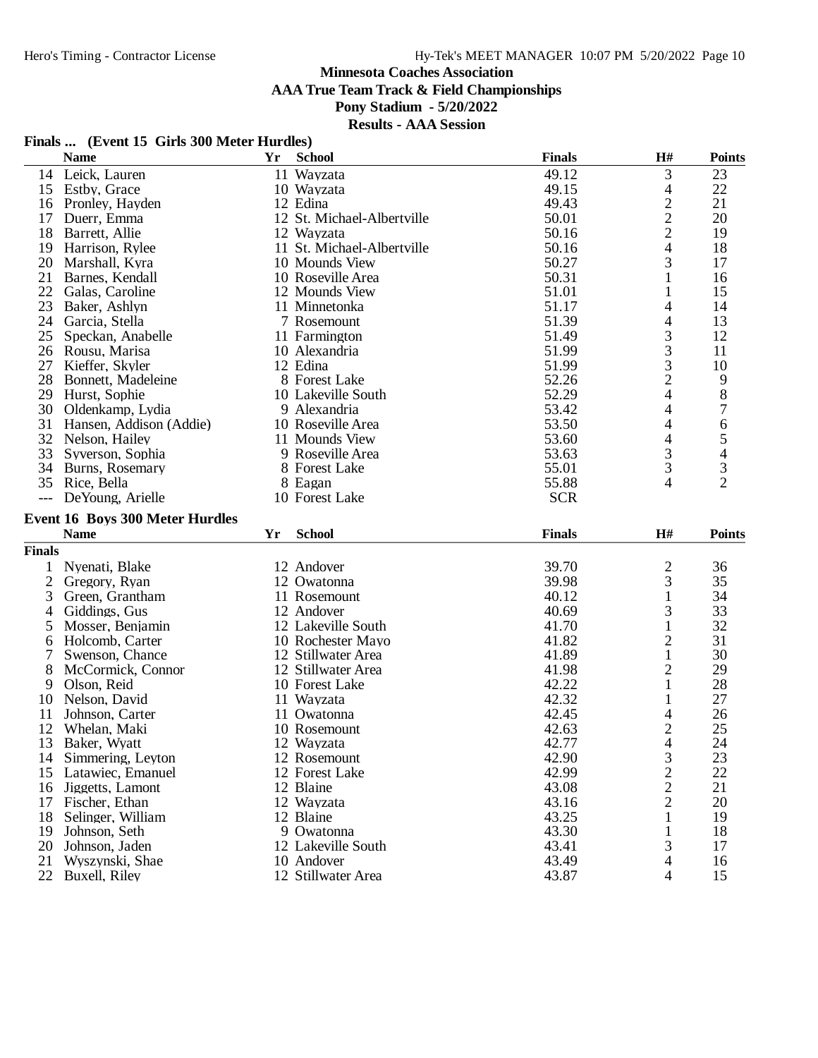**AAA True Team Track & Field Championships**

### **Pony Stadium - 5/20/2022**

|                | <b>Name</b>                     | Yr | <b>School</b>              | <b>Finals</b> | H#                       | <b>Points</b>            |
|----------------|---------------------------------|----|----------------------------|---------------|--------------------------|--------------------------|
| 14             | Leick, Lauren                   |    | 11 Wayzata                 | 49.12         | 3                        | 23                       |
| 15             | Estby, Grace                    |    | 10 Wayzata                 | 49.15         | 4                        | 22                       |
|                | 16 Pronley, Hayden              |    | 12 Edina                   | 49.43         | $\overline{c}$           | 21                       |
| 17             | Duerr, Emma                     |    | 12 St. Michael-Albertville | 50.01         |                          | 20                       |
| 18             | Barrett, Allie                  |    | 12 Wayzata                 | 50.16         | $\frac{2}{2}$            | 19                       |
| 19             | Harrison, Rylee                 |    | 11 St. Michael-Albertville | 50.16         | $\overline{\mathcal{L}}$ | 18                       |
| 20             | Marshall, Kyra                  |    | 10 Mounds View             | 50.27         | 3                        | 17                       |
| 21             | Barnes, Kendall                 |    | 10 Roseville Area          | 50.31         | 1                        | 16                       |
| 22             | Galas, Caroline                 |    | 12 Mounds View             | 51.01         | 1                        | 15                       |
| 23             | Baker, Ashlyn                   |    | 11 Minnetonka              | 51.17         | 4                        | 14                       |
| 24             | Garcia, Stella                  |    | 7 Rosemount                | 51.39         | 4                        | 13                       |
| 25             | Speckan, Anabelle               |    | 11 Farmington              | 51.49         | 3                        | 12                       |
| 26             | Rousu, Marisa                   |    | 10 Alexandria              | 51.99         | 3                        | 11                       |
| 27             | Kieffer, Skyler                 |    | 12 Edina                   | 51.99         |                          | 10                       |
| 28             |                                 |    | 8 Forest Lake              | 52.26         | $\frac{3}{2}$            |                          |
|                | Bonnett, Madeleine              |    |                            | 52.29         | $\overline{\mathcal{A}}$ | 9                        |
| 29             | Hurst, Sophie                   |    | 10 Lakeville South         |               |                          | 8                        |
| 30             | Oldenkamp, Lydia                |    | 9 Alexandria               | 53.42         | $\overline{\mathcal{L}}$ | 7                        |
| 31             | Hansen, Addison (Addie)         |    | 10 Roseville Area          | 53.50         | 4                        | 6                        |
| 32             | Nelson, Hailey                  |    | 11 Mounds View             | 53.60         | 4                        | 5                        |
| 33             | Syverson, Sophia                |    | 9 Roseville Area           | 53.63         | 3                        | $\overline{\mathcal{A}}$ |
| 34             | Burns, Rosemary                 |    | 8 Forest Lake              | 55.01         | 3                        | $\frac{3}{2}$            |
| 35             | Rice, Bella                     |    | 8 Eagan                    | 55.88         | 4                        |                          |
| $---$          | DeYoung, Arielle                |    | 10 Forest Lake             | <b>SCR</b>    |                          |                          |
|                | Event 16 Boys 300 Meter Hurdles |    |                            |               |                          |                          |
|                |                                 |    |                            |               |                          |                          |
|                |                                 |    |                            |               |                          |                          |
|                | <b>Name</b>                     | Yr | <b>School</b>              | <b>Finals</b> | H#                       | <b>Points</b>            |
| <b>Finals</b>  |                                 |    |                            |               |                          |                          |
| 1              | Nyenati, Blake                  |    | 12 Andover                 | 39.70         |                          | 36                       |
| $\overline{2}$ | Gregory, Ryan                   |    | 12 Owatonna                | 39.98         | $\frac{2}{3}$            | 35                       |
| 3              | Green, Grantham                 |    | 11 Rosemount               | 40.12         | $\mathbf{1}$             | 34                       |
| 4              | Giddings, Gus                   |    | 12 Andover                 | 40.69         | 3                        | 33                       |
| 5              | Mosser, Benjamin                |    | 12 Lakeville South         | 41.70         | $\mathbf{1}$             | 32                       |
| 6              | Holcomb, Carter                 |    | 10 Rochester Mayo          | 41.82         | $\overline{c}$           | 31                       |
| 7              | Swenson, Chance                 |    | 12 Stillwater Area         | 41.89         | $\mathbf{1}$             | 30                       |
| 8              | McCormick, Connor               |    | 12 Stillwater Area         | 41.98         | $\overline{2}$           | 29                       |
| 9              | Olson, Reid                     |    | 10 Forest Lake             | 42.22         | $\mathbf{1}$             | 28                       |
| 10             | Nelson, David                   |    | 11 Wayzata                 | 42.32         | 1                        | 27                       |
| 11             | Johnson, Carter                 |    | 11 Owatonna                | 42.45         | 4                        | 26                       |
| 12             | Whelan, Maki                    |    | 10 Rosemount               | 42.63         | $\overline{c}$           | 25                       |
| 13             | Baker, Wyatt                    |    | 12 Wayzata                 | 42.77         | 4                        | 24                       |
| 14             | Simmering, Leyton               |    | 12 Rosemount               | 42.90         | 3                        | 23                       |
| 15             | Latawiec, Emanuel               |    | 12 Forest Lake             | 42.99         |                          | 22                       |
| 16             | Jiggetts, Lamont                |    | 12 Blaine                  | 43.08         |                          | 21                       |
| 17             | Fischer, Ethan                  |    | 12 Wayzata                 | 43.16         | $\frac{2}{2}$            | 20                       |
| 18             | Selinger, William               |    | 12 Blaine                  | 43.25         | $\mathbf{1}$             | 19                       |
| 19             | Johnson, Seth                   |    | 9 Owatonna                 | 43.30         | $\mathbf{1}$             | 18                       |
| 20             | Johnson, Jaden                  |    | 12 Lakeville South         | 43.41         | 3                        | 17                       |
| 21             | Wyszynski, Shae                 |    | 10 Andover                 | 43.49         | 4                        | 16                       |
| 22             | Buxell, Riley                   |    | 12 Stillwater Area         | 43.87         | 4                        | 15                       |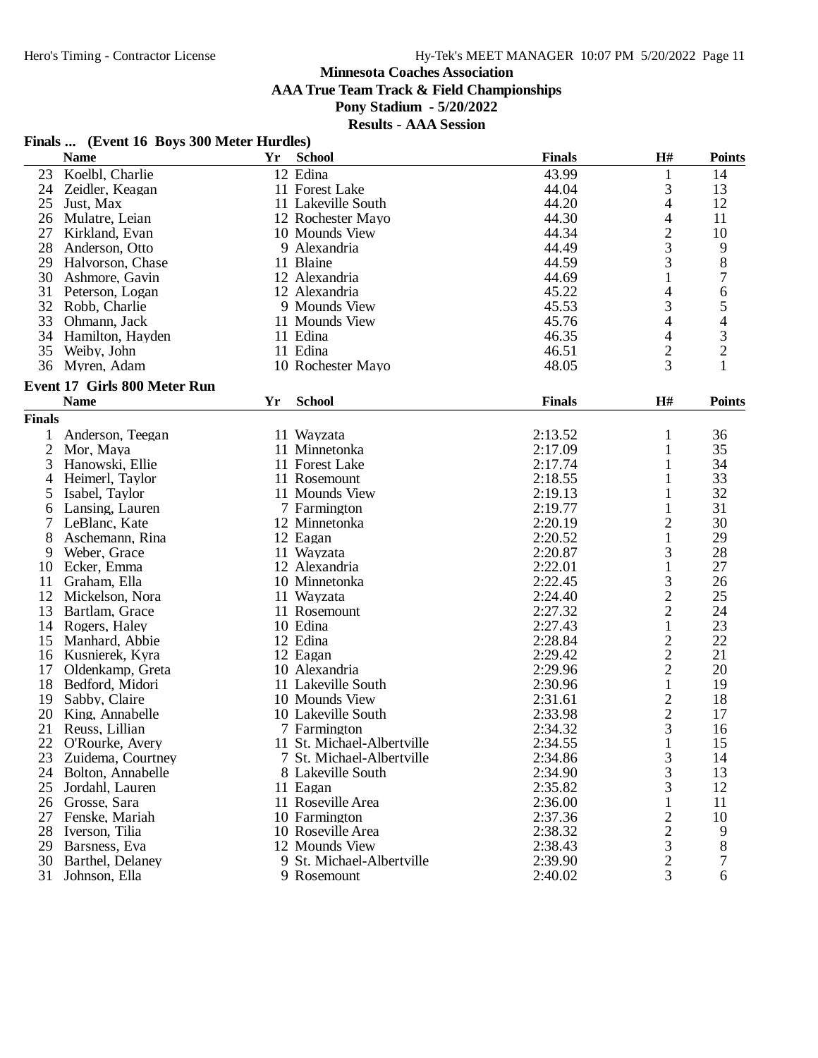**AAA True Team Track & Field Championships**

#### **Pony Stadium - 5/20/2022**

|  | Finals  (Event 16 Boys 300 Meter Hurdles) |  |
|--|-------------------------------------------|--|
|  |                                           |  |

|               | r mais  (EVCII) TO DOYS 500 MICICI THURUCS) |    |                            |               |                |                          |
|---------------|---------------------------------------------|----|----------------------------|---------------|----------------|--------------------------|
|               | <b>Name</b>                                 | Yr | <b>School</b>              | <b>Finals</b> | H#             | <b>Points</b>            |
| 23            | Koelbl, Charlie                             |    | 12 Edina                   | 43.99         | 1              | 14                       |
| 24            | Zeidler, Keagan                             |    | 11 Forest Lake             | 44.04         | 3              | 13                       |
| 25            | Just, Max                                   |    | 11 Lakeville South         | 44.20         | 4              | 12                       |
| 26            | Mulatre, Leian                              |    | 12 Rochester Mayo          | 44.30         | 4              | 11                       |
| 27            | Kirkland, Evan                              |    | 10 Mounds View             | 44.34         | $\overline{c}$ | 10                       |
| 28            | Anderson, Otto                              |    | 9 Alexandria               | 44.49         | 3              | 9                        |
| 29            | Halvorson, Chase                            |    | 11 Blaine                  | 44.59         | 3              | $\,8\,$                  |
| 30            | Ashmore, Gavin                              |    | 12 Alexandria              | 44.69         | 1              | 7                        |
| 31            | Peterson, Logan                             |    | 12 Alexandria              | 45.22         | 4              | 6                        |
| 32            | Robb, Charlie                               |    | 9 Mounds View              | 45.53         | 3              | 5                        |
| 33            | Ohmann, Jack                                |    | 11 Mounds View             | 45.76         | 4              | $\overline{\mathcal{L}}$ |
| 34            | Hamilton, Hayden                            |    | 11 Edina                   | 46.35         | 4              |                          |
| 35            | Weiby, John                                 |    | 11 Edina                   | 46.51         | $\overline{c}$ | $\frac{3}{2}$            |
|               |                                             |    |                            |               | 3              |                          |
|               | 36 Myren, Adam                              |    | 10 Rochester Mayo          | 48.05         |                |                          |
|               | <b>Event 17 Girls 800 Meter Run</b>         |    |                            |               |                |                          |
|               | <b>Name</b>                                 | Yr | <b>School</b>              | <b>Finals</b> | H#             | <b>Points</b>            |
| <b>Finals</b> |                                             |    |                            |               |                |                          |
| 1             | Anderson, Teegan                            |    | 11 Wayzata                 | 2:13.52       | 1              | 36                       |
| 2             | Mor, Maya                                   |    | 11 Minnetonka              | 2:17.09       | 1              | 35                       |
| 3             | Hanowski, Ellie                             |    | 11 Forest Lake             | 2:17.74       | 1              | 34                       |
| 4             | Heimerl, Taylor                             |    | 11 Rosemount               | 2:18.55       | 1              | 33                       |
| 5             | Isabel, Taylor                              |    | 11 Mounds View             | 2:19.13       |                | 32                       |
| 6             | Lansing, Lauren                             |    | 7 Farmington               | 2:19.77       | 1              | 31                       |
| 7             | LeBlanc, Kate                               |    | 12 Minnetonka              | 2:20.19       | $\overline{c}$ | 30                       |
| 8             | Aschemann, Rina                             |    | 12 Eagan                   | 2:20.52       | 1              | 29                       |
| 9             | Weber, Grace                                |    | 11 Wayzata                 | 2:20.87       | 3              | 28                       |
| 10            | Ecker, Emma                                 |    | 12 Alexandria              | 2:22.01       | $\mathbf{1}$   | 27                       |
| 11            | Graham, Ella                                |    | 10 Minnetonka              | 2:22.45       | 3              | 26                       |
| 12            | Mickelson, Nora                             |    | 11 Wayzata                 | 2:24.40       | $\overline{c}$ | 25                       |
| 13            | Bartlam, Grace                              |    | 11 Rosemount               | 2:27.32       | $\overline{c}$ | 24                       |
| 14            | Rogers, Haley                               |    | 10 Edina                   | 2:27.43       | $\mathbf{1}$   | 23                       |
| 15            |                                             |    | 12 Edina                   | 2:28.84       |                | 22                       |
|               | Manhard, Abbie                              |    |                            |               | $\overline{c}$ |                          |
| 16            | Kusnierek, Kyra                             |    | 12 Eagan                   | 2:29.42       | $\frac{2}{2}$  | 21                       |
| 17            | Oldenkamp, Greta                            |    | 10 Alexandria              | 2:29.96       |                | 20                       |
| 18            | Bedford, Midori                             |    | 11 Lakeville South         | 2:30.96       | $\mathbf{1}$   | 19                       |
| 19            | Sabby, Claire                               |    | 10 Mounds View             | 2:31.61       | $\frac{2}{3}$  | 18                       |
| 20            | King, Annabelle                             |    | 10 Lakeville South         | 2:33.98       |                | 17                       |
| 21            | Reuss, Lillian                              |    | 7 Farmington               | 2:34.32       |                | 16                       |
|               | 22 O'Rourke, Avery                          |    | 11 St. Michael-Albertville | 2:34.55       | $\mathbf{1}$   | 15                       |
| 23            | Zuidema, Courtney                           |    | 7 St. Michael-Albertville  | 2:34.86       | 3              | 14                       |
| 24            | Bolton, Annabelle                           |    | 8 Lakeville South          | 2:34.90       | 3              | 13                       |
| 25            | Jordahl, Lauren                             |    | 11 Eagan                   | 2:35.82       | 3              | 12                       |
| 26            | Grosse, Sara                                |    | 11 Roseville Area          | 2:36.00       |                | 11                       |
| 27            | Fenske, Mariah                              |    | 10 Farmington              | 2:37.36       | $\overline{c}$ | 10                       |
| 28            | Iverson, Tilia                              |    | 10 Roseville Area          | 2:38.32       | $\overline{c}$ | 9                        |
| 29            | Barsness, Eva                               |    | 12 Mounds View             | 2:38.43       | 3              | 8                        |
| 30            | Barthel, Delaney                            |    | 9 St. Michael-Albertville  | 2:39.90       | $\overline{c}$ | 7                        |
| 31            | Johnson, Ella                               |    | 9 Rosemount                | 2:40.02       | $\overline{3}$ | 6                        |
|               |                                             |    |                            |               |                |                          |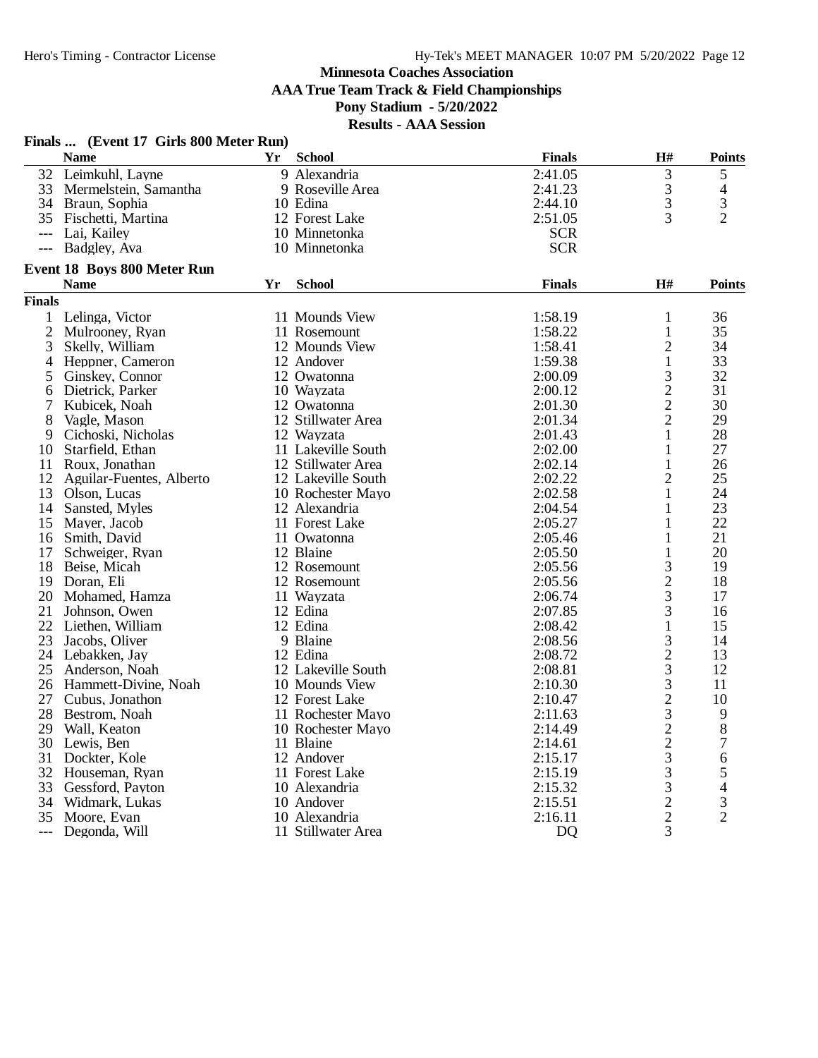**AAA True Team Track & Field Championships**

# **Pony Stadium - 5/20/2022**

|               | Finals  (Event 17 Girls 800 Meter Run) |    |                    |               |                         |                |
|---------------|----------------------------------------|----|--------------------|---------------|-------------------------|----------------|
|               | <b>Name</b>                            | Yr | <b>School</b>      | <b>Finals</b> | H#                      | <b>Points</b>  |
|               | 32 Leimkuhl, Layne                     |    | 9 Alexandria       | 2:41.05       | 3                       | 5              |
|               | 33 Mermelstein, Samantha               |    | 9 Roseville Area   | 2:41.23       | 3                       | 4              |
|               | 34 Braun, Sophia                       |    | 10 Edina           | 2:44.10       | 3                       | 3              |
|               | 35 Fischetti, Martina                  |    | 12 Forest Lake     | 2:51.05       | 3                       | $\overline{2}$ |
|               | Lai, Kailey                            |    | 10 Minnetonka      | <b>SCR</b>    |                         |                |
|               | Badgley, Ava                           |    | 10 Minnetonka      | <b>SCR</b>    |                         |                |
|               | <b>Event 18 Boys 800 Meter Run</b>     |    |                    |               |                         |                |
|               | <b>Name</b>                            | Yr | <b>School</b>      | <b>Finals</b> | H#                      | <b>Points</b>  |
| <b>Finals</b> |                                        |    |                    |               |                         |                |
|               | 1 Lelinga, Victor                      |    | 11 Mounds View     | 1:58.19       | 1                       | 36             |
|               | 2 Mulrooney, Ryan                      |    | 11 Rosemount       | 1:58.22       | 1                       | 35             |
| 3             | Skelly, William                        |    | 12 Mounds View     | 1:58.41       | $\overline{c}$          | 34             |
| 4             | Heppner, Cameron                       |    | 12 Andover         | 1:59.38       | $\mathbf{1}$            | 33             |
| 5             | Ginskey, Connor                        |    | 12 Owatonna        | 2:00.09       | 3                       | 32             |
| 6             | Dietrick, Parker                       |    | 10 Wayzata         | 2:00.12       | $\frac{2}{2}$           | 31             |
| 7             | Kubicek, Noah                          |    | 12 Owatonna        | 2:01.30       |                         | 30             |
| 8             | Vagle, Mason                           |    | 12 Stillwater Area | 2:01.34       | $\overline{2}$          | 29             |
| 9             | Cichoski, Nicholas                     |    | 12 Wayzata         | 2:01.43       | $\mathbf{1}$            | 28             |
| 10            | Starfield, Ethan                       |    | 11 Lakeville South | 2:02.00       | 1                       | 27             |
| 11            | Roux, Jonathan                         |    | 12 Stillwater Area | 2:02.14       | $\mathbf{1}$            | 26             |
|               | 12 Aguilar-Fuentes, Alberto            |    | 12 Lakeville South | 2:02.22       | $\overline{c}$          | 25             |
| 13            | Olson, Lucas                           |    | 10 Rochester Mayo  | 2:02.58       | 1                       | 24             |
| 14            | Sansted, Myles                         |    | 12 Alexandria      | 2:04.54       | 1                       | 23             |
| 15            | Mayer, Jacob                           |    | 11 Forest Lake     | 2:05.27       | 1                       | 22             |
| 16            | Smith, David                           |    | 11 Owatonna        | 2:05.46       | 1                       | 21             |
| 17            | Schweiger, Ryan                        |    | 12 Blaine          | 2:05.50       | 1                       | 20             |
|               | 18 Beise, Micah                        |    | 12 Rosemount       | 2:05.56       | 3                       | 19             |
|               | 19 Doran, Eli                          |    | 12 Rosemount       | 2:05.56       | $\overline{2}$          | 18             |
|               | 20 Mohamed, Hamza                      |    | 11 Wayzata         | 2:06.74       | 3                       | 17             |
| 21            | Johnson, Owen                          |    | 12 Edina           | 2:07.85       | 3                       | 16             |
|               | 22 Liethen, William                    |    | 12 Edina           | 2:08.42       | $\mathbf{1}$            | 15             |
| 23            | Jacobs, Oliver                         |    | 9 Blaine           | 2:08.56       | 3                       | 14             |
|               | 24 Lebakken, Jay                       |    | 12 Edina           | 2:08.72       | $\overline{c}$          | 13             |
|               | 25 Anderson, Noah                      |    | 12 Lakeville South | 2:08.81       | 3                       | 12             |
|               | 26 Hammett-Divine, Noah                |    | 10 Mounds View     | 2:10.30       | 3                       | 11             |
| 27            | Cubus, Jonathon                        |    | 12 Forest Lake     | 2:10.47       |                         | 10             |
|               | 28 Bestrom, Noah                       |    | 11 Rochester Mayo  | 2:11.63       | $\frac{2}{3}$           | 9              |
|               | 29 Wall, Keaton                        |    | 10 Rochester Mayo  | 2:14.49       | $\overline{c}$          | 8              |
|               | 30 Lewis, Ben                          |    | 11 Blaine          | 2:14.61       | $\overline{\mathbf{c}}$ | 7              |
| 31            | Dockter, Kole                          |    | 12 Andover         | 2:15.17       | 3                       | 6              |
|               | 32 Houseman, Ryan                      |    | 11 Forest Lake     | 2:15.19       | 3                       | 5              |
| 33            | Gessford, Payton                       |    | 10 Alexandria      | 2:15.32       | 3                       | 4              |
| 34            | Widmark, Lukas                         |    | 10 Andover         | 2:15.51       | $\overline{c}$          | 3              |
|               | 35 Moore, Evan                         |    | 10 Alexandria      | 2:16.11       | $\overline{c}$          | $\overline{2}$ |
|               | Degonda, Will                          |    | 11 Stillwater Area | <b>DO</b>     | 3                       |                |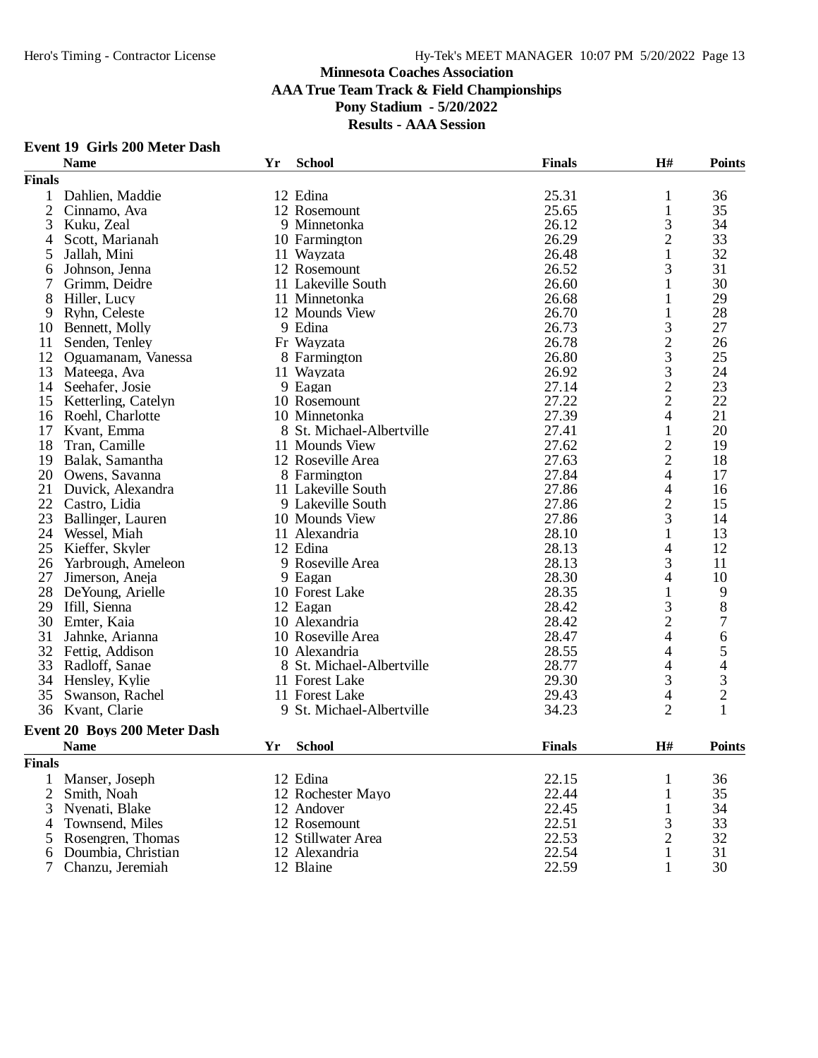#### **Event 19 Girls 200 Meter Dash**

|                | <b>Name</b>                  | Yr | <b>School</b>             | <b>Finals</b> | H#                                         | <b>Points</b>  |
|----------------|------------------------------|----|---------------------------|---------------|--------------------------------------------|----------------|
| <b>Finals</b>  |                              |    |                           |               |                                            |                |
| 1              | Dahlien, Maddie              |    | 12 Edina                  | 25.31         | 1                                          | 36             |
| $\mathfrak{2}$ | Cinnamo, Ava                 |    | 12 Rosemount              | 25.65         | $\mathbf{1}$                               | 35             |
| 3              | Kuku, Zeal                   |    | 9 Minnetonka              | 26.12         | 3                                          | 34             |
| 4              | Scott, Marianah              |    | 10 Farmington             | 26.29         | $\overline{2}$                             | 33             |
| 5              | Jallah, Mini                 |    | 11 Wayzata                | 26.48         | $\mathbf{1}$                               | 32             |
| 6              | Johnson, Jenna               |    | 12 Rosemount              | 26.52         | 3                                          | 31             |
| 7              | Grimm, Deidre                |    | 11 Lakeville South        | 26.60         | 1                                          | 30             |
| 8              | Hiller, Lucy                 |    | 11 Minnetonka             | 26.68         | 1                                          | 29             |
| 9              | Ryhn, Celeste                |    | 12 Mounds View            | 26.70         | $\mathbf{1}$                               | 28             |
| 10             | Bennett, Molly               |    | 9 Edina                   | 26.73         | 3                                          | 27             |
| 11             | Senden, Tenley               |    | Fr Wayzata                | 26.78         |                                            | 26             |
| 12             | Oguamanam, Vanessa           |    | 8 Farmington              | 26.80         | $\frac{2}{3}$                              | 25             |
| 13             |                              |    | 11 Wayzata                | 26.92         |                                            | 24             |
|                | Mateega, Ava                 |    | 9 Eagan                   | 27.14         | $\begin{array}{c} 3 \\ 2 \\ 2 \end{array}$ | 23             |
| 14             | Seehafer, Josie              |    |                           |               |                                            |                |
| 15             | Ketterling, Catelyn          |    | 10 Rosemount              | 27.22         |                                            | 22             |
| 16             | Roehl, Charlotte             |    | 10 Minnetonka             | 27.39         | $\overline{\mathcal{L}}$                   | 21             |
| 17             | Kvant, Emma                  |    | 8 St. Michael-Albertville | 27.41         | $\mathbf{1}$                               | 20             |
| 18             | Tran, Camille                |    | 11 Mounds View            | 27.62         | $\overline{c}$                             | 19             |
| 19             | Balak, Samantha              |    | 12 Roseville Area         | 27.63         | $\overline{c}$                             | 18             |
| 20             | Owens, Savanna               |    | 8 Farmington              | 27.84         | 4                                          | 17             |
| 21             | Duvick, Alexandra            |    | 11 Lakeville South        | 27.86         | 4                                          | 16             |
| 22             | Castro, Lidia                |    | 9 Lakeville South         | 27.86         | $\overline{2}$                             | 15             |
| 23             | Ballinger, Lauren            |    | 10 Mounds View            | 27.86         | $\overline{3}$                             | 14             |
| 24             | Wessel, Miah                 |    | 11 Alexandria             | 28.10         | $\mathbf{1}$                               | 13             |
| 25             | Kieffer, Skyler              |    | 12 Edina                  | 28.13         | $\overline{4}$                             | 12             |
| 26             | Yarbrough, Ameleon           |    | 9 Roseville Area          | 28.13         | 3                                          | 11             |
| 27             | Jimerson, Aneja              |    | 9 Eagan                   | 28.30         | $\overline{\mathcal{A}}$                   | 10             |
| 28             | DeYoung, Arielle             |    | 10 Forest Lake            | 28.35         | $\mathbf{1}$                               | 9              |
| 29             | Ifill, Sienna                |    | 12 Eagan                  | 28.42         | 3                                          | $8\,$          |
| 30             | Emter, Kaia                  |    | 10 Alexandria             | 28.42         | $\overline{c}$                             | $\overline{7}$ |
| 31             | Jahnke, Arianna              |    | 10 Roseville Area         | 28.47         | 4                                          | 6              |
|                | 32 Fettig, Addison           |    | 10 Alexandria             | 28.55         | 4                                          | 5              |
| 33             | Radloff, Sanae               |    | 8 St. Michael-Albertville | 28.77         | 4                                          | 4              |
| 34             | Hensley, Kylie               |    | 11 Forest Lake            | 29.30         | 3                                          | $\mathfrak{Z}$ |
| 35             | Swanson, Rachel              |    | 11 Forest Lake            | 29.43         | $\overline{\mathcal{L}}$                   | $\overline{2}$ |
| 36             | Kvant, Clarie                |    | 9 St. Michael-Albertville | 34.23         | $\overline{2}$                             | $\mathbf{1}$   |
|                |                              |    |                           |               |                                            |                |
|                | Event 20 Boys 200 Meter Dash |    |                           |               |                                            |                |
|                | <b>Name</b>                  | Yr | <b>School</b>             | <b>Finals</b> | H#                                         | <b>Points</b>  |
| <b>Finals</b>  |                              |    |                           |               |                                            |                |
| 1              | Manser, Joseph               |    | 12 Edina                  | 22.15         | 1                                          | 36             |
| 2              | Smith, Noah                  |    | 12 Rochester Mayo         | 22.44         | 1                                          | 35             |
| 3              | Nyenati, Blake               |    | 12 Andover                | 22.45         | 1                                          | 34             |
| 4              | Townsend, Miles              |    | 12 Rosemount              | 22.51         | 3                                          | 33             |
| 5              | Rosengren, Thomas            |    | 12 Stillwater Area        | 22.53         | $\overline{2}$                             | 32             |
| 6              | Doumbia, Christian           |    | 12 Alexandria             | 22.54         | $\mathbf{1}$                               | 31             |
| $\tau$         | Chanzu, Jeremiah             |    | 12 Blaine                 | 22.59         | 1                                          | 30             |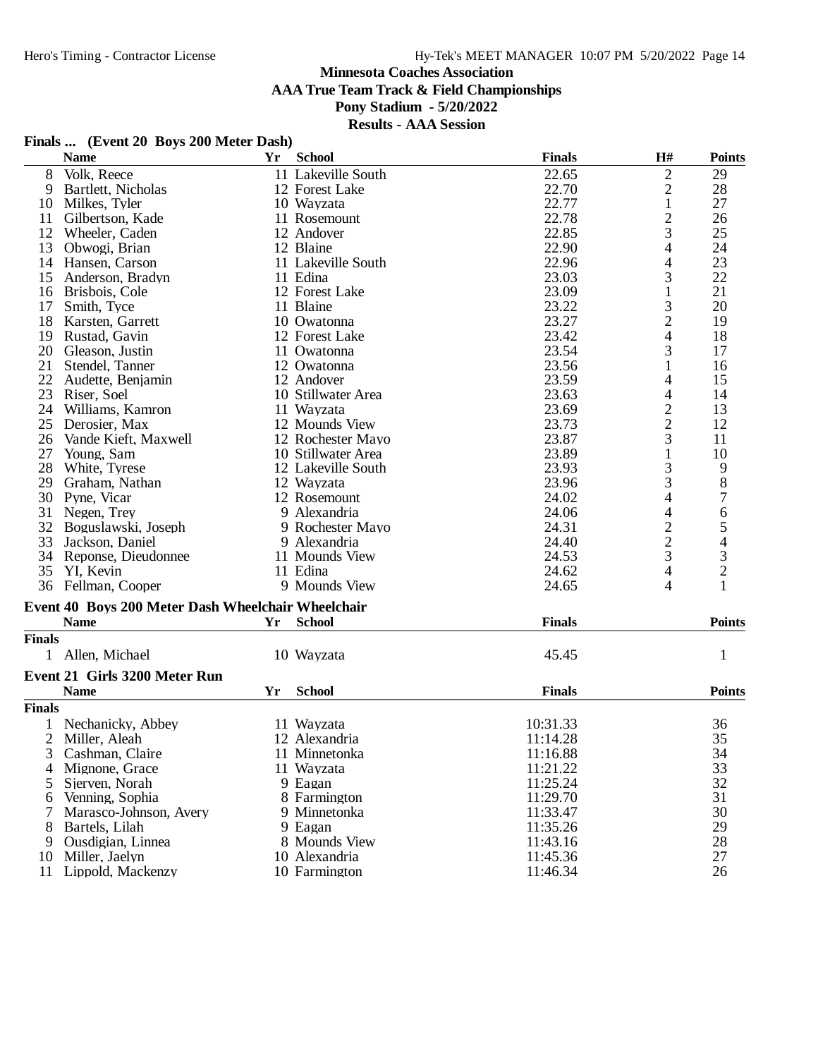**AAA True Team Track & Field Championships**

#### **Pony Stadium - 5/20/2022**

#### **Results - AAA Session**

### **Finals ... (Event 20 Boys 200 Meter Dash)**

|               | <b>Name</b>                                        | Yr | <b>School</b>      | <b>Finals</b> | H#                       | <b>Points</b>            |
|---------------|----------------------------------------------------|----|--------------------|---------------|--------------------------|--------------------------|
| 8             | Volk, Reece                                        |    | 11 Lakeville South | 22.65         | $\mathbf{2}$             | 29                       |
| 9             | Bartlett, Nicholas                                 |    | 12 Forest Lake     | 22.70         | $\overline{c}$           | 28                       |
| 10            | Milkes, Tyler                                      |    | 10 Wayzata         | 22.77         | 1                        | 27                       |
| 11            | Gilbertson, Kade                                   |    | 11 Rosemount       | 22.78         | $\overline{c}$           | 26                       |
| 12            | Wheeler, Caden                                     |    | 12 Andover         | 22.85         | 3                        | 25                       |
| 13            | Obwogi, Brian                                      |    | 12 Blaine          | 22.90         | 4                        | 24                       |
| 14            | Hansen, Carson                                     |    | 11 Lakeville South | 22.96         | 4                        | 23                       |
| 15            | Anderson, Bradyn                                   |    | 11 Edina           | 23.03         | 3                        | 22                       |
| 16            | Brisbois, Cole                                     |    | 12 Forest Lake     | 23.09         |                          | 21                       |
| 17            | Smith, Tyce                                        |    | 11 Blaine          | 23.22         | 3                        | 20                       |
| 18            | Karsten, Garrett                                   |    | 10 Owatonna        | 23.27         | $\overline{c}$           | 19                       |
| 19            | Rustad, Gavin                                      |    | 12 Forest Lake     | 23.42         | 4                        | 18                       |
| 20            | Gleason, Justin                                    |    | 11 Owatonna        | 23.54         | 3                        | 17                       |
| 21            | Stendel, Tanner                                    |    | 12 Owatonna        | 23.56         | 1                        | 16                       |
| 22            | Audette, Benjamin                                  |    | 12 Andover         | 23.59         | 4                        | 15                       |
| 23            | Riser, Soel                                        |    | 10 Stillwater Area | 23.63         | 4                        | 14                       |
| 24            | Williams, Kamron                                   |    | 11 Wayzata         | 23.69         | $\overline{\mathbf{c}}$  | 13                       |
| 25            | Derosier, Max                                      |    | 12 Mounds View     | 23.73         | $\overline{c}$           | 12                       |
| 26            | Vande Kieft, Maxwell                               |    | 12 Rochester Mayo  | 23.87         | 3                        | 11                       |
| 27            | Young, Sam                                         |    | 10 Stillwater Area | 23.89         | $\mathbf{1}$             | 10                       |
| 28            | White, Tyrese                                      |    | 12 Lakeville South | 23.93         | 3                        | 9                        |
| 29            | Graham, Nathan                                     |    | 12 Wayzata         | 23.96         | 3                        | 8                        |
| 30            | Pyne, Vicar                                        |    | 12 Rosemount       | 24.02         | $\overline{4}$           | 7                        |
| 31            | Negen, Trey                                        |    | 9 Alexandria       | 24.06         | $\overline{\mathcal{A}}$ | 6                        |
|               | 32 Boguslawski, Joseph                             |    | 9 Rochester Mayo   | 24.31         | $\mathbf{2}$             | 5                        |
| 33            | Jackson, Daniel                                    |    | 9 Alexandria       | 24.40         | $\overline{c}$           | $\overline{\mathcal{L}}$ |
|               | 34 Reponse, Dieudonnee                             |    | 11 Mounds View     | 24.53         | 3                        | 3                        |
| 35            | YI, Kevin                                          |    | 11 Edina           | 24.62         | 4                        | $\overline{2}$           |
|               | 36 Fellman, Cooper                                 |    | 9 Mounds View      | 24.65         | 4                        | 1                        |
|               | Event 40 Boys 200 Meter Dash Wheelchair Wheelchair |    |                    |               |                          |                          |
|               | <b>Name</b>                                        | Yr | <b>School</b>      | <b>Finals</b> |                          | <b>Points</b>            |
| <b>Finals</b> |                                                    |    |                    |               |                          |                          |
|               | 1 Allen, Michael                                   |    | 10 Wayzata         | 45.45         |                          | 1                        |
|               | Event 21 Girls 3200 Meter Run                      |    |                    |               |                          |                          |
|               | <b>Name</b>                                        | Yr | <b>School</b>      | <b>Finals</b> |                          | <b>Points</b>            |
| <b>Finals</b> |                                                    |    |                    |               |                          |                          |
|               | Nechanicky, Abbey                                  |    | 11 Wayzata         | 10:31.33      |                          | 36                       |
|               | 2 Miller, Aleah                                    |    | 12 Alexandria      | 11:14.28      |                          | 35                       |
| Ĵ             | Cashman, Claire                                    |    | 11 Minnetonka      | 11:16.88      |                          | 34                       |
| 4             | Mignone, Grace                                     |    | 11 Wayzata         | 11:21.22      |                          | 33                       |
| 5             | Sierven, Norah                                     |    | 9 Eagan            | 11:25.24      |                          | 32                       |
| 6             | Venning, Sophia                                    |    | 8 Farmington       | 11:29.70      |                          | 31                       |
| 7             | Marasco-Johnson, Avery                             |    | 9 Minnetonka       | 11:33.47      |                          | 30                       |
| 8             | Bartels, Lilah                                     |    | 9 Eagan            | 11:35.26      |                          | 29                       |
| 9             | Ousdigian, Linnea                                  |    | 8 Mounds View      | 11:43.16      |                          | 28                       |
| 10            | Miller, Jaelyn                                     |    | 10 Alexandria      | 11:45.36      |                          | 27                       |
| 11            | Lippold, Mackenzy                                  |    | 10 Farmington      | 11:46.34      |                          | 26                       |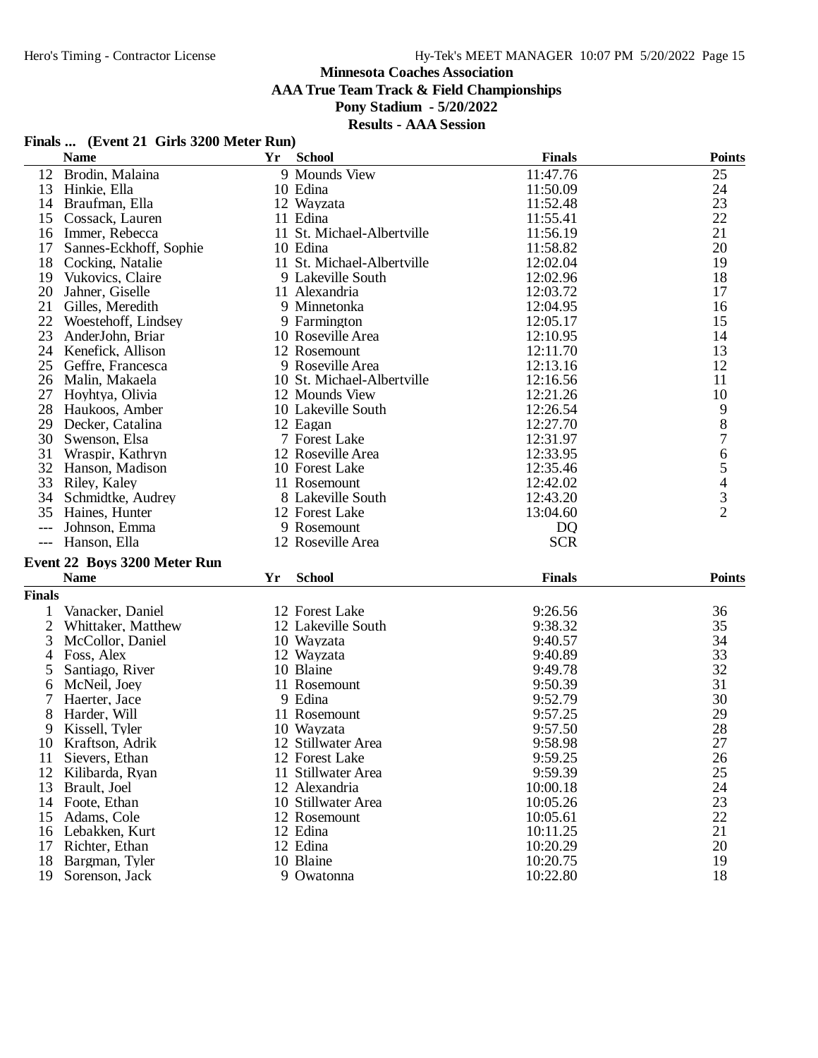**AAA True Team Track & Field Championships**

**Pony Stadium - 5/20/2022**

|  | Finals  (Event 21 Girls 3200 Meter Run) |  |  |  |
|--|-----------------------------------------|--|--|--|
|--|-----------------------------------------|--|--|--|

|                | <b>Name</b>                                 | Yr | <b>School</b>              | <b>Finals</b>  | <b>Points</b>                              |
|----------------|---------------------------------------------|----|----------------------------|----------------|--------------------------------------------|
| 12             | Brodin, Malaina                             |    | 9 Mounds View              | 11:47.76       | 25                                         |
| 13             | Hinkie, Ella                                |    | 10 Edina                   | 11:50.09       | 24                                         |
| 14             | Braufman, Ella                              |    | 12 Wayzata                 | 11:52.48       | 23                                         |
| 15             | Cossack, Lauren                             |    | 11 Edina                   | 11:55.41       | 22                                         |
| 16             | Immer, Rebecca                              |    | 11 St. Michael-Albertville | 11:56.19       | 21                                         |
| 17             | Sannes-Eckhoff, Sophie                      |    | 10 Edina                   | 11:58.82       | 20                                         |
| 18             | Cocking, Natalie                            |    | 11 St. Michael-Albertville | 12:02.04       | 19                                         |
| 19             | Vukovics, Claire                            |    | 9 Lakeville South          | 12:02.96       | 18                                         |
| 20             | Jahner, Giselle                             |    | 11 Alexandria              | 12:03.72       | 17                                         |
| 21             | Gilles, Meredith                            |    | 9 Minnetonka               | 12:04.95       | 16                                         |
| 22             | Woestehoff, Lindsey                         |    | 9 Farmington               | 12:05.17       | 15                                         |
| 23             | AnderJohn, Briar                            |    | 10 Roseville Area          | 12:10.95       | 14                                         |
| 24             | Kenefick, Allison                           |    | 12 Rosemount               | 12:11.70       | 13                                         |
| 25             | Geffre, Francesca                           |    | 9 Roseville Area           | 12:13.16       | 12                                         |
| 26             | Malin, Makaela                              |    | 10 St. Michael-Albertville | 12:16.56       | 11                                         |
| 27             | Hoyhtya, Olivia                             |    | 12 Mounds View             | 12:21.26       | 10                                         |
| 28             | Haukoos, Amber                              |    | 10 Lakeville South         | 12:26.54       |                                            |
| 29             | Decker, Catalina                            |    | 12 Eagan                   | 12:27.70       | $\begin{array}{c} 9 \\ 8 \end{array}$      |
| 30             | Swenson, Elsa                               |    | 7 Forest Lake              | 12:31.97       | $\boldsymbol{7}$                           |
| 31             | Wraspir, Kathryn                            |    | 12 Roseville Area          | 12:33.95       | $\sqrt{6}$                                 |
| 32             | Hanson, Madison                             |    | 10 Forest Lake             | 12:35.46       | 5                                          |
| 33             | Riley, Kaley                                |    | 11 Rosemount               | 12:42.02       |                                            |
| 34             | Schmidtke, Audrey                           |    | 8 Lakeville South          | 12:43.20       |                                            |
| 35             | Haines, Hunter                              |    | 12 Forest Lake             | 13:04.60       | $\begin{array}{c} 4 \\ 3 \\ 2 \end{array}$ |
| $---$          | Johnson, Emma                               |    | 9 Rosemount                | D <sub>Q</sub> |                                            |
|                | Hanson, Ella                                |    | 12 Roseville Area          | <b>SCR</b>     |                                            |
|                |                                             |    |                            |                |                                            |
|                | Event 22 Boys 3200 Meter Run<br><b>Name</b> | Yr | <b>School</b>              | <b>Finals</b>  | <b>Points</b>                              |
|                |                                             |    |                            |                |                                            |
| <b>Finals</b>  |                                             |    |                            |                |                                            |
| 1              | Vanacker, Daniel                            |    | 12 Forest Lake             | 9:26.56        | 36                                         |
| $\overline{2}$ | Whittaker, Matthew                          |    | 12 Lakeville South         | 9:38.32        | 35                                         |
| 3              | McCollor, Daniel                            |    | 10 Wayzata                 | 9:40.57        | 34                                         |
| 4              | Foss, Alex                                  |    | 12 Wayzata                 | 9:40.89        | 33                                         |
| 5              | Santiago, River                             |    | 10 Blaine                  | 9:49.78        | 32                                         |
| 6              | McNeil, Joey                                |    | 11 Rosemount               | 9:50.39        | 31                                         |
| 7              | Haerter, Jace                               |    | 9 Edina                    | 9:52.79        | 30                                         |
| 8              | Harder, Will                                |    | 11 Rosemount               | 9:57.25        | 29                                         |
| 9              | Kissell, Tyler                              |    | 10 Wayzata                 | 9:57.50        | 28                                         |
| 10             | Kraftson, Adrik                             |    | 12 Stillwater Area         | 9:58.98        | 27                                         |
| 11             | Sievers, Ethan                              |    | 12 Forest Lake             | 9:59.25        | 26                                         |
| 12             | Kilibarda, Ryan                             |    | 11 Stillwater Area         | 9:59.39        | 25                                         |
| 13             | Brault, Joel                                |    | 12 Alexandria              | 10:00.18       | 24                                         |
| 14             | Foote, Ethan                                |    | 10 Stillwater Area         | 10:05.26       | 23                                         |
| 15             | Adams, Cole                                 |    | 12 Rosemount               | 10:05.61       | 22                                         |
| 16             | Lebakken, Kurt                              |    | 12 Edina                   | 10:11.25       | 21                                         |
| 17             | Richter, Ethan                              |    | 12 Edina                   | 10:20.29       | 20                                         |
| 18             | Bargman, Tyler                              |    | 10 Blaine                  | 10:20.75       | 19                                         |
| 19             | Sorenson, Jack                              |    | 9 Owatonna                 | 10:22.80       | 18                                         |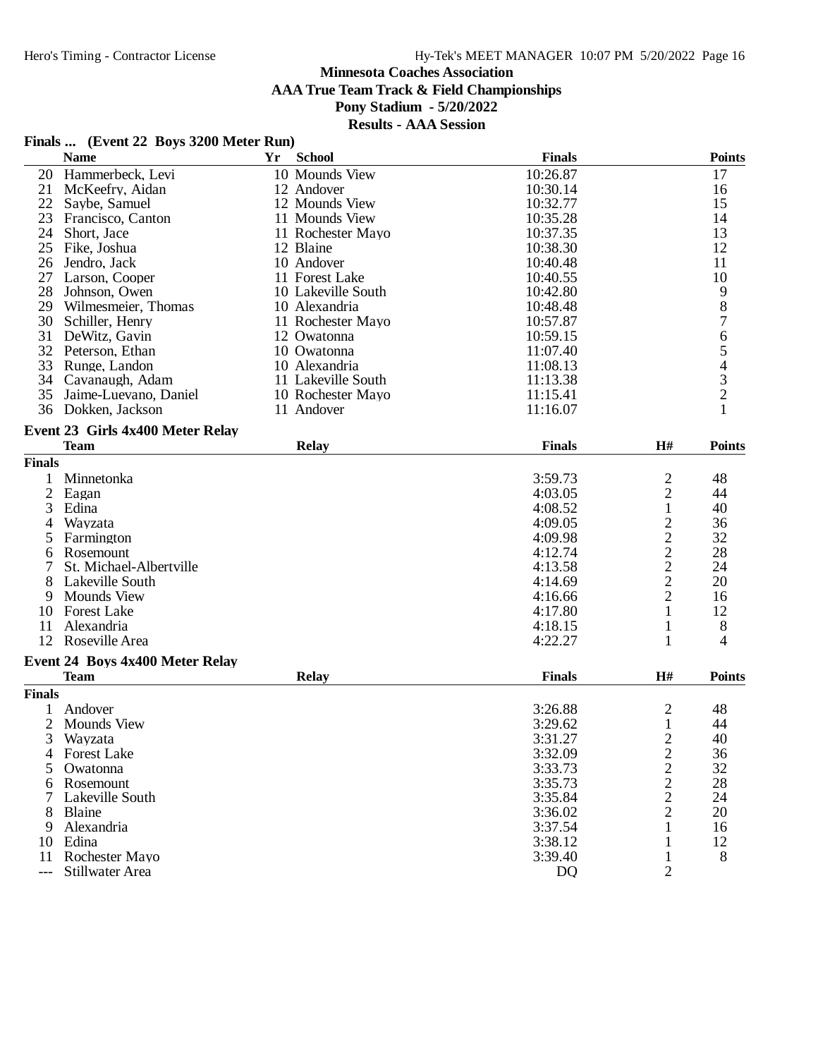**AAA True Team Track & Field Championships**

# **Pony Stadium - 5/20/2022**

| Finals  (Event 22 Boys 3200 Meter Run) |  |  |
|----------------------------------------|--|--|
|                                        |  |  |

|                | <b>Name</b>                      | Yr | <b>School</b>      | <b>Finals</b> |                         | <b>Points</b>                              |
|----------------|----------------------------------|----|--------------------|---------------|-------------------------|--------------------------------------------|
| 20             | Hammerbeck, Levi                 |    | 10 Mounds View     | 10:26.87      |                         | 17                                         |
| 21             | McKeefry, Aidan                  |    | 12 Andover         | 10:30.14      |                         | 16                                         |
| 22             | Saybe, Samuel                    |    | 12 Mounds View     | 10:32.77      |                         | 15                                         |
| 23             | Francisco, Canton                |    | 11 Mounds View     | 10:35.28      |                         | 14                                         |
| 24             | Short, Jace                      |    | 11 Rochester Mayo  | 10:37.35      |                         | 13                                         |
| 25             | Fike, Joshua                     |    | 12 Blaine          | 10:38.30      |                         | 12                                         |
| 26             | Jendro, Jack                     |    | 10 Andover         | 10:40.48      |                         | 11                                         |
| 27             | Larson, Cooper                   |    | 11 Forest Lake     | 10:40.55      |                         | 10                                         |
| 28             | Johnson, Owen                    |    | 10 Lakeville South | 10:42.80      |                         | 9                                          |
| 29             | Wilmesmeier, Thomas              |    | 10 Alexandria      | 10:48.48      |                         | 8                                          |
| 30             | Schiller, Henry                  |    | 11 Rochester Mayo  | 10:57.87      |                         | 7                                          |
| 31             | DeWitz, Gavin                    |    | 12 Owatonna        | 10:59.15      |                         | 6                                          |
|                | 32 Peterson, Ethan               |    | 10 Owatonna        | 11:07.40      |                         | 5                                          |
| 33             | Runge, Landon                    |    | 10 Alexandria      | 11:08.13      |                         |                                            |
|                | 34 Cavanaugh, Adam               |    | 11 Lakeville South | 11:13.38      |                         |                                            |
| 35             | Jaime-Luevano, Daniel            |    | 10 Rochester Mayo  | 11:15.41      |                         | $\begin{array}{c} 4 \\ 3 \\ 2 \end{array}$ |
| 36             | Dokken, Jackson                  |    | 11 Andover         | 11:16.07      |                         | $\mathbf{1}$                               |
|                |                                  |    |                    |               |                         |                                            |
|                | Event 23 Girls 4x400 Meter Relay |    |                    |               |                         |                                            |
|                | <b>Team</b>                      |    | <b>Relay</b>       | <b>Finals</b> | H#                      | <b>Points</b>                              |
| <b>Finals</b>  |                                  |    |                    |               |                         |                                            |
| 1              | Minnetonka                       |    |                    | 3:59.73       | $\overline{\mathbf{c}}$ | 48                                         |
| $\overline{2}$ | Eagan                            |    |                    | 4:03.05       | $\overline{2}$          | 44                                         |
| 3              | Edina                            |    |                    | 4:08.52       | 1                       | 40                                         |
| 4              | Wayzata                          |    |                    | 4:09.05       | $\overline{c}$          | 36                                         |
| 5              | Farmington                       |    |                    | 4:09.98       | $\overline{c}$          | 32                                         |
| 6              | Rosemount                        |    |                    | 4:12.74       | $\overline{c}$          | 28                                         |
| 7              | St. Michael-Albertville          |    |                    | 4:13.58       |                         | 24                                         |
| 8              | Lakeville South                  |    |                    | 4:14.69       | $\frac{2}{2}$           | 20                                         |
| 9              | Mounds View                      |    |                    | 4:16.66       |                         | 16                                         |
| 10             | <b>Forest Lake</b>               |    |                    | 4:17.80       | 1                       | 12                                         |
| 11             | Alexandria                       |    |                    | 4:18.15       | 1                       | 8                                          |
| 12             | Roseville Area                   |    |                    | 4:22.27       | 1                       | 4                                          |
|                | Event 24 Boys 4x400 Meter Relay  |    |                    |               |                         |                                            |
|                | <b>Team</b>                      |    | <b>Relay</b>       | <b>Finals</b> | H#                      | <b>Points</b>                              |
|                |                                  |    |                    |               |                         |                                            |
| <b>Finals</b>  |                                  |    |                    |               |                         |                                            |
| 1              | Andover                          |    |                    | 3:26.88       | 2                       | 48                                         |
| 2              | <b>Mounds View</b>               |    |                    | 3:29.62       | $\mathbf{1}$            | 44                                         |
| 3              | Wayzata                          |    |                    | 3:31.27       | $\overline{2}$          | 40                                         |
|                | 4 Forest Lake                    |    |                    | 3:32.09       | $\overline{c}$          | 36                                         |
| 5              | Owatonna                         |    |                    | 3:33.73       | $\overline{c}$          | 32                                         |
| 6              | Rosemount                        |    |                    | 3:35.73       | $\overline{c}$          | 28                                         |
| 7              | Lakeville South                  |    |                    | 3:35.84       | $\overline{c}$          | 24                                         |
| 8              | Blaine                           |    |                    | 3:36.02       | $\overline{2}$          | 20                                         |
| 9              | Alexandria                       |    |                    | 3:37.54       | 1                       | 16                                         |
| 10             | Edina                            |    |                    | 3:38.12       | 1                       | 12                                         |
| 11             | Rochester Mayo                   |    |                    | 3:39.40       | 1                       | 8                                          |
| $---$          | Stillwater Area                  |    |                    | <b>DQ</b>     | 2                       |                                            |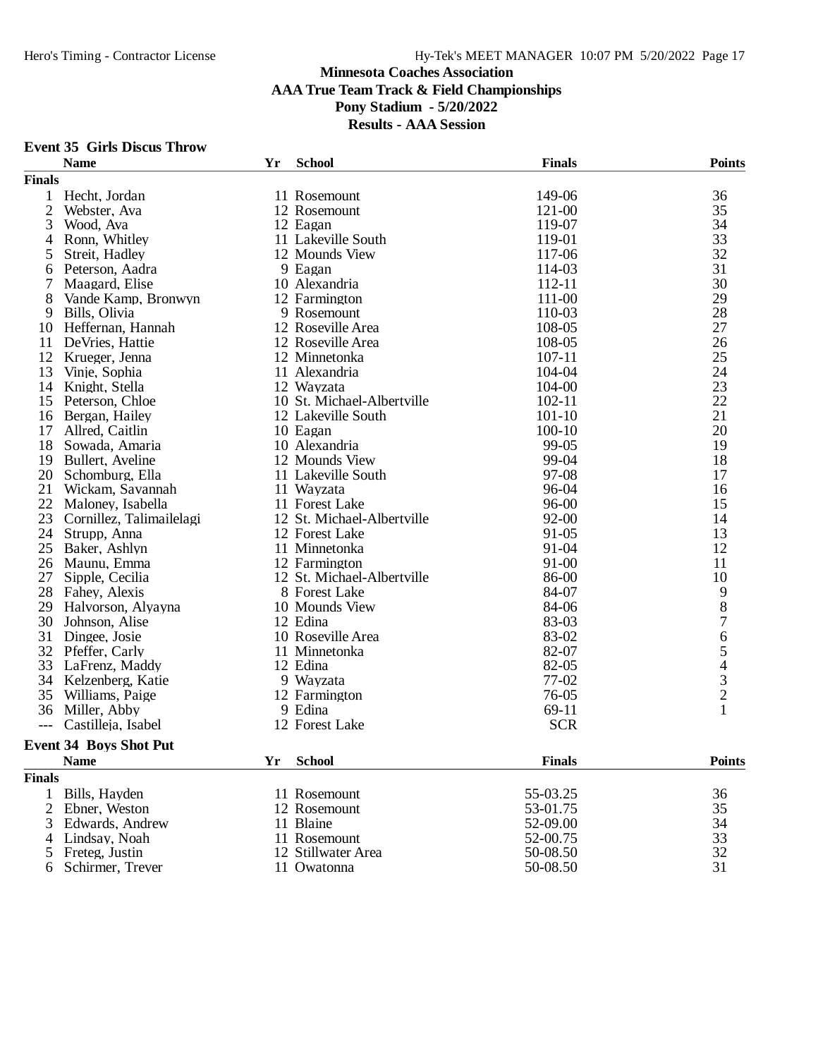#### **Event 35 Girls Discus Throw**

|                | <b>Name</b>                   | Yr | <b>School</b>              | <b>Finals</b> | <b>Points</b>                                   |
|----------------|-------------------------------|----|----------------------------|---------------|-------------------------------------------------|
| <b>Finals</b>  |                               |    |                            |               |                                                 |
| 1              | Hecht, Jordan                 |    | 11 Rosemount               | 149-06        | 36                                              |
| $\mathfrak{2}$ | Webster, Ava                  |    | 12 Rosemount               | 121-00        | 35                                              |
| 3              | Wood, Ava                     |    | 12 Eagan                   | 119-07        | 34                                              |
| 4              | Ronn, Whitley                 |    | 11 Lakeville South         | 119-01        | 33                                              |
| 5              | Streit, Hadley                |    | 12 Mounds View             | 117-06        | 32                                              |
| 6              | Peterson, Aadra               |    | 9 Eagan                    | 114-03        | 31                                              |
| 7              | Maagard, Elise                |    | 10 Alexandria              | 112-11        | 30                                              |
| 8              | Vande Kamp, Bronwyn           |    | 12 Farmington              | 111-00        | 29                                              |
| 9              | Bills, Olivia                 |    | 9 Rosemount                | 110-03        | 28                                              |
| 10             | Heffernan, Hannah             |    | 12 Roseville Area          | 108-05        | 27                                              |
| 11             | DeVries, Hattie               |    | 12 Roseville Area          | 108-05        | 26                                              |
| 12             | Krueger, Jenna                |    | 12 Minnetonka              | 107-11        | 25                                              |
| 13             | Vinje, Sophia                 |    | 11 Alexandria              | 104-04        | 24                                              |
| 14             | Knight, Stella                |    | 12 Wayzata                 | 104-00        | 23                                              |
| 15             | Peterson, Chloe               |    | 10 St. Michael-Albertville | $102 - 11$    | 22                                              |
| 16             | Bergan, Hailey                |    | 12 Lakeville South         | $101 - 10$    | 21                                              |
| 17             | Allred, Caitlin               |    | 10 Eagan                   | 100-10        | 20                                              |
| 18             | Sowada, Amaria                |    | 10 Alexandria              | 99-05         | 19                                              |
| 19             | Bullert, Aveline              |    | 12 Mounds View             | 99-04         | 18                                              |
| 20             | Schomburg, Ella               |    | 11 Lakeville South         | 97-08         | 17                                              |
| 21             | Wickam, Savannah              |    | 11 Wayzata                 | 96-04         | 16                                              |
| 22             | Maloney, Isabella             |    | 11 Forest Lake             | 96-00         | 15                                              |
| 23             | Cornillez, Talimailelagi      |    | 12 St. Michael-Albertville | 92-00         | 14                                              |
| 24             | Strupp, Anna                  |    | 12 Forest Lake             | 91-05         | 13                                              |
| 25             | Baker, Ashlyn                 |    | 11 Minnetonka              | 91-04         | 12                                              |
| 26             | Maunu, Emma                   |    | 12 Farmington              | 91-00         | 11                                              |
| 27             | Sipple, Cecilia               |    | 12 St. Michael-Albertville | 86-00         | 10                                              |
| 28             | Fahey, Alexis                 |    | 8 Forest Lake              | 84-07         | 9                                               |
| 29             | Halvorson, Alyayna            |    | 10 Mounds View             | 84-06         | 8                                               |
| 30             | Johnson, Alise                |    | 12 Edina                   | 83-03         | $\overline{7}$                                  |
| 31             | Dingee, Josie                 |    | 10 Roseville Area          | 83-02         | 6                                               |
|                | 32 Pfeffer, Carly             |    | 11 Minnetonka              | 82-07         |                                                 |
| 33             | LaFrenz, Maddy                |    | 12 Edina                   | 82-05         | $\begin{array}{c} 5 \\ 4 \\ 3 \\ 2 \end{array}$ |
| 34             | Kelzenberg, Katie             |    | 9 Wayzata                  | $77-02$       |                                                 |
| 35             | Williams, Paige               |    | 12 Farmington              | 76-05         |                                                 |
| 36             | Miller, Abby                  |    | 9 Edina                    | 69-11         | $\mathbf{1}$                                    |
| $---$          | Castilleja, Isabel            |    | 12 Forest Lake             | <b>SCR</b>    |                                                 |
|                |                               |    |                            |               |                                                 |
|                | <b>Event 34 Boys Shot Put</b> |    |                            |               |                                                 |
|                | <b>Name</b>                   | Yr | <b>School</b>              | <b>Finals</b> | <b>Points</b>                                   |
| <b>Finals</b>  |                               |    |                            |               |                                                 |
| $\mathbf{1}$   | Bills, Hayden                 |    | 11 Rosemount               | 55-03.25      | 36                                              |
| 2              | Ebner, Weston                 |    | 12 Rosemount               | 53-01.75      | 35                                              |
| 3              | Edwards, Andrew               |    | 11 Blaine                  | 52-09.00      | 34                                              |
| 4              | Lindsay, Noah                 |    | 11 Rosemount               | 52-00.75      | 33                                              |
| 5              | Freteg, Justin                |    | 12 Stillwater Area         | 50-08.50      | 32                                              |
| 6              | Schirmer, Trever              |    | 11 Owatonna                | 50-08.50      | 31                                              |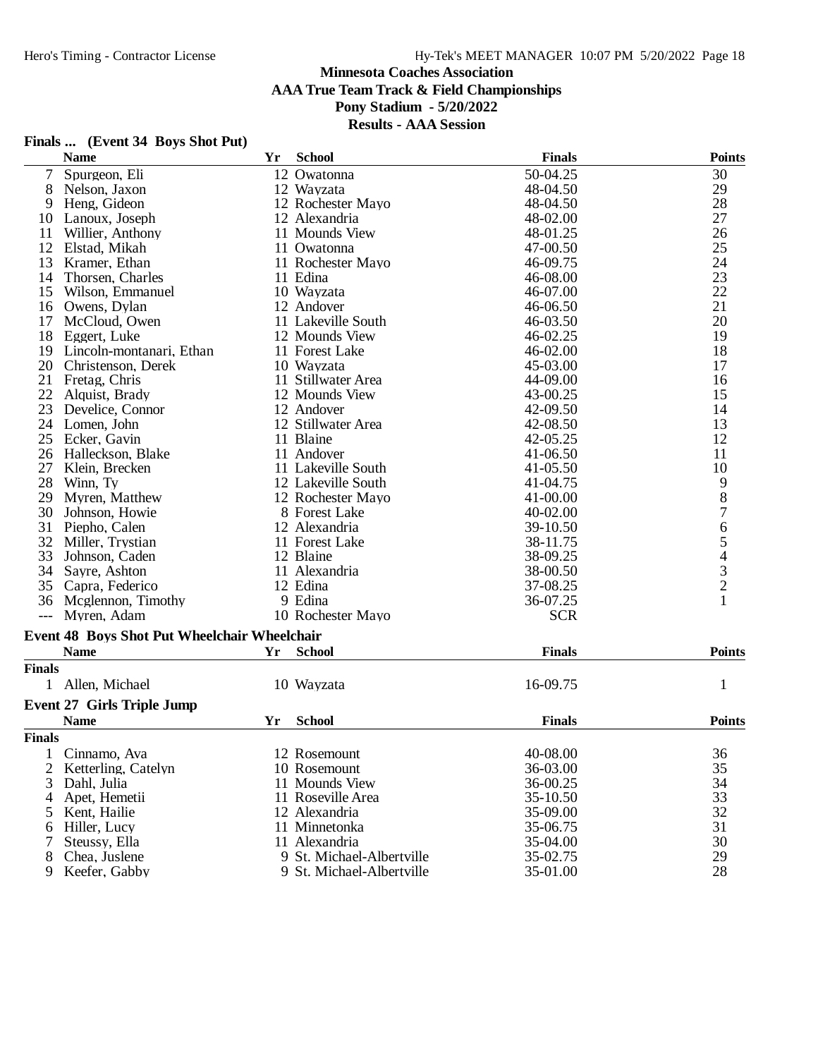#### **Minnesota Coaches Association AAA True Team Track & Field Championships Pony Stadium - 5/20/2022**

|               | <b>Name</b>                                         | Yr | <b>School</b>             | <b>Finals</b> | <b>Points</b>  |
|---------------|-----------------------------------------------------|----|---------------------------|---------------|----------------|
| 7             | Spurgeon, Eli                                       |    | 12 Owatonna               | 50-04.25      | 30             |
| 8             | Nelson, Jaxon                                       |    | 12 Wayzata                | 48-04.50      | 29             |
| 9             | Heng, Gideon                                        |    | 12 Rochester Mayo         | 48-04.50      | 28             |
| 10            | Lanoux, Joseph                                      |    | 12 Alexandria             | 48-02.00      | 27             |
| 11            | Willier, Anthony                                    |    | 11 Mounds View            | 48-01.25      | 26             |
| 12            | Elstad, Mikah                                       |    | 11 Owatonna               | 47-00.50      | 25             |
| 13            | Kramer, Ethan                                       |    | 11 Rochester Mayo         | 46-09.75      | 24             |
| 14            | Thorsen, Charles                                    |    | 11 Edina                  | 46-08.00      | 23             |
| 15            | Wilson, Emmanuel                                    |    | 10 Wayzata                | 46-07.00      | 22             |
| 16            | Owens, Dylan                                        |    | 12 Andover                | 46-06.50      | 21             |
| 17            | McCloud, Owen                                       |    | 11 Lakeville South        | 46-03.50      | 20             |
| 18            | Eggert, Luke                                        |    | 12 Mounds View            | 46-02.25      | 19             |
| 19            | Lincoln-montanari, Ethan                            |    | 11 Forest Lake            | 46-02.00      | 18             |
| 20            | Christenson, Derek                                  |    | 10 Wayzata                | 45-03.00      | 17             |
| 21            |                                                     |    |                           | 44-09.00      | 16             |
|               | Fretag, Chris                                       |    | 11 Stillwater Area        |               |                |
| 22            | Alquist, Brady                                      |    | 12 Mounds View            | 43-00.25      | 15             |
| 23            | Develice, Connor                                    |    | 12 Andover                | 42-09.50      | 14             |
| 24            | Lomen, John                                         |    | 12 Stillwater Area        | 42-08.50      | 13             |
| 25            | Ecker, Gavin                                        |    | 11 Blaine                 | 42-05.25      | 12             |
| 26            | Halleckson, Blake                                   |    | 11 Andover                | 41-06.50      | 11             |
| 27            | Klein, Brecken                                      |    | 11 Lakeville South        | 41-05.50      | 10             |
| 28            | Winn, Ty                                            |    | 12 Lakeville South        | 41-04.75      | 9              |
| 29            | Myren, Matthew                                      |    | 12 Rochester Mayo         | 41-00.00      | 8              |
| 30            | Johnson, Howie                                      |    | 8 Forest Lake             | 40-02.00      | $\overline{7}$ |
| 31            | Piepho, Calen                                       |    | 12 Alexandria             | 39-10.50      | 65432          |
| 32            | Miller, Trystian                                    |    | 11 Forest Lake            | 38-11.75      |                |
| 33            | Johnson, Caden                                      |    | 12 Blaine                 | 38-09.25      |                |
| 34            | Sayre, Ashton                                       |    | 11 Alexandria             | 38-00.50      |                |
| 35            | Capra, Federico                                     |    | 12 Edina                  | 37-08.25      |                |
| 36            | Mcglennon, Timothy                                  |    | 9 Edina                   | 36-07.25      | $\mathbf{1}$   |
|               | --- Myren, Adam                                     |    | 10 Rochester Mayo         | <b>SCR</b>    |                |
|               | <b>Event 48 Boys Shot Put Wheelchair Wheelchair</b> |    |                           |               |                |
|               | <b>Name</b>                                         | Yr | <b>School</b>             | <b>Finals</b> | <b>Points</b>  |
| <b>Finals</b> |                                                     |    |                           |               |                |
|               |                                                     |    |                           |               |                |
|               | 1 Allen, Michael                                    |    | 10 Wayzata                | 16-09.75      | 1              |
|               | <b>Event 27 Girls Triple Jump</b>                   |    |                           |               |                |
|               | <b>Name</b>                                         | Yr | <b>School</b>             | <b>Finals</b> | <b>Points</b>  |
| <b>Finals</b> |                                                     |    |                           |               |                |
|               | 1 Cinnamo, Ava                                      |    | 12 Rosemount              | 40-08.00      | 36             |
| 2             | Ketterling, Catelyn                                 |    | 10 Rosemount              | 36-03.00      | 35             |
| 3             | Dahl, Julia                                         |    | 11 Mounds View            | 36-00.25      | 34             |
| 4             | Apet, Hemetii                                       |    | 11 Roseville Area         | 35-10.50      | 33             |
| 5             | Kent, Hailie                                        |    | 12 Alexandria             | 35-09.00      | 32             |
|               | Hiller, Lucy                                        |    | 11 Minnetonka             | 35-06.75      | 31             |
| 6<br>7        |                                                     |    | 11 Alexandria             |               | 30             |
|               | Steussy, Ella                                       |    |                           | 35-04.00      |                |
| 8             | Chea, Juslene                                       |    | 9 St. Michael-Albertville | 35-02.75      | 29             |
| 9             | Keefer, Gabby                                       |    | 9 St. Michael-Albertville | 35-01.00      | 28             |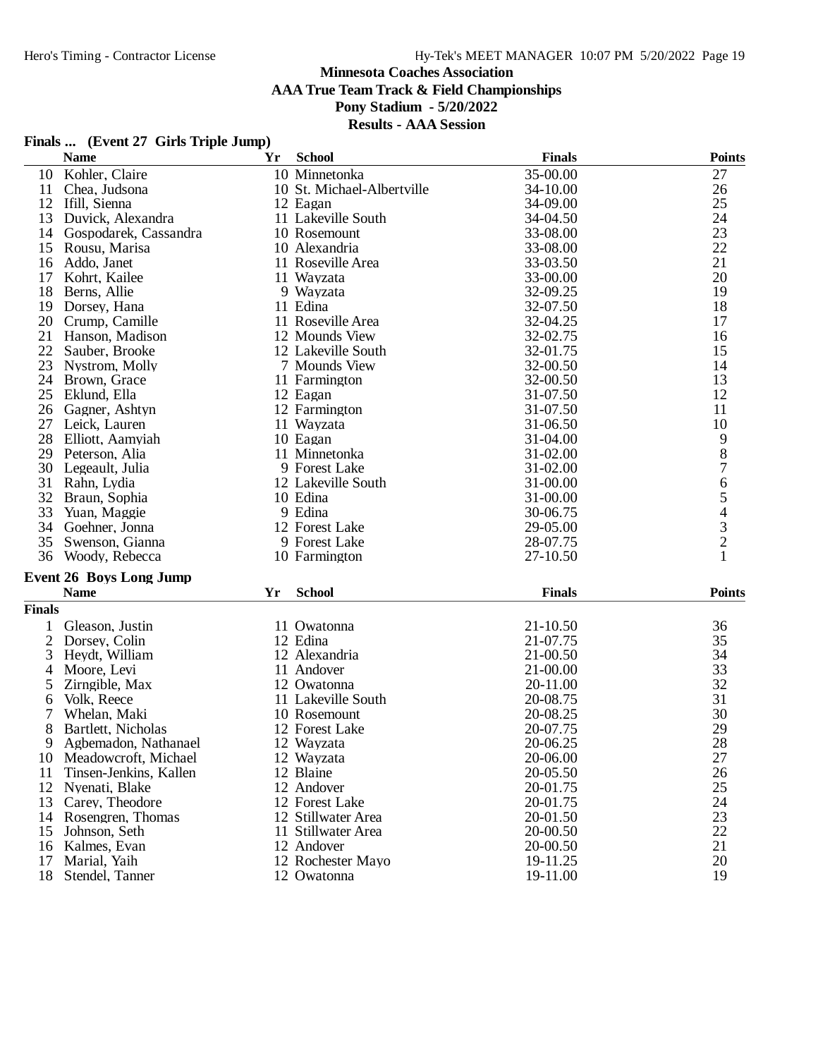### **Minnesota Coaches Association AAA True Team Track & Field Championships**

**Pony Stadium - 5/20/2022 Results - AAA Session**

### **Finals ... (Event 27 Girls Triple Jump)**

|               | <b>Name</b>                    | Yr | <b>School</b>              | <b>Finals</b> | <b>Points</b>                                   |
|---------------|--------------------------------|----|----------------------------|---------------|-------------------------------------------------|
| 10            | Kohler, Claire                 |    | 10 Minnetonka              | 35-00.00      | 27                                              |
| 11            | Chea, Judsona                  |    | 10 St. Michael-Albertville | 34-10.00      | 26                                              |
| 12            | Ifill, Sienna                  |    | 12 Eagan                   | 34-09.00      | 25                                              |
| 13            | Duvick, Alexandra              |    | 11 Lakeville South         | 34-04.50      | 24                                              |
| 14            | Gospodarek, Cassandra          |    | 10 Rosemount               | 33-08.00      | 23                                              |
| 15            | Rousu, Marisa                  |    | 10 Alexandria              | 33-08.00      | 22                                              |
| 16            | Addo, Janet                    |    | 11 Roseville Area          | 33-03.50      | 21                                              |
| 17            | Kohrt, Kailee                  |    | 11 Wayzata                 | 33-00.00      | 20                                              |
| 18            | Berns, Allie                   |    | 9 Wayzata                  | 32-09.25      | 19                                              |
| 19            | Dorsey, Hana                   |    | 11 Edina                   | 32-07.50      | 18                                              |
| 20            | Crump, Camille                 |    | 11 Roseville Area          | 32-04.25      | 17                                              |
| 21            | Hanson, Madison                |    | 12 Mounds View             | 32-02.75      | 16                                              |
| 22            | Sauber, Brooke                 |    | 12 Lakeville South         | 32-01.75      | 15                                              |
| 23            | Nystrom, Molly                 |    | 7 Mounds View              | 32-00.50      | 14                                              |
| 24            | Brown, Grace                   |    | 11 Farmington              | 32-00.50      | 13                                              |
| 25            | Eklund, Ella                   |    | 12 Eagan                   | 31-07.50      | 12                                              |
| 26            | Gagner, Ashtyn                 |    | 12 Farmington              | 31-07.50      | 11                                              |
| 27            | Leick, Lauren                  |    | 11 Wayzata                 | 31-06.50      | 10                                              |
| 28            | Elliott, Aamyiah               |    | 10 Eagan                   | 31-04.00      | 9                                               |
| 29            | Peterson, Alia                 |    | 11 Minnetonka              | 31-02.00      | 8                                               |
|               | 30 Legeault, Julia             |    | 9 Forest Lake              | 31-02.00      | $\overline{7}$                                  |
| 31            | Rahn, Lydia                    |    | 12 Lakeville South         | 31-00.00      | 6                                               |
| 32            | Braun, Sophia                  |    | 10 Edina                   | 31-00.00      |                                                 |
| 33            |                                |    | 9 Edina                    | 30-06.75      | $\begin{array}{c} 5 \\ 4 \\ 3 \\ 2 \end{array}$ |
| 34            | Yuan, Maggie                   |    | 12 Forest Lake             |               |                                                 |
|               | Goehner, Jonna                 |    |                            | 29-05.00      |                                                 |
| 35            | Swenson, Gianna                |    | 9 Forest Lake              | 28-07.75      |                                                 |
|               | 36 Woody, Rebecca              |    | 10 Farmington              | 27-10.50      | 1                                               |
|               | <b>Event 26 Boys Long Jump</b> |    |                            |               |                                                 |
|               | <b>Name</b>                    | Yr | <b>School</b>              | <b>Finals</b> | <b>Points</b>                                   |
| <b>Finals</b> |                                |    |                            |               |                                                 |
|               | Gleason, Justin                |    | 11 Owatonna                | 21-10.50      | 36                                              |
| 2             | Dorsey, Colin                  |    | 12 Edina                   | 21-07.75      | 35                                              |
| 3             | Heydt, William                 |    | 12 Alexandria              | 21-00.50      | 34                                              |
| 4             | Moore, Levi                    |    | 11 Andover                 | 21-00.00      | 33                                              |
| 5             | Zirngible, Max                 |    | 12 Owatonna                | 20-11.00      | 32                                              |
| 6             | Volk, Reece                    |    | 11 Lakeville South         | 20-08.75      | 31                                              |
| 7             | Whelan, Maki                   |    | 10 Rosemount               | 20-08.25      | 30                                              |
| 8             | Bartlett, Nicholas             |    | 12 Forest Lake             | 20-07.75      | 29                                              |
| 9             | Agbemadon, Nathanael           |    | 12 Wayzata                 | 20-06.25      | 28                                              |
| 10            | Meadowcroft, Michael           |    | 12 Wayzata                 | 20-06.00      | 27                                              |
| 11            | Tinsen-Jenkins, Kallen         |    | 12 Blaine                  | 20-05.50      | 26                                              |
| 12            | Nyenati, Blake                 |    | 12 Andover                 | 20-01.75      | 25                                              |
| 13            | Carey, Theodore                |    | 12 Forest Lake             | 20-01.75      | 24                                              |
| 14            | Rosengren, Thomas              |    | 12 Stillwater Area         | 20-01.50      | 23                                              |
| 15            | Johnson, Seth                  |    | 11 Stillwater Area         | 20-00.50      | 22                                              |
| 16            | Kalmes, Evan                   |    | 12 Andover                 | 20-00.50      | 21                                              |
| 17            | Marial, Yaih                   |    | 12 Rochester Mayo          | 19-11.25      | 20                                              |
| 18            | Stendel, Tanner                |    | 12 Owatonna                | 19-11.00      | 19                                              |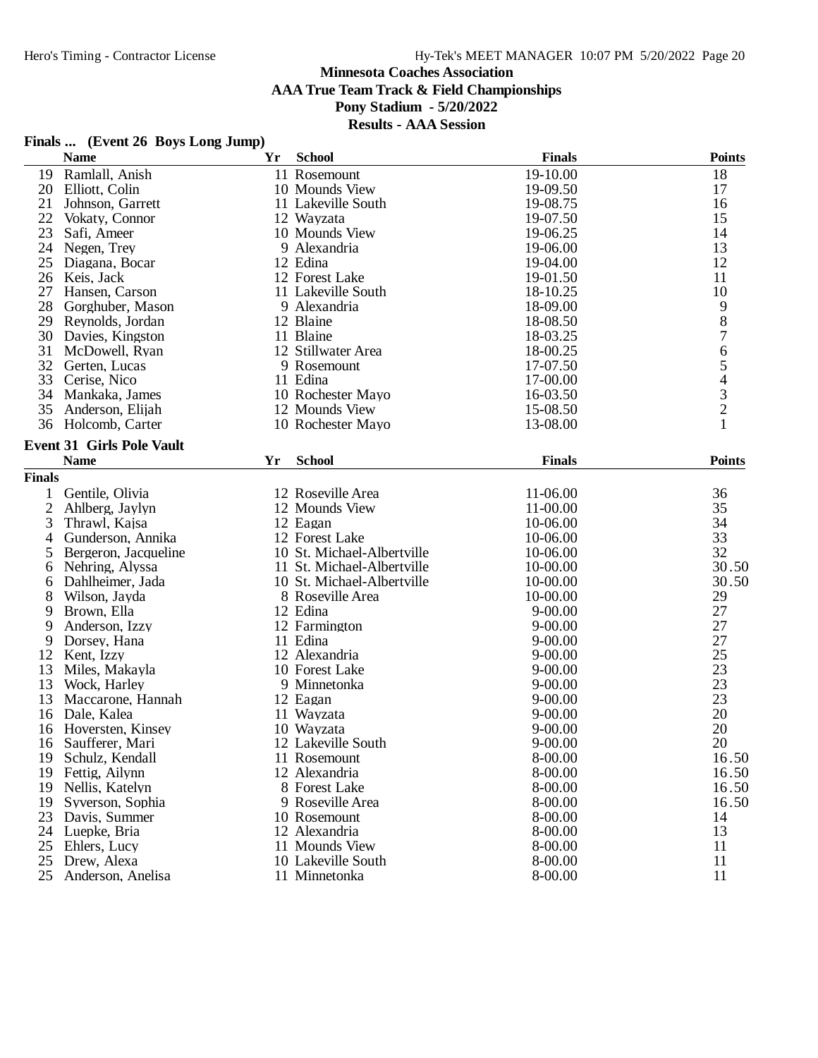### **Minnesota Coaches Association AAA True Team Track & Field Championships**

# **Pony Stadium - 5/20/2022**

| Finals  (Event 26 Boys Long Jump) |  |  |
|-----------------------------------|--|--|
|-----------------------------------|--|--|

|                | <b>Name</b>                      | Yr | <b>School</b>              | <b>Finals</b> | <b>Points</b> |
|----------------|----------------------------------|----|----------------------------|---------------|---------------|
| 19             | Ramlall, Anish                   |    | 11 Rosemount               | 19-10.00      | 18            |
| 20             | Elliott, Colin                   |    | 10 Mounds View             | 19-09.50      | 17            |
| 21             | Johnson, Garrett                 |    | 11 Lakeville South         | 19-08.75      | 16            |
| 22             | Vokaty, Connor                   |    | 12 Wayzata                 | 19-07.50      | 15            |
| 23             | Safi, Ameer                      |    | 10 Mounds View             | 19-06.25      | 14            |
| 24             | Negen, Trey                      |    | 9 Alexandria               | 19-06.00      | 13            |
| 25             | Diagana, Bocar                   |    | 12 Edina                   | 19-04.00      | 12            |
| 26             | Keis, Jack                       |    | 12 Forest Lake             | 19-01.50      | 11            |
| 27             | Hansen, Carson                   |    | 11 Lakeville South         | 18-10.25      | 10            |
| 28             | Gorghuber, Mason                 |    | 9 Alexandria               | 18-09.00      | 9             |
| 29             | Reynolds, Jordan                 |    | 12 Blaine                  | 18-08.50      |               |
| 30             | Davies, Kingston                 |    | 11 Blaine                  | 18-03.25      | 8765432       |
| 31             | McDowell, Ryan                   |    | 12 Stillwater Area         | 18-00.25      |               |
| 32             | Gerten, Lucas                    |    | 9 Rosemount                | 17-07.50      |               |
| 33             | Cerise, Nico                     |    | 11 Edina                   | 17-00.00      |               |
| 34             | Mankaka, James                   |    | 10 Rochester Mayo          | 16-03.50      |               |
| 35             | Anderson, Elijah                 |    | 12 Mounds View             | 15-08.50      |               |
| 36             | Holcomb, Carter                  |    | 10 Rochester Mayo          | 13-08.00      | $\mathbf{1}$  |
|                |                                  |    |                            |               |               |
|                | <b>Event 31 Girls Pole Vault</b> |    |                            |               |               |
|                | <b>Name</b>                      | Yr | <b>School</b>              | <b>Finals</b> | Points        |
| <b>Finals</b>  |                                  |    |                            |               |               |
| 1              | Gentile, Olivia                  |    | 12 Roseville Area          | 11-06.00      | 36            |
| $\overline{c}$ | Ahlberg, Jaylyn                  |    | 12 Mounds View             | 11-00.00      | 35            |
| 3              | Thrawl, Kajsa                    |    | 12 Eagan                   | 10-06.00      | 34            |
| 4              | Gunderson, Annika                |    | 12 Forest Lake             | 10-06.00      | 33            |
| 5              | Bergeron, Jacqueline             |    | 10 St. Michael-Albertville | 10-06.00      | 32            |
| 6              | Nehring, Alyssa                  |    | 11 St. Michael-Albertville | 10-00.00      | 30.50         |
| 6              | Dahlheimer, Jada                 |    | 10 St. Michael-Albertville | 10-00.00      | 30.50         |
| 8              | Wilson, Jayda                    |    | 8 Roseville Area           | 10-00.00      | 29            |
| 9              | Brown, Ella                      |    | 12 Edina                   | $9 - 00.00$   | 27            |
| 9              | Anderson, Izzy                   |    | 12 Farmington              | $9 - 00.00$   | 27            |
| 9              | Dorsey, Hana                     |    | 11 Edina                   | $9 - 00.00$   | 27            |
| 12             | Kent, Izzy                       |    | 12 Alexandria              | $9 - 00.00$   | 25            |
| 13             |                                  |    | 10 Forest Lake             | $9 - 00.00$   | 23            |
| 13             | Miles, Makayla                   |    | 9 Minnetonka               | $9 - 00.00$   | 23            |
|                | Wock, Harley                     |    |                            |               | 23            |
| 13             | Maccarone, Hannah                |    | 12 Eagan                   | $9 - 00.00$   |               |
| 16             | Dale, Kalea                      |    | 11 Wayzata                 | $9 - 00.00$   | 20            |
| 16             | Hoversten, Kinsey                |    | 10 Wayzata                 | $9 - 00.00$   | 20            |
| 16             | Saufferer, Mari                  |    | 12 Lakeville South         | $9 - 00.00$   | 20            |
| 19             | Schulz, Kendall                  |    | 11 Rosemount               | 8-00.00       | 16.50         |
| 19             | Fettig, Ailynn                   |    | 12 Alexandria              | 8-00.00       | 16.50         |
| 19             | Nellis, Katelyn                  |    | 8 Forest Lake              | 8-00.00       | 16.50         |
| 19             | Syverson, Sophia                 |    | 9 Roseville Area           | 8-00.00       | 16.50         |
| 23             | Davis, Summer                    |    | 10 Rosemount               | 8-00.00       | 14            |
| 24             | Luepke, Bria                     |    | 12 Alexandria              | 8-00.00       | 13            |
| 25             | Ehlers, Lucy                     |    | 11 Mounds View             | 8-00.00       | 11            |
| 25             | Drew, Alexa                      |    | 10 Lakeville South         | 8-00.00       | 11            |
| 25             | Anderson, Anelisa                |    | 11 Minnetonka              | 8-00.00       | 11            |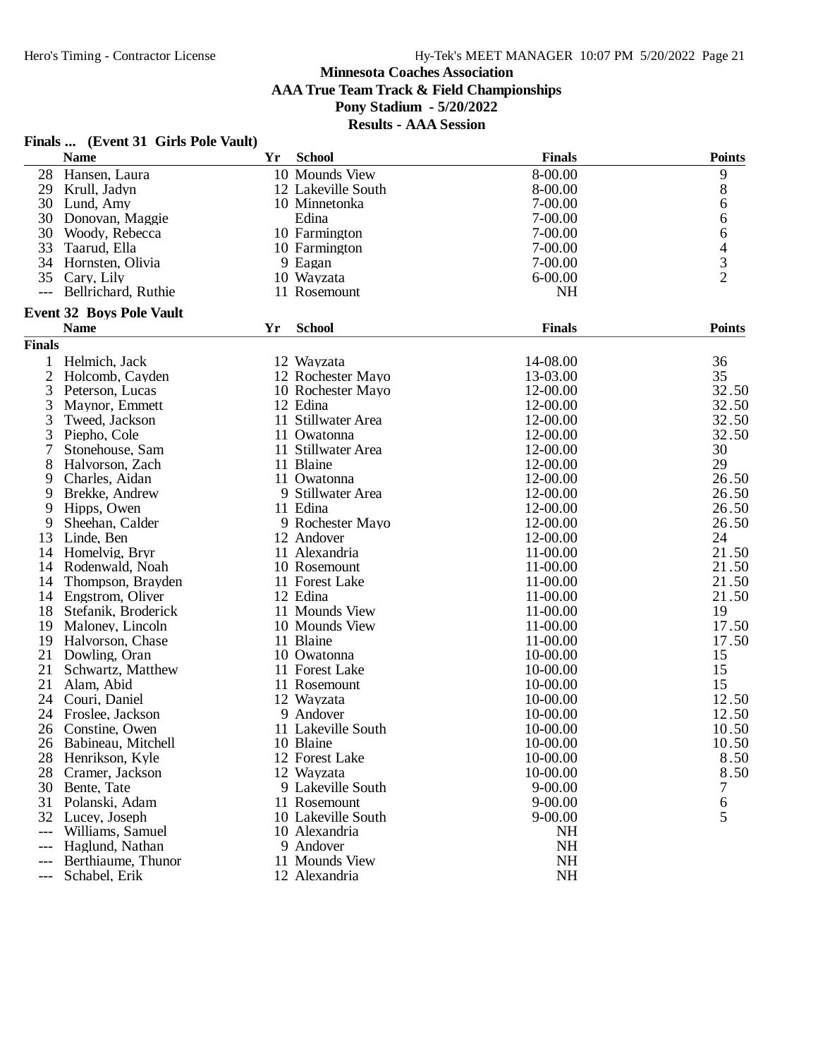#### **Minnesota Coaches Association AAA True Team Track & Field Championships Pony Stadium - 5/20/2022**

|  | Finals  (Event 31 Girls Pole Vault) |  |  |
|--|-------------------------------------|--|--|
|--|-------------------------------------|--|--|

|                     | <b>Name</b>                     | Yr | <b>School</b>      | <b>Finals</b> | <b>Points</b>                              |
|---------------------|---------------------------------|----|--------------------|---------------|--------------------------------------------|
| 28                  | Hansen, Laura                   |    | 10 Mounds View     | 8-00.00       | 9                                          |
| 29                  | Krull, Jadyn                    |    | 12 Lakeville South | 8-00.00       | 8                                          |
| 30                  | Lund, Amy                       |    | 10 Minnetonka      | 7-00.00       | 6                                          |
| 30                  | Donovan, Maggie                 |    | Edina              | $7 - 00.00$   | 6                                          |
| 30                  | Woody, Rebecca                  |    | 10 Farmington      | $7 - 00.00$   | 6                                          |
| 33                  | Taarud, Ella                    |    | 10 Farmington      | $7 - 00.00$   |                                            |
| 34                  | Hornsten, Olivia                |    | 9 Eagan            | $7 - 00.00$   | $\begin{array}{c} 4 \\ 3 \\ 2 \end{array}$ |
| 35                  | Cary, Lily                      |    | 10 Wayzata         | $6 - 00.00$   |                                            |
| $---$               | Bellrichard, Ruthie             |    | 11 Rosemount       | <b>NH</b>     |                                            |
|                     | <b>Event 32 Boys Pole Vault</b> |    |                    |               |                                            |
|                     | <b>Name</b>                     | Yr | <b>School</b>      | <b>Finals</b> | <b>Points</b>                              |
| <b>Finals</b>       |                                 |    |                    |               |                                            |
| 1                   | Helmich, Jack                   |    | 12 Wayzata         | 14-08.00      | 36                                         |
| $\overline{2}$      | Holcomb, Cayden                 |    | 12 Rochester Mayo  | 13-03.00      | 35                                         |
| 3                   | Peterson, Lucas                 |    | 10 Rochester Mayo  | 12-00.00      | 32.50                                      |
| 3                   | Maynor, Emmett                  |    | 12 Edina           | 12-00.00      | 32.50                                      |
| 3                   | Tweed, Jackson                  |    | 11 Stillwater Area | 12-00.00      | 32.50                                      |
| 3                   | Piepho, Cole                    |    | 11 Owatonna        | 12-00.00      | 32.50                                      |
| 7                   | Stonehouse, Sam                 |    | 11 Stillwater Area | 12-00.00      | 30                                         |
| 8                   | Halvorson, Zach                 |    | 11 Blaine          | 12-00.00      | 29                                         |
| 9                   | Charles, Aidan                  |    | 11 Owatonna        | 12-00.00      | 26.50                                      |
| 9                   | Brekke, Andrew                  |    | 9 Stillwater Area  | 12-00.00      | 26.50                                      |
| 9                   | Hipps, Owen                     |    | 11 Edina           | 12-00.00      | 26.50                                      |
| 9                   | Sheehan, Calder                 |    | 9 Rochester Mayo   | 12-00.00      | 26.50                                      |
| 13                  | Linde, Ben                      |    | 12 Andover         | 12-00.00      | 24                                         |
| 14                  | Homelvig, Bryr                  |    | 11 Alexandria      | 11-00.00      | 21.50                                      |
| 14                  | Rodenwald, Noah                 |    | 10 Rosemount       | 11-00.00      | 21.50                                      |
| 14                  | Thompson, Brayden               |    | 11 Forest Lake     | 11-00.00      | 21.50                                      |
| 14                  | Engstrom, Oliver                |    | 12 Edina           | 11-00.00      | 21.50                                      |
| 18                  | Stefanik, Broderick             |    | 11 Mounds View     | 11-00.00      | 19                                         |
| 19                  | Maloney, Lincoln                |    | 10 Mounds View     | 11-00.00      | 17.50                                      |
| 19                  | Halvorson, Chase                |    | 11 Blaine          | 11-00.00      | 17.50                                      |
| 21                  | Dowling, Oran                   |    | 10 Owatonna        | 10-00.00      | 15                                         |
| 21                  | Schwartz, Matthew               |    | 11 Forest Lake     | 10-00.00      | 15                                         |
| 21                  | Alam, Abid                      |    | 11 Rosemount       | 10-00.00      | 15                                         |
| 24                  | Couri, Daniel                   |    | 12 Wayzata         | 10-00.00      | 12.50                                      |
| 24                  | Froslee, Jackson                |    | 9 Andover          | 10-00.00      | 12.50                                      |
| 26                  | Constine, Owen                  |    | 11 Lakeville South | 10-00.00      | 10.50                                      |
|                     | 26 Babineau, Mitchell           |    | 10 Blaine          | 10-00.00      | 10.50                                      |
| 28                  | Henrikson, Kyle                 |    | 12 Forest Lake     | 10-00.00      | 8.50                                       |
| 28                  | Cramer, Jackson                 |    | 12 Wayzata         | 10-00.00      | 8.50                                       |
| 30                  | Bente, Tate                     |    | 9 Lakeville South  | $9 - 00.00$   | 7                                          |
| 31                  | Polanski, Adam                  |    | 11 Rosemount       | $9 - 00.00$   | 6                                          |
|                     | 32 Lucey, Joseph                |    | 10 Lakeville South | $9 - 00.00$   | 5                                          |
| $---$               | Williams, Samuel                |    | 10 Alexandria      | NH            |                                            |
| $---$               | Haglund, Nathan                 |    | 9 Andover          | NH            |                                            |
| $\qquad \qquad - -$ | Berthiaume, Thunor              |    | 11 Mounds View     | <b>NH</b>     |                                            |
| $\qquad \qquad - -$ | Schabel, Erik                   |    | 12 Alexandria      | NH            |                                            |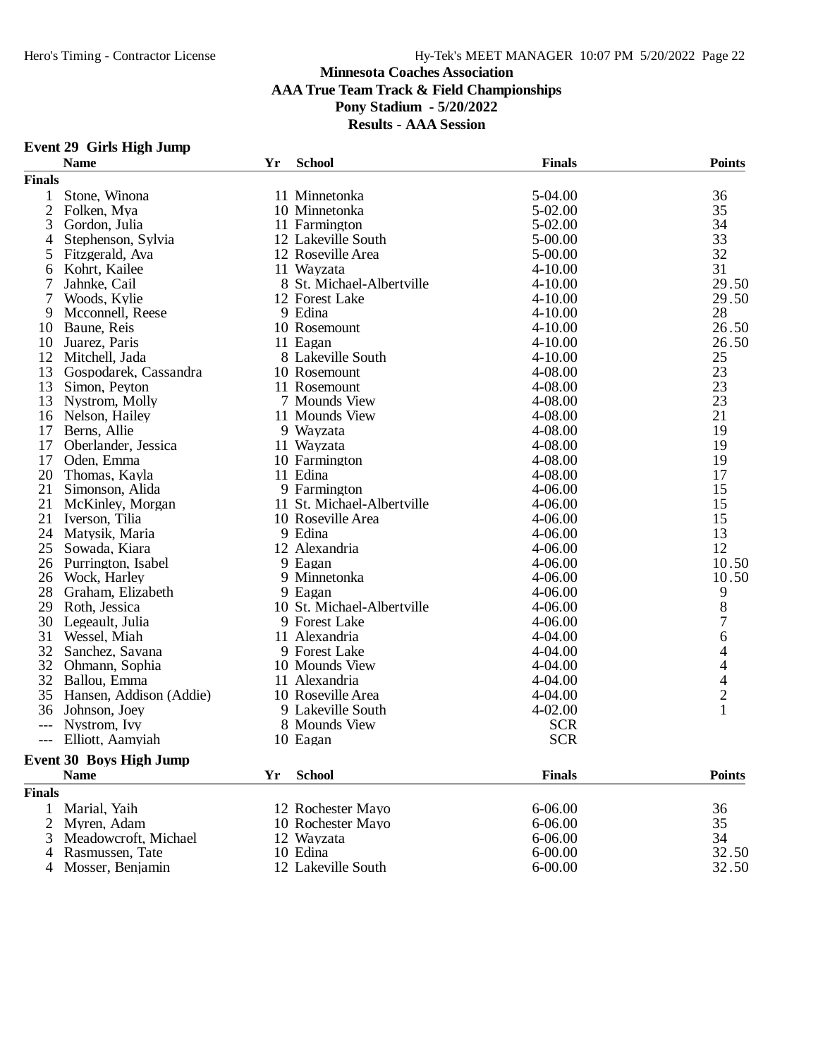#### **Event 29 Girls High Jump**

|               | <b>Name</b>                    | Yr | <b>School</b>              | <b>Finals</b>            | <b>Points</b>            |
|---------------|--------------------------------|----|----------------------------|--------------------------|--------------------------|
| <b>Finals</b> |                                |    |                            |                          |                          |
|               | Stone, Winona                  |    | 11 Minnetonka              | 5-04.00                  | 36                       |
| $\mathbf{2}$  | Folken, Mya                    |    | 10 Minnetonka              | 5-02.00                  | 35                       |
| 3             | Gordon, Julia                  |    | 11 Farmington              | 5-02.00                  | 34                       |
| 4             | Stephenson, Sylvia             |    | 12 Lakeville South         | 5-00.00                  | 33                       |
| 5             | Fitzgerald, Ava                |    | 12 Roseville Area          | 5-00.00                  | 32                       |
| 6             | Kohrt, Kailee                  |    | 11 Wayzata                 | $4 - 10.00$              | 31                       |
| 7             | Jahnke, Cail                   |    | 8 St. Michael-Albertville  | $4 - 10.00$              | 29.50                    |
| 7             | Woods, Kylie                   |    | 12 Forest Lake             | $4 - 10.00$              | 29.50                    |
| 9             | Mcconnell, Reese               |    | 9 Edina                    | $4 - 10.00$              | 28                       |
| 10            | Baune, Reis                    |    | 10 Rosemount               | $4 - 10.00$              | 26.50                    |
| 10            | Juarez, Paris                  |    | 11 Eagan                   | $4 - 10.00$              | 26.50                    |
| 12            | Mitchell, Jada                 |    | 8 Lakeville South          | $4 - 10.00$              | 25                       |
| 13            | Gospodarek, Cassandra          |    | 10 Rosemount               | 4-08.00                  | 23                       |
| 13            | Simon, Peyton                  |    | 11 Rosemount               | 4-08.00                  | 23                       |
| 13            | Nystrom, Molly                 |    | 7 Mounds View              | 4-08.00                  | 23                       |
| 16            | Nelson, Hailey                 |    | 11 Mounds View             | 4-08.00                  | 21                       |
| 17            | Berns, Allie                   |    | 9 Wayzata                  | 4-08.00                  | 19                       |
| 17            | Oberlander, Jessica            |    | 11 Wayzata                 | 4-08.00                  | 19                       |
| 17            | Oden, Emma                     |    | 10 Farmington              | 4-08.00                  | 19                       |
| 20            | Thomas, Kayla                  |    | 11 Edina                   | 4-08.00                  | 17                       |
| 21            | Simonson, Alida                |    | 9 Farmington               | 4-06.00                  | 15                       |
| 21            | McKinley, Morgan               |    | 11 St. Michael-Albertville | 4-06.00                  | 15                       |
| 21            | Iverson, Tilia                 |    | 10 Roseville Area          | $4 - 06.00$              | 15                       |
| 24            | Matysik, Maria                 |    | 9 Edina                    | 4-06.00                  | 13                       |
| 25            | Sowada, Kiara                  |    | 12 Alexandria              | 4-06.00                  | 12                       |
| 26            | Purrington, Isabel             |    | 9 Eagan                    | 4-06.00                  | 10.50                    |
| 26            | Wock, Harley                   |    | 9 Minnetonka               | 4-06.00                  | 10.50                    |
| 28            | Graham, Elizabeth              |    | 9 Eagan                    | 4-06.00                  | 9                        |
| 29            | Roth, Jessica                  |    | 10 St. Michael-Albertville | 4-06.00                  |                          |
| 30            | Legeault, Julia                |    | 9 Forest Lake              | 4-06.00                  | $\frac{8}{7}$            |
| 31            | Wessel, Miah                   |    | 11 Alexandria              | 4-04.00                  | 6                        |
| 32            | Sanchez, Savana                |    | 9 Forest Lake              | 4-04.00                  | $\overline{4}$           |
| 32            | Ohmann, Sophia                 |    | 10 Mounds View             | 4-04.00                  | $\overline{\mathcal{L}}$ |
| 32            | Ballou, Emma                   |    | 11 Alexandria              | 4-04.00                  |                          |
| 35            |                                |    | 10 Roseville Area          | 4-04.00                  | $\frac{4}{2}$            |
| 36            | Hansen, Addison (Addie)        |    | 9 Lakeville South          | 4-02.00                  | $\mathbf{1}$             |
|               | Johnson, Joey                  |    |                            |                          |                          |
|               | Nystrom, Ivy                   |    | 8 Mounds View              | <b>SCR</b><br><b>SCR</b> |                          |
|               | Elliott, Aamyiah               |    | 10 Eagan                   |                          |                          |
|               | <b>Event 30 Boys High Jump</b> |    |                            |                          |                          |
|               | <b>Name</b>                    | Yr | <b>School</b>              | <b>Finals</b>            | <b>Points</b>            |
| <b>Finals</b> |                                |    |                            |                          |                          |
| 1             | Marial, Yaih                   |    | 12 Rochester Mayo          | $6 - 06.00$              | 36                       |
| 2             | Myren, Adam                    |    | 10 Rochester Mayo          | $6 - 06.00$              | 35                       |
| 3             | Meadowcroft, Michael           |    | 12 Wayzata                 | $6 - 06.00$              | 34                       |
| 4             | Rasmussen, Tate                |    | 10 Edina                   | $6 - 00.00$              | 32.50                    |
| 4             | Mosser, Benjamin               |    | 12 Lakeville South         | $6 - 00.00$              | 32.50                    |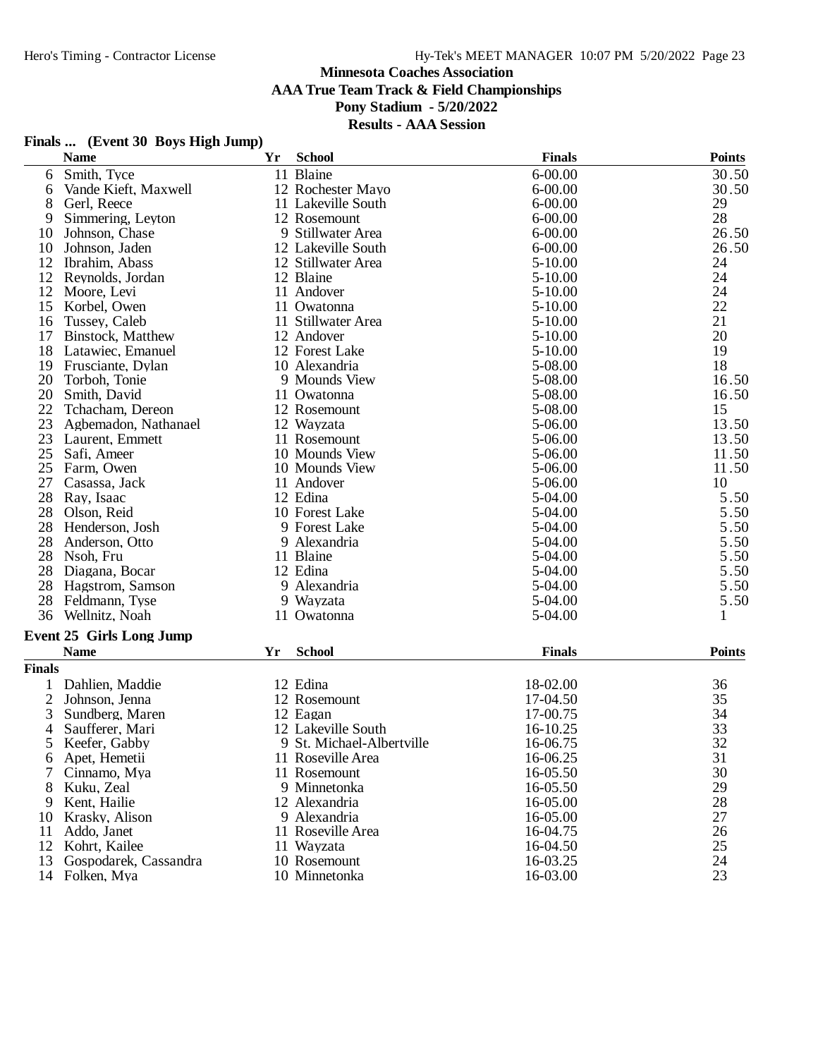#### **Minnesota Coaches Association AAA True Team Track & Field Championships Pony Stadium - 5/20/2022**

**Results - AAA Session**

### **Finals ... (Event 30 Boys High Jump)**

|                | <b>Name</b>                             | Yr | <b>School</b>                 | <b>Finals</b>        | <b>Points</b> |
|----------------|-----------------------------------------|----|-------------------------------|----------------------|---------------|
| 6              | Smith, Tyce                             |    | 11 Blaine                     | $6 - 00.00$          | 30.50         |
| 6              | Vande Kieft, Maxwell                    |    | 12 Rochester Mayo             | $6 - 00.00$          | 30.50         |
| 8              | Gerl, Reece                             |    | 11 Lakeville South            | $6 - 00.00$          | 29            |
| 9              | Simmering, Leyton                       |    | 12 Rosemount                  | $6 - 00.00$          | 28            |
| 10             | Johnson, Chase                          |    | 9 Stillwater Area             | $6 - 00.00$          | 26.50         |
| 10             | Johnson, Jaden                          |    | 12 Lakeville South            | $6 - 00.00$          | 26.50         |
| 12             | Ibrahim, Abass                          |    | 12 Stillwater Area            | $5-10.00$            | 24            |
| 12             | Reynolds, Jordan                        |    | 12 Blaine                     | 5-10.00              | 24            |
| 12             | Moore, Levi                             |    | 11 Andover                    | 5-10.00              | 24            |
| 15             | Korbel, Owen                            |    | 11 Owatonna                   | $5 - 10.00$          | 22            |
| 16             | Tussey, Caleb                           |    | 11 Stillwater Area            | $5 - 10.00$          | 21            |
| 17             | Binstock, Matthew                       |    | 12 Andover                    | $5-10.00$            | 20            |
| 18             | Latawiec, Emanuel                       |    | 12 Forest Lake                | $5-10.00$            | 19            |
| 19             | Frusciante, Dylan                       |    | 10 Alexandria                 | 5-08.00              | 18            |
| 20             | Torboh, Tonie                           |    | 9 Mounds View                 | 5-08.00              | 16.50         |
| 20             | Smith, David                            |    | 11 Owatonna                   | 5-08.00              | 16.50         |
| 22             | Tchacham, Dereon                        |    | 12 Rosemount                  | 5-08.00              | 15            |
| 23             | Agbemadon, Nathanael                    |    | 12 Wayzata                    | 5-06.00              | 13.50         |
| 23             | Laurent, Emmett                         |    | 11 Rosemount                  | 5-06.00              | 13.50         |
| 25             | Safi, Ameer                             |    | 10 Mounds View                | 5-06.00              | 11.50         |
| 25             | Farm, Owen                              |    | 10 Mounds View                | 5-06.00              | 11.50         |
| 27             | Casassa, Jack                           |    | 11 Andover                    | 5-06.00              | 10            |
| 28             | Ray, Isaac                              |    | 12 Edina                      | 5-04.00              | 5.50          |
| 28             | Olson, Reid                             |    | 10 Forest Lake                | 5-04.00              | 5.50          |
| 28             | Henderson, Josh                         |    | 9 Forest Lake                 | 5-04.00              | 5.50          |
| 28             | Anderson, Otto                          |    | 9 Alexandria                  | 5-04.00              | 5.50          |
| 28             | Nsoh, Fru                               |    | 11 Blaine                     | 5-04.00              | 5.50          |
| 28             | Diagana, Bocar                          |    | 12 Edina                      | 5-04.00              | 5.50          |
| 28             | Hagstrom, Samson                        |    | 9 Alexandria                  | 5-04.00              | 5.50          |
| 28             | Feldmann, Tyse                          |    | 9 Wayzata                     | 5-04.00              | 5.50          |
| 36             | Wellnitz, Noah                          |    | 11 Owatonna                   | 5-04.00              | 1             |
|                | <b>Event 25 Girls Long Jump</b>         |    |                               |                      |               |
|                | <b>Name</b>                             | Yr | <b>School</b>                 | <b>Finals</b>        | <b>Points</b> |
| <b>Finals</b>  |                                         |    |                               |                      |               |
| 1              | Dahlien, Maddie                         |    | 12 Edina                      | 18-02.00             | 36            |
| $\overline{2}$ | Johnson, Jenna                          |    | 12 Rosemount                  | 17-04.50             | 35            |
| 3              | Sundberg, Maren                         |    | 12 Eagan                      | 17-00.75             | 34            |
| 4              | Saufferer, Mari                         |    | 12 Lakeville South            | 16-10.25             | 33            |
| 5              | Keefer, Gabby                           |    | 9 St. Michael-Albertville     | 16-06.75             | 32            |
|                | Apet, Hemetii                           |    | 11 Roseville Area             | 16-06.25             | 31            |
| 6<br>7         | Cinnamo, Mya                            |    | 11 Rosemount                  | 16-05.50             | 30            |
| 8              | Kuku, Zeal                              |    | 9 Minnetonka                  | 16-05.50             | 29            |
|                | Kent, Hailie                            |    | 12 Alexandria                 |                      | 28            |
| 9              | Krasky, Alison                          |    | 9 Alexandria                  | 16-05.00             | 27            |
| 10             | Addo, Janet                             |    | 11 Roseville Area             | 16-05.00             | 26            |
| 11<br>12       |                                         |    |                               | 16-04.75<br>16-04.50 | 25            |
|                | Kohrt, Kailee                           |    | 11 Wayzata                    | 16-03.25             | 24            |
| 13             | Gospodarek, Cassandra<br>14 Folken, Mya |    | 10 Rosemount<br>10 Minnetonka | 16-03.00             | 23            |
|                |                                         |    |                               |                      |               |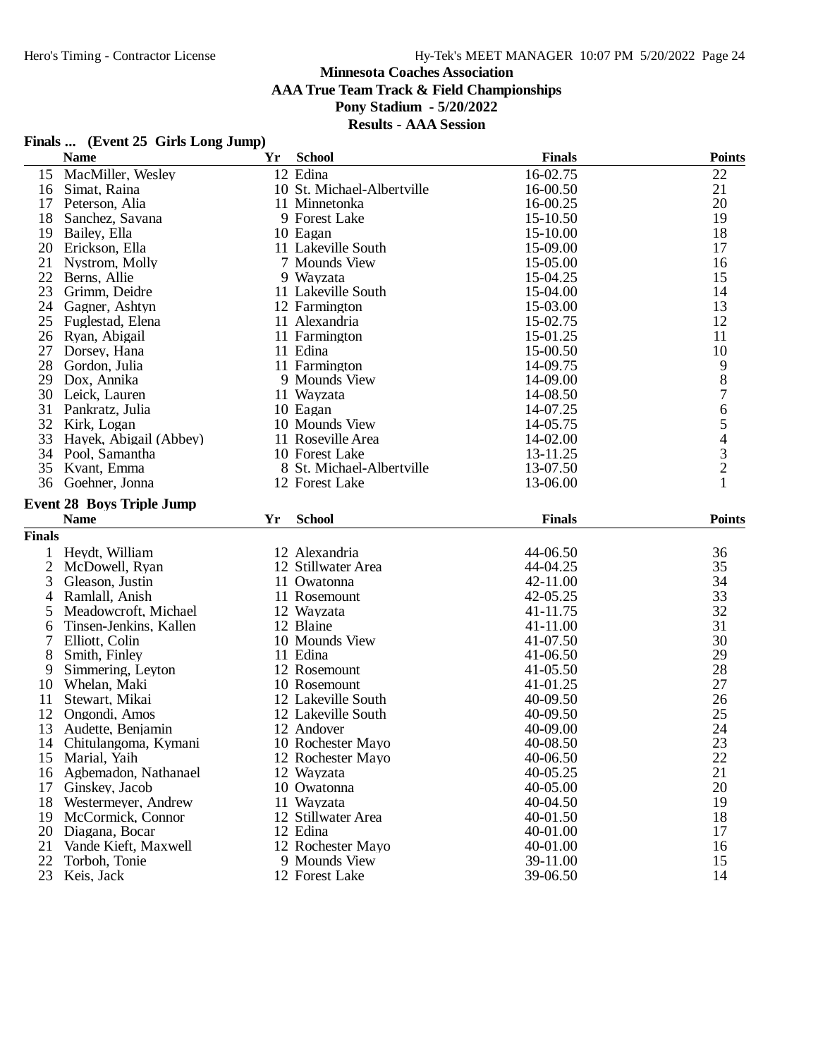#### **Minnesota Coaches Association AAA True Team Track & Field Championships**

# **Pony Stadium - 5/20/2022**

|  | Finals  (Event 25 Girls Long Jump) |  |  |  |
|--|------------------------------------|--|--|--|
|--|------------------------------------|--|--|--|

|                | <b>Name</b>                      | Yr | <b>School</b>              | <b>Finals</b> | <b>Points</b>                              |
|----------------|----------------------------------|----|----------------------------|---------------|--------------------------------------------|
| 15             | MacMiller, Wesley                |    | 12 Edina                   | 16-02.75      | 22                                         |
| 16             | Simat, Raina                     |    | 10 St. Michael-Albertville | 16-00.50      | 21                                         |
| 17             | Peterson, Alia                   |    | 11 Minnetonka              | 16-00.25      | 20                                         |
| 18             | Sanchez, Savana                  |    | 9 Forest Lake              | 15-10.50      | 19                                         |
| 19             | Bailey, Ella                     |    | 10 Eagan                   | 15-10.00      | 18                                         |
| 20             | Erickson, Ella                   |    | 11 Lakeville South         | 15-09.00      | 17                                         |
| 21             | Nystrom, Molly                   |    | 7 Mounds View              | 15-05.00      | 16                                         |
| 22             | Berns, Allie                     |    | 9 Wayzata                  | 15-04.25      | 15                                         |
| 23             | Grimm, Deidre                    |    | 11 Lakeville South         | 15-04.00      | 14                                         |
| 24             | Gagner, Ashtyn                   |    | 12 Farmington              | 15-03.00      | 13                                         |
| 25             | Fuglestad, Elena                 |    | 11 Alexandria              | 15-02.75      | 12                                         |
| 26             | Ryan, Abigail                    |    | 11 Farmington              | 15-01.25      | 11                                         |
| 27             | Dorsey, Hana                     |    | 11 Edina                   | 15-00.50      | 10                                         |
| 28             | Gordon, Julia                    |    | 11 Farmington              | 14-09.75      |                                            |
| 29             | Dox, Annika                      |    | 9 Mounds View              | 14-09.00      | $\frac{9}{8}$                              |
| 30             | Leick, Lauren                    |    | 11 Wayzata                 | 14-08.50      | 7                                          |
| 31             |                                  |    |                            |               |                                            |
|                | Pankratz, Julia                  |    | 10 Eagan                   | 14-07.25      | 6                                          |
| 32             | Kirk, Logan                      |    | 10 Mounds View             | 14-05.75      | 5                                          |
| 33             | Hayek, Abigail (Abbey)           |    | 11 Roseville Area          | 14-02.00      | $\begin{array}{c} 4 \\ 3 \\ 2 \end{array}$ |
| 34             | Pool, Samantha                   |    | 10 Forest Lake             | 13-11.25      |                                            |
| 35             | Kvant, Emma                      |    | 8 St. Michael-Albertville  | 13-07.50      |                                            |
| 36             | Goehner, Jonna                   |    | 12 Forest Lake             | 13-06.00      | $\mathbf{1}$                               |
|                | <b>Event 28 Boys Triple Jump</b> |    |                            |               |                                            |
|                | <b>Name</b>                      | Yr | <b>School</b>              | <b>Finals</b> | <b>Points</b>                              |
| <b>Finals</b>  |                                  |    |                            |               |                                            |
| 1              | Heydt, William                   |    | 12 Alexandria              | 44-06.50      | 36                                         |
| $\overline{2}$ | McDowell, Ryan                   |    | 12 Stillwater Area         | 44-04.25      | 35                                         |
| 3              | Gleason, Justin                  |    | 11 Owatonna                | 42-11.00      | 34                                         |
| 4              | Ramlall, Anish                   |    | 11 Rosemount               | 42-05.25      | 33                                         |
| 5              | Meadowcroft, Michael             |    | 12 Wayzata                 | 41-11.75      | 32                                         |
|                |                                  |    | 12 Blaine                  |               | 31                                         |
| 6              | Tinsen-Jenkins, Kallen           |    |                            | 41-11.00      | 30                                         |
| 7              | Elliott, Colin                   |    | 10 Mounds View             | 41-07.50      |                                            |
| 8              | Smith, Finley                    |    | 11 Edina                   | 41-06.50      | 29                                         |
| 9              | Simmering, Leyton                |    | 12 Rosemount               | 41-05.50      | 28                                         |
| 10             | Whelan, Maki                     |    | 10 Rosemount               | 41-01.25      | 27                                         |
| 11             | Stewart, Mikai                   |    | 12 Lakeville South         | 40-09.50      | 26                                         |
| 12             | Ongondi, Amos                    |    | 12 Lakeville South         | 40-09.50      | 25                                         |
| 13             | Audette, Benjamin                |    | 12 Andover                 | 40-09.00      | 24                                         |
| 14             | Chitulangoma, Kymani             |    | 10 Rochester Mayo          | 40-08.50      | 23                                         |
| 15             | Marial, Yaih                     |    | 12 Rochester Mayo          | 40-06.50      | 22                                         |
| 16             | Agbemadon, Nathanael             |    | 12 Wayzata                 | 40-05.25      | 21                                         |
| 17             | Ginskey, Jacob                   |    | 10 Owatonna                | 40-05.00      | 20                                         |
| 18             | Westermeyer, Andrew              |    | 11 Wayzata                 | 40-04.50      | 19                                         |
| 19             | McCormick, Connor                |    | 12 Stillwater Area         | 40-01.50      | 18                                         |
| 20             | Diagana, Bocar                   |    | 12 Edina                   | 40-01.00      | 17                                         |
| 21             | Vande Kieft, Maxwell             |    | 12 Rochester Mayo          | 40-01.00      | 16                                         |
| 22             | Torboh, Tonie                    |    | 9 Mounds View              | 39-11.00      | 15                                         |
| 23             | Keis, Jack                       |    | 12 Forest Lake             | 39-06.50      | 14                                         |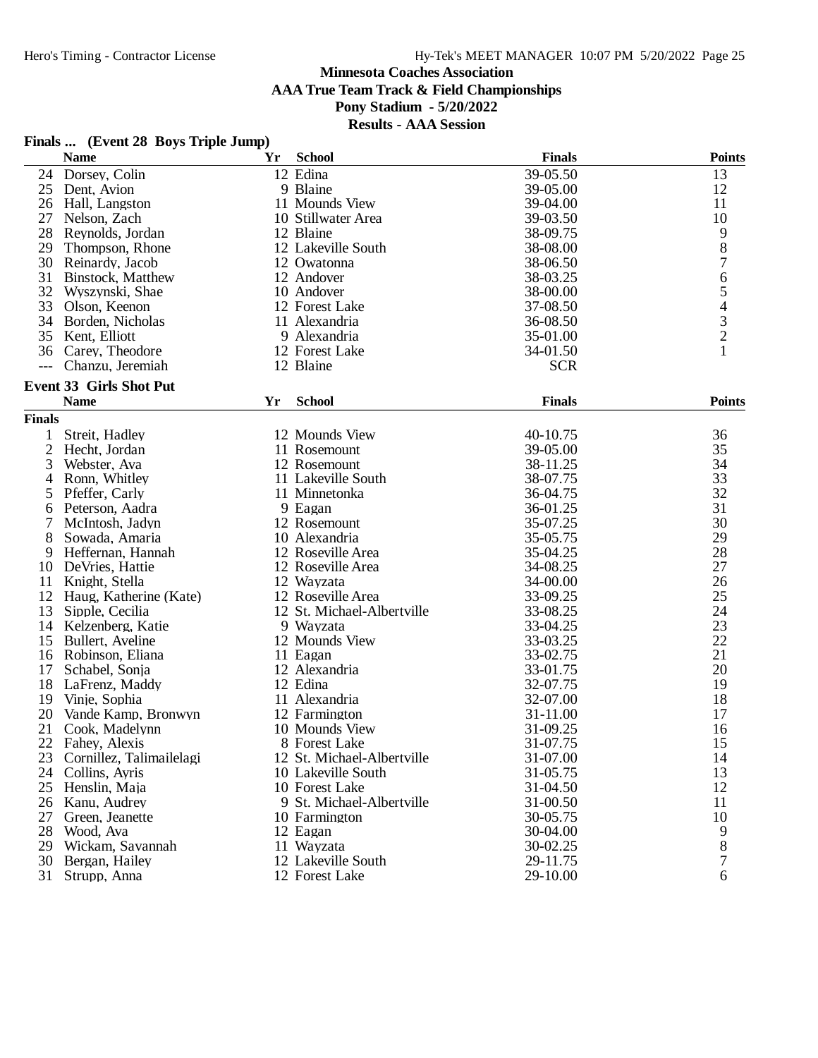#### **Minnesota Coaches Association AAA True Team Track & Field Championships**

**Pony Stadium - 5/20/2022**

|  | Finals  (Event 28 Boys Triple Jump) |  |  |
|--|-------------------------------------|--|--|
|--|-------------------------------------|--|--|

|                | <b>Name</b>                    | Yr | <b>School</b>              | <b>Finals</b> | <b>Points</b>  |
|----------------|--------------------------------|----|----------------------------|---------------|----------------|
| 24             | Dorsey, Colin                  |    | 12 Edina                   | 39-05.50      | 13             |
| 25             | Dent, Avion                    |    | 9 Blaine                   | 39-05.00      | 12             |
| 26             | Hall, Langston                 |    | 11 Mounds View             | 39-04.00      | 11             |
| 27             | Nelson, Zach                   |    | 10 Stillwater Area         | 39-03.50      | 10             |
| 28             | Reynolds, Jordan               |    | 12 Blaine                  | 38-09.75      | 9              |
| 29             | Thompson, Rhone                |    | 12 Lakeville South         | 38-08.00      | 8              |
| 30             | Reinardy, Jacob                |    | 12 Owatonna                | 38-06.50      | 7              |
| 31             | Binstock, Matthew              |    | 12 Andover                 | 38-03.25      | 6              |
| 32             | Wyszynski, Shae                |    | 10 Andover                 | 38-00.00      | 5              |
| 33             | Olson, Keenon                  |    | 12 Forest Lake             | 37-08.50      | $\overline{4}$ |
| 34             | Borden, Nicholas               |    | 11 Alexandria              | 36-08.50      |                |
|                |                                |    |                            | 35-01.00      | $\frac{3}{2}$  |
| 35             | Kent, Elliott                  |    | 9 Alexandria               |               |                |
|                | 36 Carey, Theodore             |    | 12 Forest Lake             | 34-01.50      | $\mathbf{1}$   |
|                | Chanzu, Jeremiah               |    | 12 Blaine                  | <b>SCR</b>    |                |
|                | <b>Event 33 Girls Shot Put</b> |    |                            |               |                |
|                | <b>Name</b>                    | Yr | <b>School</b>              | <b>Finals</b> | <b>Points</b>  |
| Finals         |                                |    |                            |               |                |
| 1              | Streit, Hadley                 |    | 12 Mounds View             | 40-10.75      | 36             |
| $\overline{c}$ | Hecht, Jordan                  |    | 11 Rosemount               | 39-05.00      | 35             |
| 3              | Webster, Ava                   |    | 12 Rosemount               | 38-11.25      | 34             |
|                |                                |    | 11 Lakeville South         | 38-07.75      | 33             |
| 4              | Ronn, Whitley                  |    |                            |               | 32             |
| 5              | Pfeffer, Carly                 |    | 11 Minnetonka              | 36-04.75      |                |
| 6              | Peterson, Aadra                |    | 9 Eagan                    | 36-01.25      | 31             |
| 7              | McIntosh, Jadyn                |    | 12 Rosemount               | 35-07.25      | 30             |
| 8              | Sowada, Amaria                 |    | 10 Alexandria              | 35-05.75      | 29             |
| 9              | Heffernan, Hannah              |    | 12 Roseville Area          | 35-04.25      | 28             |
| 10             | DeVries, Hattie                |    | 12 Roseville Area          | 34-08.25      | 27             |
| 11             | Knight, Stella                 |    | 12 Wayzata                 | 34-00.00      | 26             |
| 12             | Haug, Katherine (Kate)         |    | 12 Roseville Area          | 33-09.25      | 25             |
| 13             | Sipple, Cecilia                |    | 12 St. Michael-Albertville | 33-08.25      | 24             |
| 14             | Kelzenberg, Katie              |    | 9 Wayzata                  | 33-04.25      | 23             |
| 15             | Bullert, Aveline               |    | 12 Mounds View             | 33-03.25      | 22             |
| 16             | Robinson, Eliana               |    | 11 Eagan                   | 33-02.75      | 21             |
| 17             | Schabel, Sonja                 |    | 12 Alexandria              | 33-01.75      | 20             |
| 18             | LaFrenz, Maddy                 |    | 12 Edina                   | 32-07.75      | 19             |
| 19             | Vinje, Sophia                  |    | 11 Alexandria              | 32-07.00      | 18             |
| 20             | Vande Kamp, Bronwyn            |    | 12 Farmington              | 31-11.00      | 17             |
| 21             | Cook, Madelynn                 |    | 10 Mounds View             | 31-09.25      | 16             |
| 22             | Fahey, Alexis                  |    | 8 Forest Lake              | 31-07.75      | 15             |
| 23             | Cornillez, Talimailelagi       |    | 12 St. Michael-Albertville | 31-07.00      | 14             |
| 24             | Collins, Ayris                 |    | 10 Lakeville South         | 31-05.75      | 13             |
| 25             | Henslin, Maja                  |    | 10 Forest Lake             | 31-04.50      | 12             |
| 26             |                                |    | 9 St. Michael-Albertville  | 31-00.50      | 11             |
|                | Kanu, Audrey                   |    |                            |               | 10             |
| 27             | Green, Jeanette                |    | 10 Farmington              | 30-05.75      |                |
| 28             | Wood, Ava                      |    | 12 Eagan                   | 30-04.00      | 9              |
| 29             | Wickam, Savannah               |    | 11 Wayzata                 | 30-02.25      | 8              |
| 30             | Bergan, Hailey                 |    | 12 Lakeville South         | 29-11.75      | 7              |
| 31             | Strupp, Anna                   |    | 12 Forest Lake             | 29-10.00      | 6              |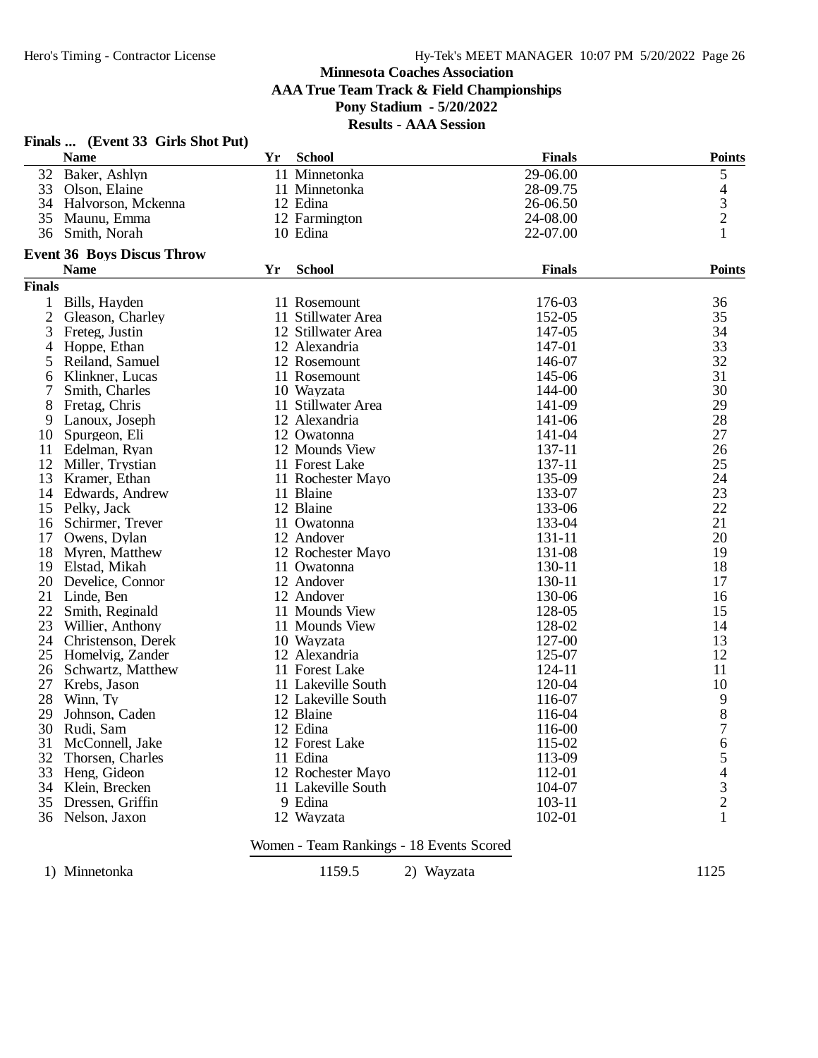|               | Finals  (Event 33 Girls Shot Put) |    |                                          |               |                  |
|---------------|-----------------------------------|----|------------------------------------------|---------------|------------------|
|               | <b>Name</b>                       | Yr | <b>School</b>                            | <b>Finals</b> | <b>Points</b>    |
| 32            | Baker, Ashlyn                     |    | 11 Minnetonka                            | 29-06.00      | $\mathfrak s$    |
| 33            | Olson, Elaine                     |    | 11 Minnetonka                            | 28-09.75      |                  |
| 34            | Halvorson, Mckenna                |    | 12 Edina                                 | 26-06.50      | $\frac{4}{3}$    |
| 35            | Maunu, Emma                       |    | 12 Farmington                            | 24-08.00      |                  |
| 36            | Smith, Norah                      |    | 10 Edina                                 | 22-07.00      | $\mathbf{1}$     |
|               | <b>Event 36 Boys Discus Throw</b> |    |                                          |               |                  |
|               | <b>Name</b>                       | Yr | <b>School</b>                            | <b>Finals</b> | <b>Points</b>    |
| <b>Finals</b> |                                   |    |                                          |               |                  |
| 1             | Bills, Hayden                     |    | 11 Rosemount                             | 176-03        | 36               |
| $\mathbf{2}$  | Gleason, Charley                  |    | 11 Stillwater Area                       | 152-05        | 35               |
| 3             | Freteg, Justin                    |    | 12 Stillwater Area                       | 147-05        | 34               |
| 4             | Hoppe, Ethan                      |    | 12 Alexandria                            | 147-01        | 33               |
| 5             | Reiland, Samuel                   |    | 12 Rosemount                             | 146-07        | 32               |
| 6             | Klinkner, Lucas                   |    | 11 Rosemount                             | 145-06        | 31               |
| 7             | Smith, Charles                    |    | 10 Wayzata                               | 144-00        | 30               |
| 8             | Fretag, Chris                     |    | 11 Stillwater Area                       | 141-09        | 29               |
| 9             | Lanoux, Joseph                    |    | 12 Alexandria                            | 141-06        | 28               |
| 10            | Spurgeon, Eli                     |    | 12 Owatonna                              | 141-04        | 27               |
| 11            | Edelman, Ryan                     |    | 12 Mounds View                           | 137-11        | 26               |
| 12            | Miller, Trystian                  |    | 11 Forest Lake                           | 137-11        | 25               |
| 13            | Kramer, Ethan                     |    | 11 Rochester Mayo                        | 135-09        | 24               |
| 14            | Edwards, Andrew                   |    | 11 Blaine                                | 133-07        | 23               |
| 15            | Pelky, Jack                       |    | 12 Blaine                                | 133-06        | 22               |
| 16            | Schirmer, Trever                  |    | 11 Owatonna                              | 133-04        | 21               |
| 17            | Owens, Dylan                      |    | 12 Andover                               | 131-11        | 20               |
| 18            | Myren, Matthew                    |    | 12 Rochester Mayo                        | 131-08        | 19               |
| 19            | Elstad, Mikah                     |    | 11 Owatonna                              | 130-11        | 18               |
| 20            | Develice, Connor                  |    | 12 Andover                               | 130-11        | 17               |
| 21            | Linde, Ben                        |    | 12 Andover                               | 130-06        | 16               |
| 22            | Smith, Reginald                   |    | 11 Mounds View                           | 128-05        | 15               |
| 23            | Willier, Anthony                  |    | 11 Mounds View                           | 128-02        | 14               |
| 24            | Christenson, Derek                |    | 10 Wayzata                               | 127-00        | 13               |
| 25            | Homelvig, Zander                  |    | 12 Alexandria                            | 125-07        | 12               |
| 26            | Schwartz, Matthew                 |    | 11 Forest Lake                           | 124-11        | 11               |
| 27            | Krebs, Jason                      |    | 11 Lakeville South                       | 120-04        | 10               |
| 28            | Winn, Ty                          |    | 12 Lakeville South                       | 116-07        | 9                |
| 29            | Johnson, Caden                    |    | 12 Blaine                                | 116-04        | 8                |
|               | 30 Rudi, Sam                      |    | 12 Edina                                 | 116-00        | $\boldsymbol{7}$ |
| 31            | McConnell, Jake                   |    | 12 Forest Lake                           | 115-02        | 6                |
| 32            | Thorsen, Charles                  |    | 11 Edina                                 | 113-09        | 5                |
| 33            | Heng, Gideon                      |    | 12 Rochester Mayo                        | 112-01        | 4                |
| 34            | Klein, Brecken                    |    | 11 Lakeville South                       | 104-07        | 3                |
| 35            | Dressen, Griffin                  |    | 9 Edina                                  | 103-11        | $\overline{c}$   |
|               | 36 Nelson, Jaxon                  |    | 12 Wayzata                               | 102-01        | $\mathbf{1}$     |
|               |                                   |    | Women - Team Rankings - 18 Events Scored |               |                  |

1) Minnetonka 1159.5 2) Wayzata 1125